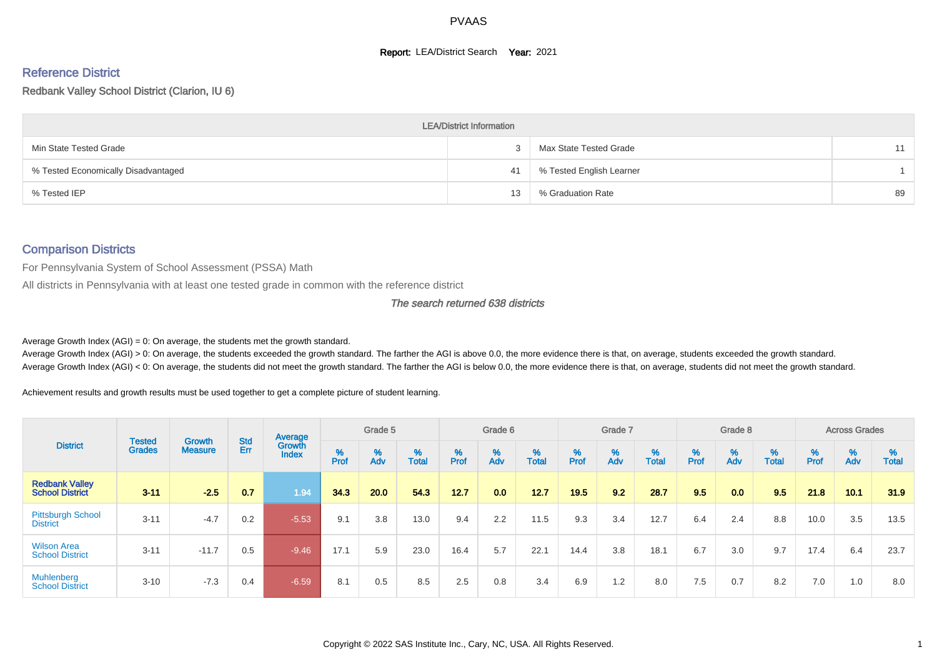#### **Report: LEA/District Search Year: 2021**

# Reference District

Redbank Valley School District (Clarion, IU 6)

|                                     | <b>LEA/District Information</b> |                          |    |
|-------------------------------------|---------------------------------|--------------------------|----|
| Min State Tested Grade              |                                 | Max State Tested Grade   | 11 |
| % Tested Economically Disadvantaged | 41                              | % Tested English Learner |    |
| % Tested IEP                        | 13                              | % Graduation Rate        | 89 |

#### Comparison Districts

For Pennsylvania System of School Assessment (PSSA) Math

All districts in Pennsylvania with at least one tested grade in common with the reference district

The search returned 638 districts

Average Growth Index  $(AGI) = 0$ : On average, the students met the growth standard.

Average Growth Index (AGI) > 0: On average, the students exceeded the growth standard. The farther the AGI is above 0.0, the more evidence there is that, on average, students exceeded the growth standard. Average Growth Index (AGI) < 0: On average, the students did not meet the growth standard. The farther the AGI is below 0.0, the more evidence there is that, on average, students did not meet the growth standard.

Achievement results and growth results must be used together to get a complete picture of student learning.

|                                                 |                                |                                 |            | Average                |        | Grade 5  |                   |        | Grade 6  |            |           | Grade 7  |            |           | Grade 8  |                   |          | <b>Across Grades</b> |                   |
|-------------------------------------------------|--------------------------------|---------------------------------|------------|------------------------|--------|----------|-------------------|--------|----------|------------|-----------|----------|------------|-----------|----------|-------------------|----------|----------------------|-------------------|
| <b>District</b>                                 | <b>Tested</b><br><b>Grades</b> | <b>Growth</b><br><b>Measure</b> | Std<br>Err | Growth<br><b>Index</b> | % Pref | %<br>Adv | %<br><b>Total</b> | % Pref | %<br>Adv | %<br>Total | %<br>Prof | %<br>Adv | %<br>Total | %<br>Prof | %<br>Adv | %<br><b>Total</b> | $%$ Prof | %<br>Adv             | %<br><b>Total</b> |
| <b>Redbank Valley</b><br><b>School District</b> | $3 - 11$                       | $-2.5$                          | 0.7        | 1.94                   | 34.3   | 20.0     | 54.3              | 12.7   | 0.0      | 12.7       | 19.5      | 9.2      | 28.7       | 9.5       | 0.0      | 9.5               | 21.8     | 10.1                 | 31.9              |
| <b>Pittsburgh School</b><br><b>District</b>     | $3 - 11$                       | $-4.7$                          | 0.2        | $-5.53$                | 9.1    | 3.8      | 13.0              | 9.4    | 2.2      | 11.5       | 9.3       | 3.4      | 12.7       | 6.4       | 2.4      | 8.8               | 10.0     | 3.5                  | 13.5              |
| <b>Wilson Area</b><br><b>School District</b>    | $3 - 11$                       | $-11.7$                         | 0.5        | $-9.46$                | 17.1   | 5.9      | 23.0              | 16.4   | 5.7      | 22.1       | 14.4      | 3.8      | 18.1       | 6.7       | 3.0      | 9.7               | 17.4     | 6.4                  | 23.7              |
| <b>Muhlenberg</b><br><b>School District</b>     | $3 - 10$                       | $-7.3$                          | 0.4        | $-6.59$                | 8.1    | 0.5      | 8.5               | 2.5    | 0.8      | 3.4        | 6.9       | 1.2      | 8.0        | 7.5       | 0.7      | 8.2               | 7.0      | 1.0                  | 8.0               |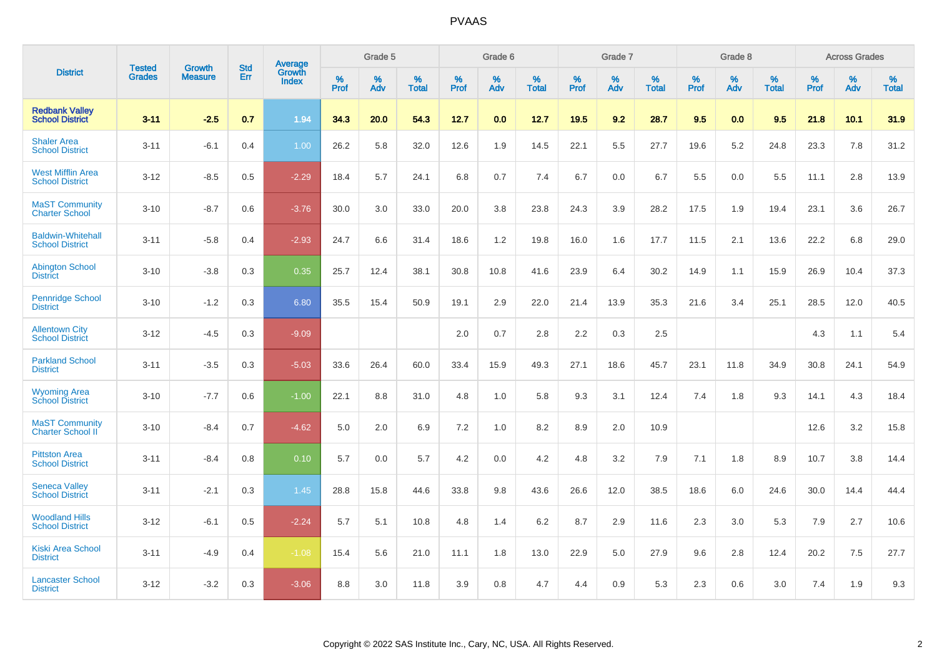|                                                    |                                |                                 | <b>Std</b> | <b>Average</b>         |           | Grade 5  |                   |           | Grade 6  |                   |              | Grade 7  |                   |           | Grade 8  |                   |           | <b>Across Grades</b> |                   |
|----------------------------------------------------|--------------------------------|---------------------------------|------------|------------------------|-----------|----------|-------------------|-----------|----------|-------------------|--------------|----------|-------------------|-----------|----------|-------------------|-----------|----------------------|-------------------|
| <b>District</b>                                    | <b>Tested</b><br><b>Grades</b> | <b>Growth</b><br><b>Measure</b> | Err        | Growth<br><b>Index</b> | %<br>Prof | %<br>Adv | %<br><b>Total</b> | %<br>Prof | %<br>Adv | %<br><b>Total</b> | $\%$<br>Prof | %<br>Adv | %<br><b>Total</b> | %<br>Prof | %<br>Adv | %<br><b>Total</b> | %<br>Prof | %<br>Adv             | %<br><b>Total</b> |
| <b>Redbank Valley</b><br><b>School District</b>    | $3 - 11$                       | $-2.5$                          | 0.7        | 1.94                   | 34.3      | 20.0     | 54.3              | 12.7      | 0.0      | 12.7              | 19.5         | 9.2      | 28.7              | 9.5       | 0.0      | 9.5               | 21.8      | 10.1                 | 31.9              |
| <b>Shaler Area</b><br><b>School District</b>       | $3 - 11$                       | $-6.1$                          | 0.4        | 1.00                   | 26.2      | 5.8      | 32.0              | 12.6      | 1.9      | 14.5              | 22.1         | 5.5      | 27.7              | 19.6      | 5.2      | 24.8              | 23.3      | 7.8                  | 31.2              |
| <b>West Mifflin Area</b><br><b>School District</b> | $3 - 12$                       | $-8.5$                          | 0.5        | $-2.29$                | 18.4      | 5.7      | 24.1              | 6.8       | 0.7      | 7.4               | 6.7          | 0.0      | 6.7               | 5.5       | 0.0      | 5.5               | 11.1      | 2.8                  | 13.9              |
| <b>MaST Community</b><br><b>Charter School</b>     | $3 - 10$                       | $-8.7$                          | 0.6        | $-3.76$                | 30.0      | 3.0      | 33.0              | 20.0      | 3.8      | 23.8              | 24.3         | 3.9      | 28.2              | 17.5      | 1.9      | 19.4              | 23.1      | 3.6                  | 26.7              |
| <b>Baldwin-Whitehall</b><br><b>School District</b> | $3 - 11$                       | $-5.8$                          | 0.4        | $-2.93$                | 24.7      | 6.6      | 31.4              | 18.6      | 1.2      | 19.8              | 16.0         | 1.6      | 17.7              | 11.5      | 2.1      | 13.6              | 22.2      | 6.8                  | 29.0              |
| <b>Abington School</b><br><b>District</b>          | $3 - 10$                       | $-3.8$                          | 0.3        | 0.35                   | 25.7      | 12.4     | 38.1              | 30.8      | 10.8     | 41.6              | 23.9         | 6.4      | 30.2              | 14.9      | 1.1      | 15.9              | 26.9      | 10.4                 | 37.3              |
| <b>Pennridge School</b><br><b>District</b>         | $3 - 10$                       | $-1.2$                          | 0.3        | 6.80                   | 35.5      | 15.4     | 50.9              | 19.1      | 2.9      | 22.0              | 21.4         | 13.9     | 35.3              | 21.6      | 3.4      | 25.1              | 28.5      | 12.0                 | 40.5              |
| <b>Allentown City</b><br><b>School District</b>    | $3 - 12$                       | $-4.5$                          | 0.3        | $-9.09$                |           |          |                   | 2.0       | 0.7      | 2.8               | 2.2          | 0.3      | 2.5               |           |          |                   | 4.3       | 1.1                  | 5.4               |
| <b>Parkland School</b><br><b>District</b>          | $3 - 11$                       | $-3.5$                          | 0.3        | $-5.03$                | 33.6      | 26.4     | 60.0              | 33.4      | 15.9     | 49.3              | 27.1         | 18.6     | 45.7              | 23.1      | 11.8     | 34.9              | 30.8      | 24.1                 | 54.9              |
| <b>Wyoming Area</b><br><b>School District</b>      | $3 - 10$                       | $-7.7$                          | 0.6        | $-1.00$                | 22.1      | 8.8      | 31.0              | 4.8       | 1.0      | 5.8               | 9.3          | 3.1      | 12.4              | 7.4       | 1.8      | 9.3               | 14.1      | 4.3                  | 18.4              |
| <b>MaST Community</b><br><b>Charter School II</b>  | $3 - 10$                       | $-8.4$                          | 0.7        | $-4.62$                | 5.0       | 2.0      | 6.9               | 7.2       | 1.0      | 8.2               | 8.9          | 2.0      | 10.9              |           |          |                   | 12.6      | 3.2                  | 15.8              |
| <b>Pittston Area</b><br><b>School District</b>     | $3 - 11$                       | $-8.4$                          | 0.8        | 0.10                   | 5.7       | 0.0      | 5.7               | 4.2       | 0.0      | 4.2               | 4.8          | 3.2      | 7.9               | 7.1       | 1.8      | 8.9               | 10.7      | 3.8                  | 14.4              |
| <b>Seneca Valley</b><br><b>School District</b>     | $3 - 11$                       | $-2.1$                          | 0.3        | 1.45                   | 28.8      | 15.8     | 44.6              | 33.8      | 9.8      | 43.6              | 26.6         | 12.0     | 38.5              | 18.6      | 6.0      | 24.6              | 30.0      | 14.4                 | 44.4              |
| <b>Woodland Hills</b><br><b>School District</b>    | $3 - 12$                       | $-6.1$                          | 0.5        | $-2.24$                | 5.7       | 5.1      | 10.8              | 4.8       | 1.4      | 6.2               | 8.7          | 2.9      | 11.6              | 2.3       | 3.0      | 5.3               | 7.9       | 2.7                  | 10.6              |
| <b>Kiski Area School</b><br><b>District</b>        | $3 - 11$                       | $-4.9$                          | 0.4        | $-1.08$                | 15.4      | 5.6      | 21.0              | 11.1      | 1.8      | 13.0              | 22.9         | 5.0      | 27.9              | 9.6       | 2.8      | 12.4              | 20.2      | 7.5                  | 27.7              |
| <b>Lancaster School</b><br><b>District</b>         | $3 - 12$                       | $-3.2$                          | 0.3        | $-3.06$                | 8.8       | 3.0      | 11.8              | 3.9       | 0.8      | 4.7               | 4.4          | 0.9      | 5.3               | 2.3       | 0.6      | 3.0               | 7.4       | 1.9                  | 9.3               |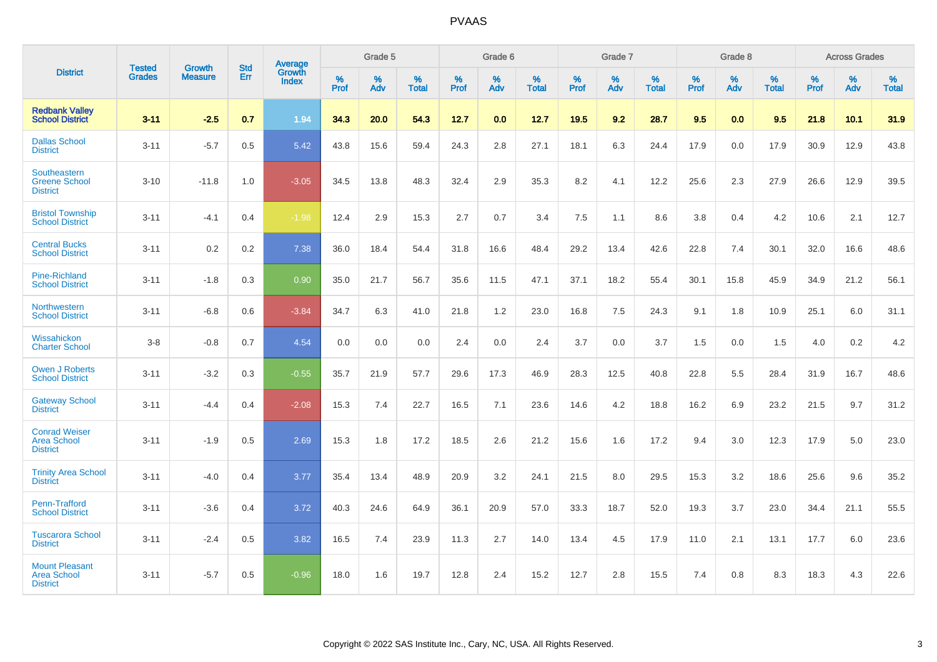|                                                                |                                |                          | <b>Std</b> | Average                |           | Grade 5  |                   |           | Grade 6  |                   |           | Grade 7  |                   |           | Grade 8  |                   |           | <b>Across Grades</b> |                   |
|----------------------------------------------------------------|--------------------------------|--------------------------|------------|------------------------|-----------|----------|-------------------|-----------|----------|-------------------|-----------|----------|-------------------|-----------|----------|-------------------|-----------|----------------------|-------------------|
| <b>District</b>                                                | <b>Tested</b><br><b>Grades</b> | Growth<br><b>Measure</b> | Err        | Growth<br><b>Index</b> | %<br>Prof | %<br>Adv | %<br><b>Total</b> | %<br>Prof | %<br>Adv | %<br><b>Total</b> | %<br>Prof | %<br>Adv | %<br><b>Total</b> | %<br>Prof | %<br>Adv | %<br><b>Total</b> | %<br>Prof | %<br>Adv             | %<br><b>Total</b> |
| <b>Redbank Vallev</b><br><b>School District</b>                | $3 - 11$                       | $-2.5$                   | 0.7        | 1.94                   | 34.3      | 20.0     | 54.3              | 12.7      | 0.0      | 12.7              | 19.5      | 9.2      | 28.7              | 9.5       | 0.0      | 9.5               | 21.8      | 10.1                 | 31.9              |
| <b>Dallas School</b><br><b>District</b>                        | $3 - 11$                       | $-5.7$                   | 0.5        | 5.42                   | 43.8      | 15.6     | 59.4              | 24.3      | 2.8      | 27.1              | 18.1      | 6.3      | 24.4              | 17.9      | 0.0      | 17.9              | 30.9      | 12.9                 | 43.8              |
| Southeastern<br><b>Greene School</b><br><b>District</b>        | $3 - 10$                       | $-11.8$                  | 1.0        | $-3.05$                | 34.5      | 13.8     | 48.3              | 32.4      | 2.9      | 35.3              | 8.2       | 4.1      | 12.2              | 25.6      | 2.3      | 27.9              | 26.6      | 12.9                 | 39.5              |
| <b>Bristol Township</b><br><b>School District</b>              | $3 - 11$                       | $-4.1$                   | 0.4        | $-1.98$                | 12.4      | 2.9      | 15.3              | 2.7       | 0.7      | 3.4               | 7.5       | 1.1      | 8.6               | 3.8       | 0.4      | 4.2               | 10.6      | 2.1                  | 12.7              |
| <b>Central Bucks</b><br><b>School District</b>                 | $3 - 11$                       | 0.2                      | 0.2        | 7.38                   | 36.0      | 18.4     | 54.4              | 31.8      | 16.6     | 48.4              | 29.2      | 13.4     | 42.6              | 22.8      | 7.4      | 30.1              | 32.0      | 16.6                 | 48.6              |
| <b>Pine-Richland</b><br><b>School District</b>                 | $3 - 11$                       | $-1.8$                   | 0.3        | 0.90                   | 35.0      | 21.7     | 56.7              | 35.6      | 11.5     | 47.1              | 37.1      | 18.2     | 55.4              | 30.1      | 15.8     | 45.9              | 34.9      | 21.2                 | 56.1              |
| Northwestern<br><b>School District</b>                         | $3 - 11$                       | $-6.8$                   | 0.6        | $-3.84$                | 34.7      | 6.3      | 41.0              | 21.8      | 1.2      | 23.0              | 16.8      | $7.5\,$  | 24.3              | 9.1       | 1.8      | 10.9              | 25.1      | $6.0\,$              | 31.1              |
| Wissahickon<br><b>Charter School</b>                           | $3-8$                          | $-0.8$                   | 0.7        | 4.54                   | 0.0       | 0.0      | 0.0               | 2.4       | $0.0\,$  | 2.4               | 3.7       | $0.0\,$  | 3.7               | 1.5       | 0.0      | 1.5               | 4.0       | $0.2\,$              | $4.2\,$           |
| <b>Owen J Roberts</b><br><b>School District</b>                | $3 - 11$                       | $-3.2$                   | 0.3        | $-0.55$                | 35.7      | 21.9     | 57.7              | 29.6      | 17.3     | 46.9              | 28.3      | 12.5     | 40.8              | 22.8      | 5.5      | 28.4              | 31.9      | 16.7                 | 48.6              |
| <b>Gateway School</b><br><b>District</b>                       | $3 - 11$                       | $-4.4$                   | 0.4        | $-2.08$                | 15.3      | 7.4      | 22.7              | 16.5      | 7.1      | 23.6              | 14.6      | 4.2      | 18.8              | 16.2      | 6.9      | 23.2              | 21.5      | 9.7                  | 31.2              |
| <b>Conrad Weiser</b><br><b>Area School</b><br><b>District</b>  | $3 - 11$                       | $-1.9$                   | 0.5        | 2.69                   | 15.3      | 1.8      | 17.2              | 18.5      | 2.6      | 21.2              | 15.6      | 1.6      | 17.2              | 9.4       | 3.0      | 12.3              | 17.9      | 5.0                  | 23.0              |
| <b>Trinity Area School</b><br><b>District</b>                  | $3 - 11$                       | $-4.0$                   | 0.4        | 3.77                   | 35.4      | 13.4     | 48.9              | 20.9      | 3.2      | 24.1              | 21.5      | 8.0      | 29.5              | 15.3      | 3.2      | 18.6              | 25.6      | 9.6                  | 35.2              |
| <b>Penn-Trafford</b><br><b>School District</b>                 | $3 - 11$                       | $-3.6$                   | 0.4        | 3.72                   | 40.3      | 24.6     | 64.9              | 36.1      | 20.9     | 57.0              | 33.3      | 18.7     | 52.0              | 19.3      | 3.7      | 23.0              | 34.4      | 21.1                 | 55.5              |
| <b>Tuscarora School</b><br><b>District</b>                     | $3 - 11$                       | $-2.4$                   | 0.5        | 3.82                   | 16.5      | 7.4      | 23.9              | 11.3      | 2.7      | 14.0              | 13.4      | 4.5      | 17.9              | 11.0      | 2.1      | 13.1              | 17.7      | 6.0                  | 23.6              |
| <b>Mount Pleasant</b><br><b>Area School</b><br><b>District</b> | $3 - 11$                       | $-5.7$                   | 0.5        | $-0.96$                | 18.0      | 1.6      | 19.7              | 12.8      | 2.4      | 15.2              | 12.7      | 2.8      | 15.5              | 7.4       | 0.8      | 8.3               | 18.3      | 4.3                  | 22.6              |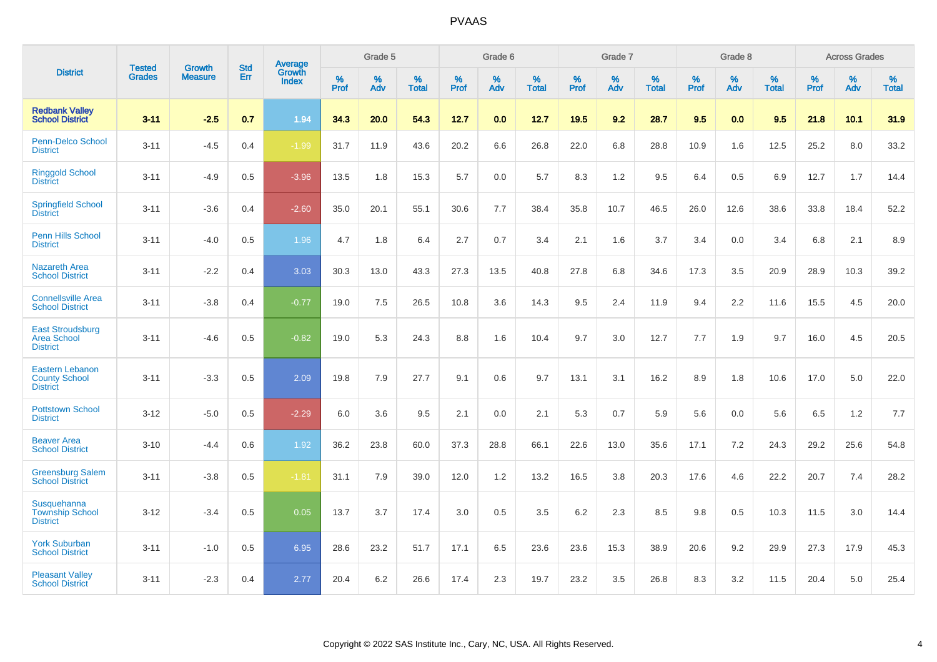|                                                                   |                                |                                 | <b>Std</b> | Average                       |           | Grade 5  |                   |           | Grade 6  |                   |           | Grade 7  |                   |           | Grade 8  |                   |           | <b>Across Grades</b> |                   |
|-------------------------------------------------------------------|--------------------------------|---------------------------------|------------|-------------------------------|-----------|----------|-------------------|-----------|----------|-------------------|-----------|----------|-------------------|-----------|----------|-------------------|-----------|----------------------|-------------------|
| <b>District</b>                                                   | <b>Tested</b><br><b>Grades</b> | <b>Growth</b><br><b>Measure</b> | Err        | <b>Growth</b><br><b>Index</b> | %<br>Prof | %<br>Adv | %<br><b>Total</b> | %<br>Prof | %<br>Adv | %<br><b>Total</b> | %<br>Prof | %<br>Adv | %<br><b>Total</b> | %<br>Prof | %<br>Adv | %<br><b>Total</b> | %<br>Prof | %<br>Adv             | %<br><b>Total</b> |
| <b>Redbank Valley</b><br><b>School District</b>                   | $3 - 11$                       | $-2.5$                          | 0.7        | 1.94                          | 34.3      | 20.0     | 54.3              | 12.7      | 0.0      | 12.7              | 19.5      | 9.2      | 28.7              | 9.5       | 0.0      | 9.5               | 21.8      | 10.1                 | 31.9              |
| Penn-Delco School<br><b>District</b>                              | $3 - 11$                       | $-4.5$                          | 0.4        | $-1.99$                       | 31.7      | 11.9     | 43.6              | 20.2      | 6.6      | 26.8              | 22.0      | 6.8      | 28.8              | 10.9      | 1.6      | 12.5              | 25.2      | 8.0                  | 33.2              |
| <b>Ringgold School</b><br><b>District</b>                         | $3 - 11$                       | $-4.9$                          | 0.5        | $-3.96$                       | 13.5      | 1.8      | 15.3              | 5.7       | 0.0      | 5.7               | 8.3       | 1.2      | 9.5               | 6.4       | 0.5      | 6.9               | 12.7      | 1.7                  | 14.4              |
| <b>Springfield School</b><br><b>District</b>                      | $3 - 11$                       | $-3.6$                          | 0.4        | $-2.60$                       | 35.0      | 20.1     | 55.1              | 30.6      | 7.7      | 38.4              | 35.8      | 10.7     | 46.5              | 26.0      | 12.6     | 38.6              | 33.8      | 18.4                 | 52.2              |
| <b>Penn Hills School</b><br><b>District</b>                       | $3 - 11$                       | $-4.0$                          | 0.5        | 1.96                          | 4.7       | 1.8      | 6.4               | 2.7       | 0.7      | 3.4               | 2.1       | 1.6      | 3.7               | 3.4       | 0.0      | 3.4               | 6.8       | 2.1                  | 8.9               |
| <b>Nazareth Area</b><br><b>School District</b>                    | $3 - 11$                       | $-2.2$                          | 0.4        | 3.03                          | 30.3      | 13.0     | 43.3              | 27.3      | 13.5     | 40.8              | 27.8      | 6.8      | 34.6              | 17.3      | 3.5      | 20.9              | 28.9      | 10.3                 | 39.2              |
| <b>Connellsville Area</b><br><b>School District</b>               | $3 - 11$                       | $-3.8$                          | 0.4        | $-0.77$                       | 19.0      | 7.5      | 26.5              | 10.8      | 3.6      | 14.3              | 9.5       | 2.4      | 11.9              | 9.4       | 2.2      | 11.6              | 15.5      | 4.5                  | 20.0              |
| <b>East Stroudsburg</b><br><b>Area School</b><br><b>District</b>  | $3 - 11$                       | $-4.6$                          | 0.5        | $-0.82$                       | 19.0      | 5.3      | 24.3              | 8.8       | 1.6      | 10.4              | 9.7       | 3.0      | 12.7              | 7.7       | 1.9      | 9.7               | 16.0      | 4.5                  | 20.5              |
| <b>Eastern Lebanon</b><br><b>County School</b><br><b>District</b> | $3 - 11$                       | $-3.3$                          | 0.5        | 2.09                          | 19.8      | 7.9      | 27.7              | 9.1       | 0.6      | 9.7               | 13.1      | 3.1      | 16.2              | 8.9       | 1.8      | 10.6              | 17.0      | 5.0                  | 22.0              |
| <b>Pottstown School</b><br><b>District</b>                        | $3 - 12$                       | $-5.0$                          | 0.5        | $-2.29$                       | 6.0       | 3.6      | 9.5               | 2.1       | 0.0      | 2.1               | 5.3       | 0.7      | 5.9               | 5.6       | 0.0      | 5.6               | 6.5       | 1.2                  | 7.7               |
| <b>Beaver Area</b><br><b>School District</b>                      | $3 - 10$                       | $-4.4$                          | 0.6        | 1.92                          | 36.2      | 23.8     | 60.0              | 37.3      | 28.8     | 66.1              | 22.6      | 13.0     | 35.6              | 17.1      | 7.2      | 24.3              | 29.2      | 25.6                 | 54.8              |
| <b>Greensburg Salem</b><br><b>School District</b>                 | $3 - 11$                       | $-3.8$                          | 0.5        | $-1.81$                       | 31.1      | 7.9      | 39.0              | 12.0      | 1.2      | 13.2              | 16.5      | 3.8      | 20.3              | 17.6      | 4.6      | 22.2              | 20.7      | 7.4                  | 28.2              |
| Susquehanna<br><b>Township School</b><br><b>District</b>          | $3 - 12$                       | $-3.4$                          | 0.5        | 0.05                          | 13.7      | 3.7      | 17.4              | 3.0       | 0.5      | 3.5               | 6.2       | 2.3      | 8.5               | 9.8       | 0.5      | 10.3              | 11.5      | 3.0                  | 14.4              |
| <b>York Suburban</b><br><b>School District</b>                    | $3 - 11$                       | $-1.0$                          | 0.5        | 6.95                          | 28.6      | 23.2     | 51.7              | 17.1      | 6.5      | 23.6              | 23.6      | 15.3     | 38.9              | 20.6      | 9.2      | 29.9              | 27.3      | 17.9                 | 45.3              |
| <b>Pleasant Valley</b><br><b>School District</b>                  | $3 - 11$                       | $-2.3$                          | 0.4        | 2.77                          | 20.4      | 6.2      | 26.6              | 17.4      | 2.3      | 19.7              | 23.2      | 3.5      | 26.8              | 8.3       | 3.2      | 11.5              | 20.4      | 5.0                  | 25.4              |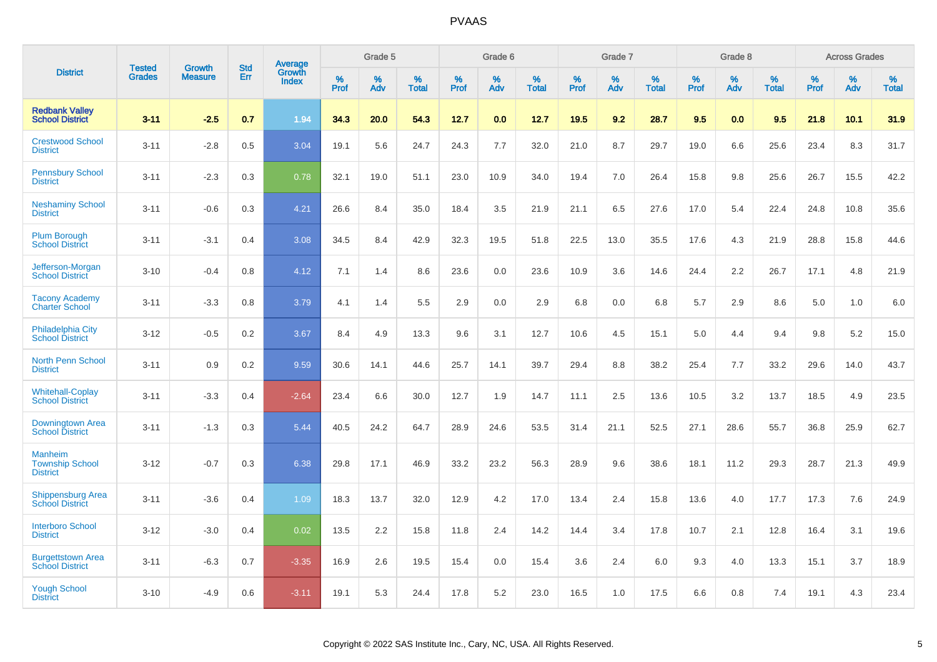|                                                             |                                | <b>Growth</b>  | <b>Std</b> | Average                |              | Grade 5  |                      |              | Grade 6     |                      |              | Grade 7  |                      |              | Grade 8     |                      |              | <b>Across Grades</b> |                      |
|-------------------------------------------------------------|--------------------------------|----------------|------------|------------------------|--------------|----------|----------------------|--------------|-------------|----------------------|--------------|----------|----------------------|--------------|-------------|----------------------|--------------|----------------------|----------------------|
| <b>District</b>                                             | <b>Tested</b><br><b>Grades</b> | <b>Measure</b> | Err        | Growth<br><b>Index</b> | $\%$<br>Prof | %<br>Adv | $\%$<br><b>Total</b> | $\%$<br>Prof | $\%$<br>Adv | $\%$<br><b>Total</b> | $\%$<br>Prof | %<br>Adv | $\%$<br><b>Total</b> | $\%$<br>Prof | $\%$<br>Adv | $\%$<br><b>Total</b> | $\%$<br>Prof | $\%$<br>Adv          | $\%$<br><b>Total</b> |
| <b>Redbank Vallev</b><br><b>School District</b>             | $3 - 11$                       | $-2.5$         | 0.7        | 1.94                   | 34.3         | 20.0     | 54.3                 | 12.7         | 0.0         | 12.7                 | 19.5         | 9.2      | 28.7                 | 9.5          | 0.0         | 9.5                  | 21.8         | 10.1                 | 31.9                 |
| <b>Crestwood School</b><br><b>District</b>                  | $3 - 11$                       | $-2.8$         | 0.5        | 3.04                   | 19.1         | 5.6      | 24.7                 | 24.3         | 7.7         | 32.0                 | 21.0         | 8.7      | 29.7                 | 19.0         | 6.6         | 25.6                 | 23.4         | 8.3                  | 31.7                 |
| <b>Pennsbury School</b><br><b>District</b>                  | $3 - 11$                       | $-2.3$         | 0.3        | 0.78                   | 32.1         | 19.0     | 51.1                 | 23.0         | 10.9        | 34.0                 | 19.4         | 7.0      | 26.4                 | 15.8         | 9.8         | 25.6                 | 26.7         | 15.5                 | 42.2                 |
| <b>Neshaminy School</b><br><b>District</b>                  | $3 - 11$                       | $-0.6$         | 0.3        | 4.21                   | 26.6         | 8.4      | 35.0                 | 18.4         | 3.5         | 21.9                 | 21.1         | 6.5      | 27.6                 | 17.0         | 5.4         | 22.4                 | 24.8         | 10.8                 | 35.6                 |
| <b>Plum Borough</b><br><b>School District</b>               | $3 - 11$                       | $-3.1$         | 0.4        | 3.08                   | 34.5         | 8.4      | 42.9                 | 32.3         | 19.5        | 51.8                 | 22.5         | 13.0     | 35.5                 | 17.6         | 4.3         | 21.9                 | 28.8         | 15.8                 | 44.6                 |
| Jefferson-Morgan<br><b>School District</b>                  | $3 - 10$                       | $-0.4$         | 0.8        | 4.12                   | 7.1          | 1.4      | 8.6                  | 23.6         | 0.0         | 23.6                 | 10.9         | 3.6      | 14.6                 | 24.4         | 2.2         | 26.7                 | 17.1         | 4.8                  | 21.9                 |
| <b>Tacony Academy</b><br><b>Charter School</b>              | $3 - 11$                       | $-3.3$         | 0.8        | 3.79                   | 4.1          | 1.4      | 5.5                  | 2.9          | 0.0         | 2.9                  | 6.8          | 0.0      | 6.8                  | 5.7          | 2.9         | 8.6                  | 5.0          | 1.0                  | 6.0                  |
| <b>Philadelphia City</b><br><b>School District</b>          | $3 - 12$                       | $-0.5$         | 0.2        | 3.67                   | 8.4          | 4.9      | 13.3                 | 9.6          | 3.1         | 12.7                 | 10.6         | 4.5      | 15.1                 | 5.0          | 4.4         | 9.4                  | 9.8          | 5.2                  | 15.0                 |
| <b>North Penn School</b><br><b>District</b>                 | $3 - 11$                       | 0.9            | 0.2        | 9.59                   | 30.6         | 14.1     | 44.6                 | 25.7         | 14.1        | 39.7                 | 29.4         | 8.8      | 38.2                 | 25.4         | 7.7         | 33.2                 | 29.6         | 14.0                 | 43.7                 |
| <b>Whitehall-Coplay</b><br><b>School District</b>           | $3 - 11$                       | $-3.3$         | 0.4        | $-2.64$                | 23.4         | 6.6      | 30.0                 | 12.7         | 1.9         | 14.7                 | 11.1         | 2.5      | 13.6                 | 10.5         | 3.2         | 13.7                 | 18.5         | 4.9                  | 23.5                 |
| Downingtown Area<br><b>School District</b>                  | $3 - 11$                       | $-1.3$         | 0.3        | 5.44                   | 40.5         | 24.2     | 64.7                 | 28.9         | 24.6        | 53.5                 | 31.4         | 21.1     | 52.5                 | 27.1         | 28.6        | 55.7                 | 36.8         | 25.9                 | 62.7                 |
| <b>Manheim</b><br><b>Township School</b><br><b>District</b> | $3 - 12$                       | $-0.7$         | 0.3        | 6.38                   | 29.8         | 17.1     | 46.9                 | 33.2         | 23.2        | 56.3                 | 28.9         | 9.6      | 38.6                 | 18.1         | 11.2        | 29.3                 | 28.7         | 21.3                 | 49.9                 |
| <b>Shippensburg Area</b><br><b>School District</b>          | $3 - 11$                       | $-3.6$         | 0.4        | 1.09                   | 18.3         | 13.7     | 32.0                 | 12.9         | 4.2         | 17.0                 | 13.4         | 2.4      | 15.8                 | 13.6         | 4.0         | 17.7                 | 17.3         | 7.6                  | 24.9                 |
| <b>Interboro School</b><br><b>District</b>                  | $3 - 12$                       | $-3.0$         | 0.4        | 0.02                   | 13.5         | 2.2      | 15.8                 | 11.8         | 2.4         | 14.2                 | 14.4         | 3.4      | 17.8                 | 10.7         | 2.1         | 12.8                 | 16.4         | 3.1                  | 19.6                 |
| <b>Burgettstown Area</b><br><b>School District</b>          | $3 - 11$                       | $-6.3$         | 0.7        | $-3.35$                | 16.9         | 2.6      | 19.5                 | 15.4         | 0.0         | 15.4                 | 3.6          | 2.4      | 6.0                  | 9.3          | 4.0         | 13.3                 | 15.1         | 3.7                  | 18.9                 |
| <b>Yough School</b><br><b>District</b>                      | $3 - 10$                       | $-4.9$         | 0.6        | $-3.11$                | 19.1         | 5.3      | 24.4                 | 17.8         | 5.2         | 23.0                 | 16.5         | 1.0      | 17.5                 | 6.6          | 0.8         | 7.4                  | 19.1         | 4.3                  | 23.4                 |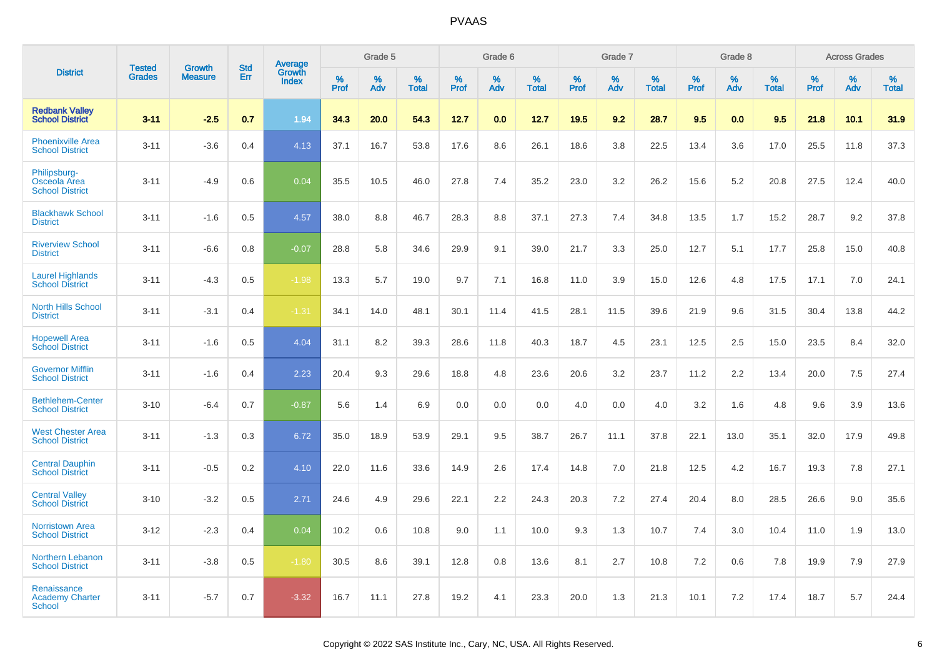|                                                        | <b>Tested</b> | <b>Growth</b>  | <b>Std</b> | Average                |              | Grade 5  |                   |              | Grade 6  |                   |              | Grade 7  |                   |              | Grade 8  |                   |              | <b>Across Grades</b> |                   |
|--------------------------------------------------------|---------------|----------------|------------|------------------------|--------------|----------|-------------------|--------------|----------|-------------------|--------------|----------|-------------------|--------------|----------|-------------------|--------------|----------------------|-------------------|
| <b>District</b>                                        | <b>Grades</b> | <b>Measure</b> | Err        | Growth<br><b>Index</b> | $\%$<br>Prof | %<br>Adv | %<br><b>Total</b> | $\%$<br>Prof | %<br>Adv | %<br><b>Total</b> | $\%$<br>Prof | %<br>Adv | %<br><b>Total</b> | $\%$<br>Prof | %<br>Adv | %<br><b>Total</b> | $\%$<br>Prof | %<br>Adv             | %<br><b>Total</b> |
| <b>Redbank Valley</b><br><b>School District</b>        | $3 - 11$      | $-2.5$         | 0.7        | 1.94                   | 34.3         | 20.0     | 54.3              | 12.7         | 0.0      | 12.7              | 19.5         | 9.2      | 28.7              | 9.5          | 0.0      | 9.5               | 21.8         | 10.1                 | 31.9              |
| <b>Phoenixville Area</b><br><b>School District</b>     | $3 - 11$      | $-3.6$         | 0.4        | 4.13                   | 37.1         | 16.7     | 53.8              | 17.6         | 8.6      | 26.1              | 18.6         | 3.8      | 22.5              | 13.4         | 3.6      | 17.0              | 25.5         | 11.8                 | 37.3              |
| Philipsburg-<br>Osceola Area<br><b>School District</b> | $3 - 11$      | $-4.9$         | 0.6        | 0.04                   | 35.5         | 10.5     | 46.0              | 27.8         | 7.4      | 35.2              | 23.0         | 3.2      | 26.2              | 15.6         | 5.2      | 20.8              | 27.5         | 12.4                 | 40.0              |
| <b>Blackhawk School</b><br><b>District</b>             | $3 - 11$      | $-1.6$         | 0.5        | 4.57                   | 38.0         | 8.8      | 46.7              | 28.3         | 8.8      | 37.1              | 27.3         | 7.4      | 34.8              | 13.5         | 1.7      | 15.2              | 28.7         | 9.2                  | 37.8              |
| <b>Riverview School</b><br><b>District</b>             | $3 - 11$      | $-6.6$         | 0.8        | $-0.07$                | 28.8         | 5.8      | 34.6              | 29.9         | 9.1      | 39.0              | 21.7         | 3.3      | 25.0              | 12.7         | 5.1      | 17.7              | 25.8         | 15.0                 | 40.8              |
| <b>Laurel Highlands</b><br><b>School District</b>      | $3 - 11$      | $-4.3$         | 0.5        | $-1.98$                | 13.3         | 5.7      | 19.0              | 9.7          | 7.1      | 16.8              | 11.0         | 3.9      | 15.0              | 12.6         | 4.8      | 17.5              | 17.1         | 7.0                  | 24.1              |
| <b>North Hills School</b><br><b>District</b>           | $3 - 11$      | $-3.1$         | 0.4        | $-1.31$                | 34.1         | 14.0     | 48.1              | 30.1         | 11.4     | 41.5              | 28.1         | 11.5     | 39.6              | 21.9         | 9.6      | 31.5              | 30.4         | 13.8                 | 44.2              |
| <b>Hopewell Area</b><br><b>School District</b>         | $3 - 11$      | $-1.6$         | 0.5        | 4.04                   | 31.1         | 8.2      | 39.3              | 28.6         | 11.8     | 40.3              | 18.7         | 4.5      | 23.1              | 12.5         | 2.5      | 15.0              | 23.5         | 8.4                  | 32.0              |
| <b>Governor Mifflin</b><br><b>School District</b>      | $3 - 11$      | $-1.6$         | 0.4        | 2.23                   | 20.4         | 9.3      | 29.6              | 18.8         | 4.8      | 23.6              | 20.6         | 3.2      | 23.7              | 11.2         | 2.2      | 13.4              | 20.0         | 7.5                  | 27.4              |
| <b>Bethlehem-Center</b><br><b>School District</b>      | $3 - 10$      | $-6.4$         | 0.7        | $-0.87$                | 5.6          | 1.4      | 6.9               | 0.0          | 0.0      | 0.0               | 4.0          | 0.0      | 4.0               | 3.2          | 1.6      | 4.8               | 9.6          | 3.9                  | 13.6              |
| <b>West Chester Area</b><br><b>School District</b>     | $3 - 11$      | $-1.3$         | 0.3        | 6.72                   | 35.0         | 18.9     | 53.9              | 29.1         | 9.5      | 38.7              | 26.7         | 11.1     | 37.8              | 22.1         | 13.0     | 35.1              | 32.0         | 17.9                 | 49.8              |
| <b>Central Dauphin</b><br><b>School District</b>       | $3 - 11$      | $-0.5$         | 0.2        | 4.10                   | 22.0         | 11.6     | 33.6              | 14.9         | 2.6      | 17.4              | 14.8         | 7.0      | 21.8              | 12.5         | 4.2      | 16.7              | 19.3         | 7.8                  | 27.1              |
| <b>Central Valley</b><br><b>School District</b>        | $3 - 10$      | $-3.2$         | 0.5        | 2.71                   | 24.6         | 4.9      | 29.6              | 22.1         | 2.2      | 24.3              | 20.3         | 7.2      | 27.4              | 20.4         | 8.0      | 28.5              | 26.6         | 9.0                  | 35.6              |
| <b>Norristown Area</b><br><b>School District</b>       | $3 - 12$      | $-2.3$         | 0.4        | 0.04                   | 10.2         | 0.6      | 10.8              | 9.0          | 1.1      | 10.0              | 9.3          | 1.3      | 10.7              | 7.4          | 3.0      | 10.4              | 11.0         | 1.9                  | 13.0              |
| Northern Lebanon<br><b>School District</b>             | $3 - 11$      | $-3.8$         | 0.5        | $-1.80$                | 30.5         | 8.6      | 39.1              | 12.8         | 0.8      | 13.6              | 8.1          | 2.7      | 10.8              | 7.2          | 0.6      | 7.8               | 19.9         | 7.9                  | 27.9              |
| Renaissance<br><b>Academy Charter</b><br>School        | $3 - 11$      | $-5.7$         | 0.7        | $-3.32$                | 16.7         | 11.1     | 27.8              | 19.2         | 4.1      | 23.3              | 20.0         | 1.3      | 21.3              | 10.1         | 7.2      | 17.4              | 18.7         | 5.7                  | 24.4              |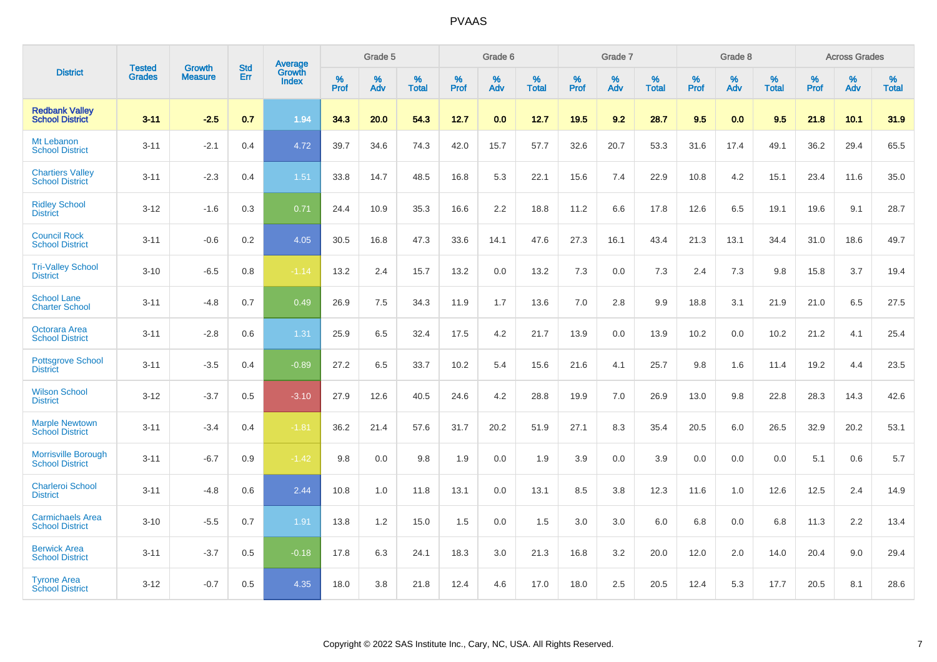|                                                      |                                |                                 | <b>Std</b> | <b>Average</b>         |           | Grade 5  |                   |           | Grade 6  |                   |           | Grade 7  |                   |           | Grade 8  |                   |           | <b>Across Grades</b> |            |
|------------------------------------------------------|--------------------------------|---------------------------------|------------|------------------------|-----------|----------|-------------------|-----------|----------|-------------------|-----------|----------|-------------------|-----------|----------|-------------------|-----------|----------------------|------------|
| <b>District</b>                                      | <b>Tested</b><br><b>Grades</b> | <b>Growth</b><br><b>Measure</b> | Err        | Growth<br><b>Index</b> | %<br>Prof | %<br>Adv | %<br><b>Total</b> | %<br>Prof | %<br>Adv | %<br><b>Total</b> | %<br>Prof | %<br>Adv | %<br><b>Total</b> | %<br>Prof | %<br>Adv | %<br><b>Total</b> | %<br>Prof | %<br>Adv             | %<br>Total |
| <b>Redbank Valley</b><br><b>School District</b>      | $3 - 11$                       | $-2.5$                          | 0.7        | 1.94                   | 34.3      | 20.0     | 54.3              | 12.7      | 0.0      | 12.7              | 19.5      | 9.2      | 28.7              | 9.5       | 0.0      | 9.5               | 21.8      | 10.1                 | 31.9       |
| Mt Lebanon<br><b>School District</b>                 | $3 - 11$                       | $-2.1$                          | 0.4        | 4.72                   | 39.7      | 34.6     | 74.3              | 42.0      | 15.7     | 57.7              | 32.6      | 20.7     | 53.3              | 31.6      | 17.4     | 49.1              | 36.2      | 29.4                 | 65.5       |
| <b>Chartiers Valley</b><br><b>School District</b>    | $3 - 11$                       | $-2.3$                          | 0.4        | 1.51                   | 33.8      | 14.7     | 48.5              | 16.8      | 5.3      | 22.1              | 15.6      | 7.4      | 22.9              | 10.8      | 4.2      | 15.1              | 23.4      | 11.6                 | 35.0       |
| <b>Ridley School</b><br><b>District</b>              | $3 - 12$                       | $-1.6$                          | 0.3        | 0.71                   | 24.4      | 10.9     | 35.3              | 16.6      | 2.2      | 18.8              | 11.2      | 6.6      | 17.8              | 12.6      | 6.5      | 19.1              | 19.6      | 9.1                  | 28.7       |
| <b>Council Rock</b><br><b>School District</b>        | $3 - 11$                       | $-0.6$                          | 0.2        | 4.05                   | 30.5      | 16.8     | 47.3              | 33.6      | 14.1     | 47.6              | 27.3      | 16.1     | 43.4              | 21.3      | 13.1     | 34.4              | 31.0      | 18.6                 | 49.7       |
| <b>Tri-Valley School</b><br><b>District</b>          | $3 - 10$                       | $-6.5$                          | 0.8        | $-1.14$                | 13.2      | 2.4      | 15.7              | 13.2      | 0.0      | 13.2              | 7.3       | 0.0      | 7.3               | 2.4       | 7.3      | 9.8               | 15.8      | 3.7                  | 19.4       |
| <b>School Lane</b><br><b>Charter School</b>          | $3 - 11$                       | $-4.8$                          | 0.7        | 0.49                   | 26.9      | 7.5      | 34.3              | 11.9      | 1.7      | 13.6              | 7.0       | 2.8      | 9.9               | 18.8      | 3.1      | 21.9              | 21.0      | 6.5                  | 27.5       |
| Octorara Area<br><b>School District</b>              | $3 - 11$                       | $-2.8$                          | 0.6        | 1.31                   | 25.9      | 6.5      | 32.4              | 17.5      | 4.2      | 21.7              | 13.9      | 0.0      | 13.9              | 10.2      | 0.0      | 10.2              | 21.2      | 4.1                  | 25.4       |
| <b>Pottsgrove School</b><br><b>District</b>          | $3 - 11$                       | $-3.5$                          | 0.4        | $-0.89$                | 27.2      | 6.5      | 33.7              | 10.2      | 5.4      | 15.6              | 21.6      | 4.1      | 25.7              | 9.8       | 1.6      | 11.4              | 19.2      | 4.4                  | 23.5       |
| <b>Wilson School</b><br><b>District</b>              | $3 - 12$                       | $-3.7$                          | 0.5        | $-3.10$                | 27.9      | 12.6     | 40.5              | 24.6      | 4.2      | 28.8              | 19.9      | 7.0      | 26.9              | 13.0      | 9.8      | 22.8              | 28.3      | 14.3                 | 42.6       |
| <b>Marple Newtown</b><br><b>School District</b>      | $3 - 11$                       | $-3.4$                          | 0.4        | $-1.81$                | 36.2      | 21.4     | 57.6              | 31.7      | 20.2     | 51.9              | 27.1      | 8.3      | 35.4              | 20.5      | 6.0      | 26.5              | 32.9      | 20.2                 | 53.1       |
| <b>Morrisville Borough</b><br><b>School District</b> | $3 - 11$                       | $-6.7$                          | 0.9        | $-1.42$                | 9.8       | 0.0      | 9.8               | 1.9       | 0.0      | 1.9               | 3.9       | 0.0      | 3.9               | 0.0       | 0.0      | 0.0               | 5.1       | 0.6                  | 5.7        |
| Charleroi School<br><b>District</b>                  | $3 - 11$                       | $-4.8$                          | 0.6        | 2.44                   | 10.8      | 1.0      | 11.8              | 13.1      | 0.0      | 13.1              | 8.5       | 3.8      | 12.3              | 11.6      | 1.0      | 12.6              | 12.5      | 2.4                  | 14.9       |
| <b>Carmichaels Area</b><br><b>School District</b>    | $3 - 10$                       | $-5.5$                          | 0.7        | 1.91                   | 13.8      | 1.2      | 15.0              | 1.5       | 0.0      | 1.5               | 3.0       | 3.0      | 6.0               | 6.8       | 0.0      | 6.8               | 11.3      | 2.2                  | 13.4       |
| <b>Berwick Area</b><br><b>School District</b>        | $3 - 11$                       | $-3.7$                          | 0.5        | $-0.18$                | 17.8      | 6.3      | 24.1              | 18.3      | 3.0      | 21.3              | 16.8      | 3.2      | 20.0              | 12.0      | 2.0      | 14.0              | 20.4      | 9.0                  | 29.4       |
| <b>Tyrone Area</b><br><b>School District</b>         | $3 - 12$                       | $-0.7$                          | 0.5        | 4.35                   | 18.0      | 3.8      | 21.8              | 12.4      | 4.6      | 17.0              | 18.0      | 2.5      | 20.5              | 12.4      | 5.3      | 17.7              | 20.5      | 8.1                  | 28.6       |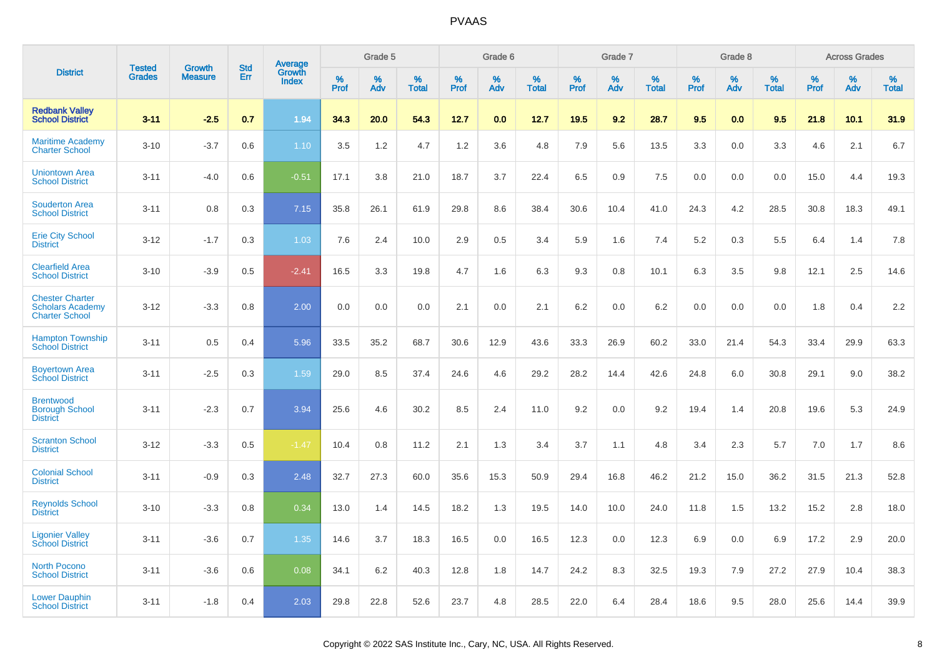|                                                                            | <b>Tested</b> | <b>Growth</b>  | <b>Std</b> | Average                |              | Grade 5  |                   |              | Grade 6  |                   |              | Grade 7  |                   |              | Grade 8  |                   |              | <b>Across Grades</b> |                   |
|----------------------------------------------------------------------------|---------------|----------------|------------|------------------------|--------------|----------|-------------------|--------------|----------|-------------------|--------------|----------|-------------------|--------------|----------|-------------------|--------------|----------------------|-------------------|
| <b>District</b>                                                            | <b>Grades</b> | <b>Measure</b> | Err        | Growth<br><b>Index</b> | $\%$<br>Prof | %<br>Adv | %<br><b>Total</b> | $\%$<br>Prof | %<br>Adv | %<br><b>Total</b> | $\%$<br>Prof | %<br>Adv | %<br><b>Total</b> | $\%$<br>Prof | %<br>Adv | %<br><b>Total</b> | $\%$<br>Prof | %<br>Adv             | %<br><b>Total</b> |
| <b>Redbank Valley</b><br><b>School District</b>                            | $3 - 11$      | $-2.5$         | 0.7        | 1.94                   | 34.3         | 20.0     | 54.3              | 12.7         | 0.0      | 12.7              | 19.5         | 9.2      | 28.7              | 9.5          | 0.0      | 9.5               | 21.8         | 10.1                 | 31.9              |
| <b>Maritime Academy</b><br><b>Charter School</b>                           | $3 - 10$      | $-3.7$         | 0.6        | 1.10                   | 3.5          | 1.2      | 4.7               | 1.2          | 3.6      | 4.8               | 7.9          | 5.6      | 13.5              | 3.3          | 0.0      | 3.3               | 4.6          | 2.1                  | 6.7               |
| <b>Uniontown Area</b><br><b>School District</b>                            | $3 - 11$      | $-4.0$         | 0.6        | $-0.51$                | 17.1         | 3.8      | 21.0              | 18.7         | 3.7      | 22.4              | 6.5          | 0.9      | 7.5               | 0.0          | 0.0      | 0.0               | 15.0         | 4.4                  | 19.3              |
| <b>Souderton Area</b><br><b>School District</b>                            | $3 - 11$      | 0.8            | 0.3        | 7.15                   | 35.8         | 26.1     | 61.9              | 29.8         | 8.6      | 38.4              | 30.6         | 10.4     | 41.0              | 24.3         | 4.2      | 28.5              | 30.8         | 18.3                 | 49.1              |
| <b>Erie City School</b><br><b>District</b>                                 | $3 - 12$      | $-1.7$         | 0.3        | 1.03                   | 7.6          | 2.4      | 10.0              | 2.9          | 0.5      | 3.4               | 5.9          | 1.6      | 7.4               | 5.2          | 0.3      | 5.5               | 6.4          | 1.4                  | 7.8               |
| <b>Clearfield Area</b><br><b>School District</b>                           | $3 - 10$      | $-3.9$         | 0.5        | $-2.41$                | 16.5         | 3.3      | 19.8              | 4.7          | 1.6      | 6.3               | 9.3          | 0.8      | 10.1              | 6.3          | 3.5      | 9.8               | 12.1         | 2.5                  | 14.6              |
| <b>Chester Charter</b><br><b>Scholars Academy</b><br><b>Charter School</b> | $3 - 12$      | $-3.3$         | 0.8        | 2.00                   | 0.0          | 0.0      | 0.0               | 2.1          | 0.0      | 2.1               | 6.2          | 0.0      | 6.2               | 0.0          | 0.0      | 0.0               | 1.8          | 0.4                  | 2.2               |
| <b>Hampton Township</b><br><b>School District</b>                          | $3 - 11$      | 0.5            | 0.4        | 5.96                   | 33.5         | 35.2     | 68.7              | 30.6         | 12.9     | 43.6              | 33.3         | 26.9     | 60.2              | 33.0         | 21.4     | 54.3              | 33.4         | 29.9                 | 63.3              |
| <b>Boyertown Area</b><br><b>School District</b>                            | $3 - 11$      | $-2.5$         | 0.3        | 1.59                   | 29.0         | 8.5      | 37.4              | 24.6         | 4.6      | 29.2              | 28.2         | 14.4     | 42.6              | 24.8         | 6.0      | 30.8              | 29.1         | 9.0                  | 38.2              |
| <b>Brentwood</b><br><b>Borough School</b><br><b>District</b>               | $3 - 11$      | $-2.3$         | 0.7        | 3.94                   | 25.6         | 4.6      | 30.2              | 8.5          | 2.4      | 11.0              | 9.2          | 0.0      | 9.2               | 19.4         | 1.4      | 20.8              | 19.6         | 5.3                  | 24.9              |
| <b>Scranton School</b><br><b>District</b>                                  | $3 - 12$      | $-3.3$         | 0.5        | $-1.47$                | 10.4         | 0.8      | 11.2              | 2.1          | 1.3      | 3.4               | 3.7          | 1.1      | 4.8               | 3.4          | 2.3      | 5.7               | 7.0          | 1.7                  | 8.6               |
| <b>Colonial School</b><br><b>District</b>                                  | $3 - 11$      | $-0.9$         | 0.3        | 2.48                   | 32.7         | 27.3     | 60.0              | 35.6         | 15.3     | 50.9              | 29.4         | 16.8     | 46.2              | 21.2         | 15.0     | 36.2              | 31.5         | 21.3                 | 52.8              |
| <b>Reynolds School</b><br><b>District</b>                                  | $3 - 10$      | $-3.3$         | 0.8        | 0.34                   | 13.0         | 1.4      | 14.5              | 18.2         | 1.3      | 19.5              | 14.0         | 10.0     | 24.0              | 11.8         | 1.5      | 13.2              | 15.2         | 2.8                  | 18.0              |
| <b>Ligonier Valley</b><br><b>School District</b>                           | $3 - 11$      | $-3.6$         | 0.7        | 1.35                   | 14.6         | 3.7      | 18.3              | 16.5         | 0.0      | 16.5              | 12.3         | 0.0      | 12.3              | 6.9          | 0.0      | 6.9               | 17.2         | 2.9                  | 20.0              |
| <b>North Pocono</b><br><b>School District</b>                              | $3 - 11$      | $-3.6$         | 0.6        | 0.08                   | 34.1         | 6.2      | 40.3              | 12.8         | 1.8      | 14.7              | 24.2         | 8.3      | 32.5              | 19.3         | 7.9      | 27.2              | 27.9         | 10.4                 | 38.3              |
| <b>Lower Dauphin</b><br><b>School District</b>                             | $3 - 11$      | $-1.8$         | 0.4        | 2.03                   | 29.8         | 22.8     | 52.6              | 23.7         | 4.8      | 28.5              | 22.0         | 6.4      | 28.4              | 18.6         | 9.5      | 28.0              | 25.6         | 14.4                 | 39.9              |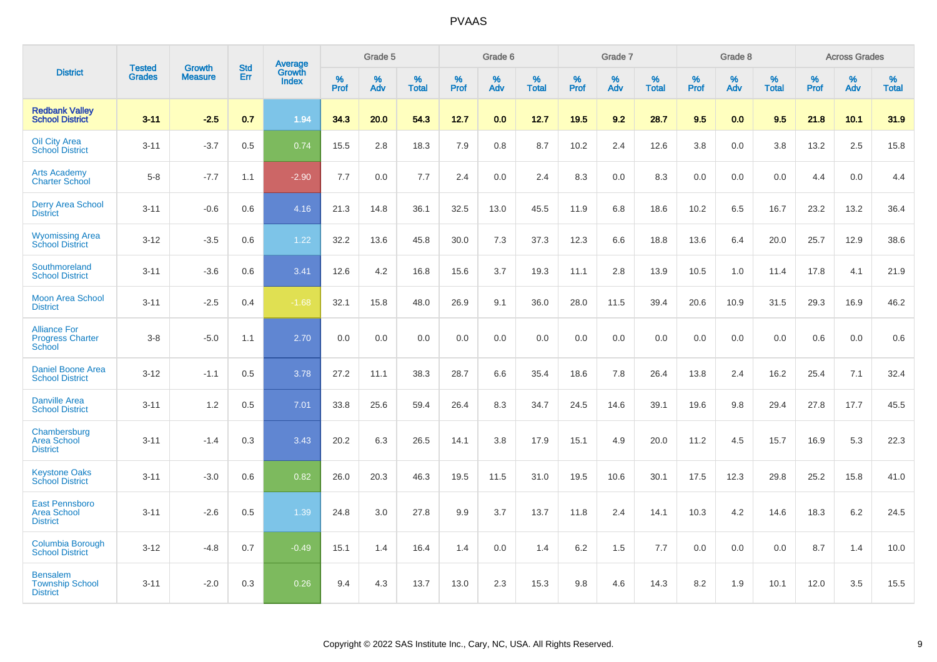|                                                                |                                |                                 | <b>Std</b> | Average                |           | Grade 5  |                   |           | Grade 6  |                   |           | Grade 7  |                      |              | Grade 8  |                   |           | <b>Across Grades</b> |                   |
|----------------------------------------------------------------|--------------------------------|---------------------------------|------------|------------------------|-----------|----------|-------------------|-----------|----------|-------------------|-----------|----------|----------------------|--------------|----------|-------------------|-----------|----------------------|-------------------|
| <b>District</b>                                                | <b>Tested</b><br><b>Grades</b> | <b>Growth</b><br><b>Measure</b> | Err        | Growth<br><b>Index</b> | %<br>Prof | %<br>Adv | %<br><b>Total</b> | %<br>Prof | %<br>Adv | %<br><b>Total</b> | %<br>Prof | %<br>Adv | $\%$<br><b>Total</b> | $\%$<br>Prof | %<br>Adv | %<br><b>Total</b> | %<br>Prof | %<br>Adv             | %<br><b>Total</b> |
| <b>Redbank Valley</b><br><b>School District</b>                | $3 - 11$                       | $-2.5$                          | 0.7        | 1.94                   | 34.3      | 20.0     | 54.3              | 12.7      | 0.0      | 12.7              | 19.5      | 9.2      | 28.7                 | 9.5          | 0.0      | 9.5               | 21.8      | 10.1                 | 31.9              |
| <b>Oil City Area</b><br><b>School District</b>                 | $3 - 11$                       | $-3.7$                          | 0.5        | 0.74                   | 15.5      | 2.8      | 18.3              | 7.9       | 0.8      | 8.7               | 10.2      | 2.4      | 12.6                 | 3.8          | 0.0      | 3.8               | 13.2      | 2.5                  | 15.8              |
| <b>Arts Academy</b><br><b>Charter School</b>                   | $5-8$                          | $-7.7$                          | 1.1        | $-2.90$                | 7.7       | 0.0      | 7.7               | 2.4       | 0.0      | 2.4               | 8.3       | 0.0      | 8.3                  | 0.0          | 0.0      | 0.0               | 4.4       | 0.0                  | 4.4               |
| <b>Derry Area School</b><br><b>District</b>                    | $3 - 11$                       | $-0.6$                          | 0.6        | 4.16                   | 21.3      | 14.8     | 36.1              | 32.5      | 13.0     | 45.5              | 11.9      | 6.8      | 18.6                 | 10.2         | 6.5      | 16.7              | 23.2      | 13.2                 | 36.4              |
| <b>Wyomissing Area</b><br><b>School District</b>               | $3 - 12$                       | $-3.5$                          | 0.6        | 1.22                   | 32.2      | 13.6     | 45.8              | 30.0      | 7.3      | 37.3              | 12.3      | 6.6      | 18.8                 | 13.6         | 6.4      | 20.0              | 25.7      | 12.9                 | 38.6              |
| Southmoreland<br><b>School District</b>                        | $3 - 11$                       | $-3.6$                          | 0.6        | 3.41                   | 12.6      | 4.2      | 16.8              | 15.6      | 3.7      | 19.3              | 11.1      | 2.8      | 13.9                 | 10.5         | 1.0      | 11.4              | 17.8      | 4.1                  | 21.9              |
| <b>Moon Area School</b><br><b>District</b>                     | $3 - 11$                       | $-2.5$                          | 0.4        | $-1.68$                | 32.1      | 15.8     | 48.0              | 26.9      | 9.1      | 36.0              | 28.0      | 11.5     | 39.4                 | 20.6         | 10.9     | 31.5              | 29.3      | 16.9                 | 46.2              |
| <b>Alliance For</b><br><b>Progress Charter</b><br>School       | $3 - 8$                        | $-5.0$                          | 1.1        | 2.70                   | 0.0       | 0.0      | 0.0               | 0.0       | 0.0      | 0.0               | 0.0       | 0.0      | 0.0                  | 0.0          | 0.0      | 0.0               | 0.6       | 0.0                  | 0.6               |
| <b>Daniel Boone Area</b><br><b>School District</b>             | $3 - 12$                       | $-1.1$                          | 0.5        | 3.78                   | 27.2      | 11.1     | 38.3              | 28.7      | 6.6      | 35.4              | 18.6      | 7.8      | 26.4                 | 13.8         | 2.4      | 16.2              | 25.4      | 7.1                  | 32.4              |
| <b>Danville Area</b><br><b>School District</b>                 | $3 - 11$                       | 1.2                             | 0.5        | 7.01                   | 33.8      | 25.6     | 59.4              | 26.4      | 8.3      | 34.7              | 24.5      | 14.6     | 39.1                 | 19.6         | 9.8      | 29.4              | 27.8      | 17.7                 | 45.5              |
| Chambersburg<br><b>Area School</b><br><b>District</b>          | $3 - 11$                       | $-1.4$                          | 0.3        | 3.43                   | 20.2      | 6.3      | 26.5              | 14.1      | 3.8      | 17.9              | 15.1      | 4.9      | 20.0                 | 11.2         | 4.5      | 15.7              | 16.9      | 5.3                  | 22.3              |
| <b>Keystone Oaks</b><br><b>School District</b>                 | $3 - 11$                       | $-3.0$                          | 0.6        | 0.82                   | 26.0      | 20.3     | 46.3              | 19.5      | 11.5     | 31.0              | 19.5      | 10.6     | 30.1                 | 17.5         | 12.3     | 29.8              | 25.2      | 15.8                 | 41.0              |
| <b>East Pennsboro</b><br><b>Area School</b><br><b>District</b> | $3 - 11$                       | $-2.6$                          | 0.5        | 1.39                   | 24.8      | 3.0      | 27.8              | 9.9       | 3.7      | 13.7              | 11.8      | 2.4      | 14.1                 | 10.3         | 4.2      | 14.6              | 18.3      | $6.2\,$              | 24.5              |
| Columbia Borough<br><b>School District</b>                     | $3 - 12$                       | $-4.8$                          | 0.7        | $-0.49$                | 15.1      | 1.4      | 16.4              | 1.4       | 0.0      | 1.4               | 6.2       | 1.5      | 7.7                  | 0.0          | 0.0      | 0.0               | 8.7       | 1.4                  | 10.0              |
| <b>Bensalem</b><br><b>Township School</b><br><b>District</b>   | $3 - 11$                       | $-2.0$                          | 0.3        | 0.26                   | 9.4       | 4.3      | 13.7              | 13.0      | 2.3      | 15.3              | 9.8       | 4.6      | 14.3                 | 8.2          | 1.9      | 10.1              | 12.0      | 3.5                  | 15.5              |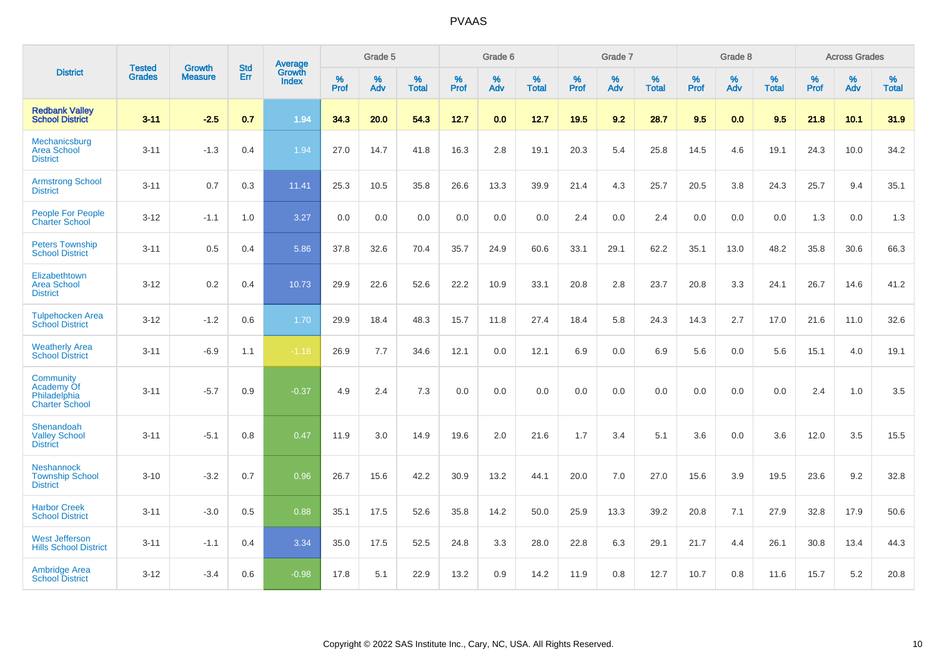|                                                                  | <b>Tested</b> |                          | <b>Std</b> | Average                |           | Grade 5  |                   |           | Grade 6  |                   |           | Grade 7  |                   |           | Grade 8  |                   |           | <b>Across Grades</b> |                   |
|------------------------------------------------------------------|---------------|--------------------------|------------|------------------------|-----------|----------|-------------------|-----------|----------|-------------------|-----------|----------|-------------------|-----------|----------|-------------------|-----------|----------------------|-------------------|
| <b>District</b>                                                  | <b>Grades</b> | Growth<br><b>Measure</b> | Err        | Growth<br><b>Index</b> | %<br>Prof | %<br>Adv | %<br><b>Total</b> | %<br>Prof | %<br>Adv | %<br><b>Total</b> | %<br>Prof | %<br>Adv | %<br><b>Total</b> | %<br>Prof | %<br>Adv | %<br><b>Total</b> | %<br>Prof | %<br>Adv             | %<br><b>Total</b> |
| <b>Redbank Valley</b><br><b>School District</b>                  | $3 - 11$      | $-2.5$                   | 0.7        | 1.94                   | 34.3      | 20.0     | 54.3              | 12.7      | 0.0      | 12.7              | 19.5      | 9.2      | 28.7              | 9.5       | 0.0      | 9.5               | 21.8      | 10.1                 | 31.9              |
| Mechanicsburg<br><b>Area School</b><br><b>District</b>           | $3 - 11$      | $-1.3$                   | 0.4        | 1.94                   | 27.0      | 14.7     | 41.8              | 16.3      | 2.8      | 19.1              | 20.3      | 5.4      | 25.8              | 14.5      | 4.6      | 19.1              | 24.3      | 10.0                 | 34.2              |
| <b>Armstrong School</b><br><b>District</b>                       | $3 - 11$      | 0.7                      | 0.3        | 11.41                  | 25.3      | 10.5     | 35.8              | 26.6      | 13.3     | 39.9              | 21.4      | 4.3      | 25.7              | 20.5      | 3.8      | 24.3              | 25.7      | 9.4                  | 35.1              |
| People For People<br><b>Charter School</b>                       | $3 - 12$      | $-1.1$                   | 1.0        | 3.27                   | 0.0       | 0.0      | 0.0               | 0.0       | 0.0      | 0.0               | 2.4       | 0.0      | 2.4               | 0.0       | 0.0      | 0.0               | 1.3       | 0.0                  | 1.3               |
| <b>Peters Township</b><br><b>School District</b>                 | $3 - 11$      | 0.5                      | 0.4        | 5.86                   | 37.8      | 32.6     | 70.4              | 35.7      | 24.9     | 60.6              | 33.1      | 29.1     | 62.2              | 35.1      | 13.0     | 48.2              | 35.8      | 30.6                 | 66.3              |
| Elizabethtown<br><b>Area School</b><br><b>District</b>           | $3 - 12$      | 0.2                      | 0.4        | 10.73                  | 29.9      | 22.6     | 52.6              | 22.2      | 10.9     | 33.1              | 20.8      | 2.8      | 23.7              | 20.8      | 3.3      | 24.1              | 26.7      | 14.6                 | 41.2              |
| <b>Tulpehocken Area</b><br><b>School District</b>                | $3 - 12$      | $-1.2$                   | 0.6        | 1.70                   | 29.9      | 18.4     | 48.3              | 15.7      | 11.8     | 27.4              | 18.4      | 5.8      | 24.3              | 14.3      | 2.7      | 17.0              | 21.6      | 11.0                 | 32.6              |
| <b>Weatherly Area</b><br><b>School District</b>                  | $3 - 11$      | $-6.9$                   | 1.1        | $-1.18$                | 26.9      | 7.7      | 34.6              | 12.1      | 0.0      | 12.1              | 6.9       | 0.0      | 6.9               | 5.6       | 0.0      | 5.6               | 15.1      | 4.0                  | 19.1              |
| Community<br>Academy Of<br>Philadelphia<br><b>Charter School</b> | $3 - 11$      | $-5.7$                   | 0.9        | $-0.37$                | 4.9       | 2.4      | 7.3               | 0.0       | 0.0      | 0.0               | 0.0       | 0.0      | 0.0               | 0.0       | 0.0      | 0.0               | 2.4       | 1.0                  | 3.5               |
| Shenandoah<br><b>Valley School</b><br><b>District</b>            | $3 - 11$      | $-5.1$                   | 0.8        | 0.47                   | 11.9      | 3.0      | 14.9              | 19.6      | 2.0      | 21.6              | 1.7       | 3.4      | 5.1               | 3.6       | 0.0      | 3.6               | 12.0      | 3.5                  | 15.5              |
| <b>Neshannock</b><br><b>Township School</b><br><b>District</b>   | $3 - 10$      | $-3.2$                   | 0.7        | 0.96                   | 26.7      | 15.6     | 42.2              | 30.9      | 13.2     | 44.1              | 20.0      | 7.0      | 27.0              | 15.6      | 3.9      | 19.5              | 23.6      | 9.2                  | 32.8              |
| <b>Harbor Creek</b><br><b>School District</b>                    | $3 - 11$      | $-3.0$                   | 0.5        | 0.88                   | 35.1      | 17.5     | 52.6              | 35.8      | 14.2     | 50.0              | 25.9      | 13.3     | 39.2              | 20.8      | 7.1      | 27.9              | 32.8      | 17.9                 | 50.6              |
| <b>West Jefferson</b><br><b>Hills School District</b>            | $3 - 11$      | $-1.1$                   | 0.4        | 3.34                   | 35.0      | 17.5     | 52.5              | 24.8      | 3.3      | 28.0              | 22.8      | 6.3      | 29.1              | 21.7      | 4.4      | 26.1              | 30.8      | 13.4                 | 44.3              |
| <b>Ambridge Area</b><br><b>School District</b>                   | $3 - 12$      | $-3.4$                   | 0.6        | $-0.98$                | 17.8      | 5.1      | 22.9              | 13.2      | 0.9      | 14.2              | 11.9      | 0.8      | 12.7              | 10.7      | 0.8      | 11.6              | 15.7      | 5.2                  | 20.8              |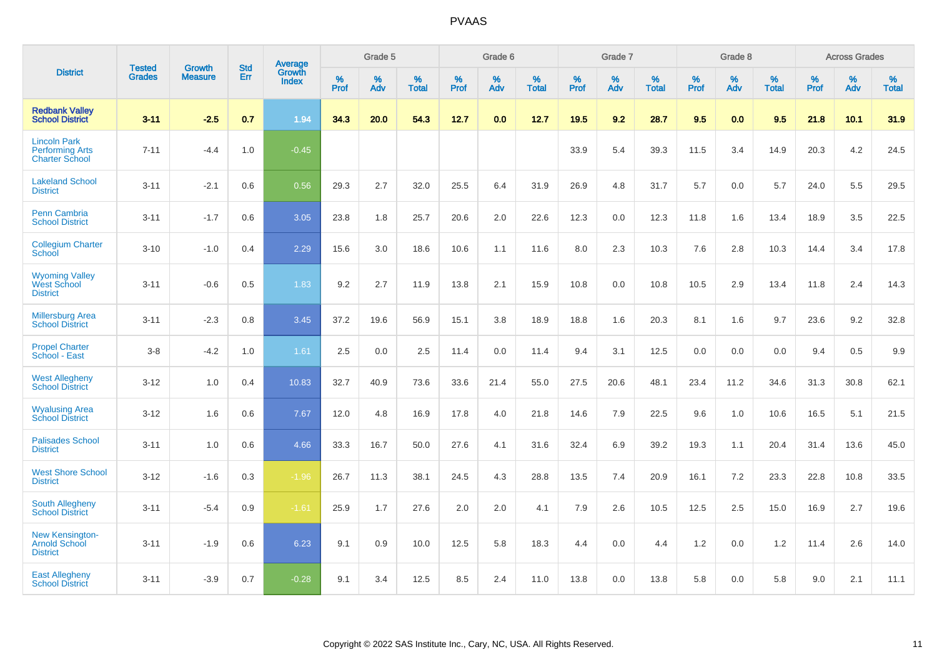|                                                                        | <b>Tested</b> | <b>Growth</b>  | <b>Std</b> | Average                       |              | Grade 5  |                   |           | Grade 6  |                   |           | Grade 7  |                   |           | Grade 8  |                   |           | <b>Across Grades</b> |                   |
|------------------------------------------------------------------------|---------------|----------------|------------|-------------------------------|--------------|----------|-------------------|-----------|----------|-------------------|-----------|----------|-------------------|-----------|----------|-------------------|-----------|----------------------|-------------------|
| <b>District</b>                                                        | <b>Grades</b> | <b>Measure</b> | Err        | <b>Growth</b><br><b>Index</b> | $\%$<br>Prof | %<br>Adv | %<br><b>Total</b> | %<br>Prof | %<br>Adv | %<br><b>Total</b> | %<br>Prof | %<br>Adv | %<br><b>Total</b> | %<br>Prof | %<br>Adv | %<br><b>Total</b> | %<br>Prof | %<br>Adv             | %<br><b>Total</b> |
| <b>Redbank Valley</b><br><b>School District</b>                        | $3 - 11$      | $-2.5$         | 0.7        | 1.94                          | 34.3         | 20.0     | 54.3              | 12.7      | 0.0      | 12.7              | 19.5      | 9.2      | 28.7              | 9.5       | 0.0      | 9.5               | 21.8      | 10.1                 | 31.9              |
| <b>Lincoln Park</b><br><b>Performing Arts</b><br><b>Charter School</b> | $7 - 11$      | $-4.4$         | 1.0        | $-0.45$                       |              |          |                   |           |          |                   | 33.9      | 5.4      | 39.3              | 11.5      | 3.4      | 14.9              | 20.3      | 4.2                  | 24.5              |
| <b>Lakeland School</b><br><b>District</b>                              | $3 - 11$      | $-2.1$         | 0.6        | 0.56                          | 29.3         | 2.7      | 32.0              | 25.5      | 6.4      | 31.9              | 26.9      | 4.8      | 31.7              | 5.7       | 0.0      | 5.7               | 24.0      | 5.5                  | 29.5              |
| <b>Penn Cambria</b><br><b>School District</b>                          | $3 - 11$      | $-1.7$         | 0.6        | 3.05                          | 23.8         | 1.8      | 25.7              | 20.6      | 2.0      | 22.6              | 12.3      | 0.0      | 12.3              | 11.8      | 1.6      | 13.4              | 18.9      | 3.5                  | 22.5              |
| <b>Collegium Charter</b><br>School                                     | $3 - 10$      | $-1.0$         | 0.4        | 2.29                          | 15.6         | 3.0      | 18.6              | 10.6      | 1.1      | 11.6              | 8.0       | 2.3      | 10.3              | 7.6       | 2.8      | 10.3              | 14.4      | 3.4                  | 17.8              |
| <b>Wyoming Valley</b><br>West School<br><b>District</b>                | $3 - 11$      | $-0.6$         | 0.5        | 1.83                          | 9.2          | 2.7      | 11.9              | 13.8      | 2.1      | 15.9              | 10.8      | 0.0      | 10.8              | 10.5      | 2.9      | 13.4              | 11.8      | 2.4                  | 14.3              |
| <b>Millersburg Area</b><br><b>School District</b>                      | $3 - 11$      | $-2.3$         | 0.8        | 3.45                          | 37.2         | 19.6     | 56.9              | 15.1      | 3.8      | 18.9              | 18.8      | 1.6      | 20.3              | 8.1       | 1.6      | 9.7               | 23.6      | 9.2                  | 32.8              |
| <b>Propel Charter</b><br>School - East                                 | $3 - 8$       | $-4.2$         | 1.0        | 1.61                          | 2.5          | 0.0      | 2.5               | 11.4      | 0.0      | 11.4              | 9.4       | 3.1      | 12.5              | 0.0       | 0.0      | 0.0               | 9.4       | 0.5                  | 9.9               |
| <b>West Allegheny</b><br><b>School District</b>                        | $3 - 12$      | 1.0            | 0.4        | 10.83                         | 32.7         | 40.9     | 73.6              | 33.6      | 21.4     | 55.0              | 27.5      | 20.6     | 48.1              | 23.4      | 11.2     | 34.6              | 31.3      | 30.8                 | 62.1              |
| <b>Wyalusing Area</b><br><b>School District</b>                        | $3 - 12$      | 1.6            | 0.6        | 7.67                          | 12.0         | 4.8      | 16.9              | 17.8      | 4.0      | 21.8              | 14.6      | 7.9      | 22.5              | 9.6       | 1.0      | 10.6              | 16.5      | 5.1                  | 21.5              |
| <b>Palisades School</b><br><b>District</b>                             | $3 - 11$      | 1.0            | 0.6        | 4.66                          | 33.3         | 16.7     | 50.0              | 27.6      | 4.1      | 31.6              | 32.4      | 6.9      | 39.2              | 19.3      | 1.1      | 20.4              | 31.4      | 13.6                 | 45.0              |
| <b>West Shore School</b><br><b>District</b>                            | $3 - 12$      | $-1.6$         | 0.3        | $-1.96$                       | 26.7         | 11.3     | 38.1              | 24.5      | 4.3      | 28.8              | 13.5      | 7.4      | 20.9              | 16.1      | 7.2      | 23.3              | 22.8      | 10.8                 | 33.5              |
| <b>South Allegheny</b><br><b>School District</b>                       | $3 - 11$      | $-5.4$         | 0.9        | $-1.61$                       | 25.9         | 1.7      | 27.6              | 2.0       | 2.0      | 4.1               | 7.9       | 2.6      | 10.5              | 12.5      | 2.5      | 15.0              | 16.9      | 2.7                  | 19.6              |
| <b>New Kensington-</b><br><b>Arnold School</b><br><b>District</b>      | $3 - 11$      | $-1.9$         | 0.6        | 6.23                          | 9.1          | 0.9      | 10.0              | 12.5      | 5.8      | 18.3              | 4.4       | $0.0\,$  | 4.4               | 1.2       | 0.0      | 1.2               | 11.4      | 2.6                  | 14.0              |
| <b>East Allegheny</b><br><b>School District</b>                        | $3 - 11$      | $-3.9$         | 0.7        | $-0.28$                       | 9.1          | 3.4      | 12.5              | 8.5       | 2.4      | 11.0              | 13.8      | 0.0      | 13.8              | 5.8       | 0.0      | 5.8               | 9.0       | 2.1                  | 11.1              |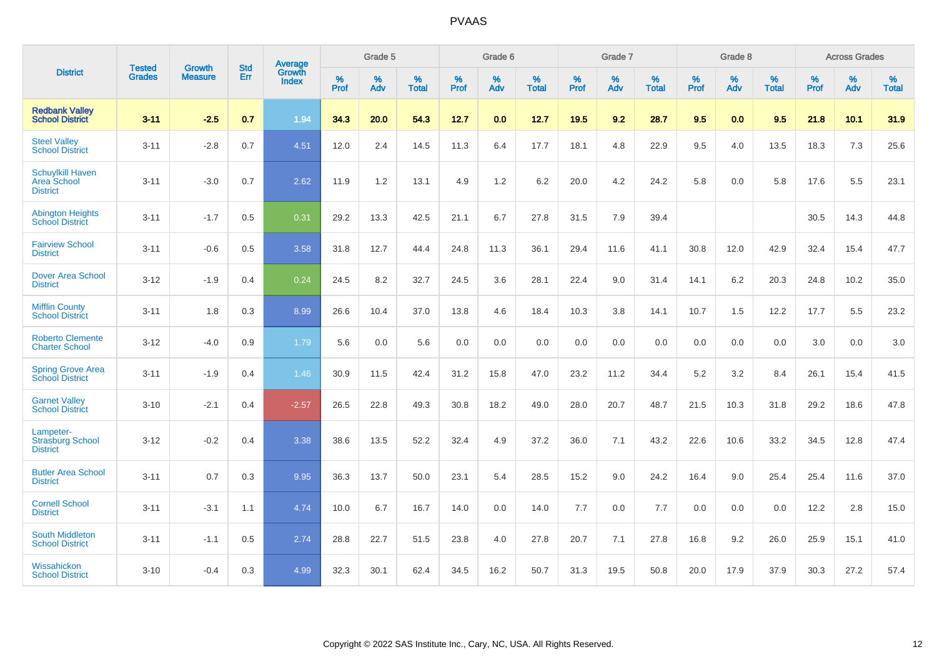|                                                           | <b>Tested</b> | <b>Growth</b>  | <b>Std</b> | Average                |                     | Grade 5  |                   |                     | Grade 6  |                   |              | Grade 7  |                   |                     | Grade 8  |                   |                     | <b>Across Grades</b> |                   |
|-----------------------------------------------------------|---------------|----------------|------------|------------------------|---------------------|----------|-------------------|---------------------|----------|-------------------|--------------|----------|-------------------|---------------------|----------|-------------------|---------------------|----------------------|-------------------|
| <b>District</b>                                           | <b>Grades</b> | <b>Measure</b> | Err        | Growth<br><b>Index</b> | $\%$<br><b>Prof</b> | %<br>Adv | %<br><b>Total</b> | $\%$<br><b>Prof</b> | %<br>Adv | %<br><b>Total</b> | $\%$<br>Prof | %<br>Adv | %<br><b>Total</b> | $\%$<br><b>Prof</b> | %<br>Adv | %<br><b>Total</b> | $\%$<br><b>Prof</b> | %<br>Adv             | %<br><b>Total</b> |
| <b>Redbank Valley</b><br><b>School District</b>           | $3 - 11$      | $-2.5$         | 0.7        | 1.94                   | 34.3                | 20.0     | 54.3              | 12.7                | 0.0      | 12.7              | 19.5         | 9.2      | 28.7              | 9.5                 | 0.0      | 9.5               | 21.8                | $10.1$               | 31.9              |
| <b>Steel Valley</b><br><b>School District</b>             | $3 - 11$      | $-2.8$         | 0.7        | 4.51                   | 12.0                | 2.4      | 14.5              | 11.3                | 6.4      | 17.7              | 18.1         | 4.8      | 22.9              | 9.5                 | 4.0      | 13.5              | 18.3                | $7.3$                | 25.6              |
| <b>Schuylkill Haven</b><br>Area School<br><b>District</b> | $3 - 11$      | $-3.0$         | 0.7        | 2.62                   | 11.9                | 1.2      | 13.1              | 4.9                 | 1.2      | 6.2               | 20.0         | 4.2      | 24.2              | 5.8                 | 0.0      | 5.8               | 17.6                | 5.5                  | 23.1              |
| <b>Abington Heights</b><br><b>School District</b>         | $3 - 11$      | $-1.7$         | 0.5        | 0.31                   | 29.2                | 13.3     | 42.5              | 21.1                | 6.7      | 27.8              | 31.5         | 7.9      | 39.4              |                     |          |                   | 30.5                | 14.3                 | 44.8              |
| <b>Fairview School</b><br><b>District</b>                 | $3 - 11$      | $-0.6$         | 0.5        | 3.58                   | 31.8                | 12.7     | 44.4              | 24.8                | 11.3     | 36.1              | 29.4         | 11.6     | 41.1              | 30.8                | 12.0     | 42.9              | 32.4                | 15.4                 | 47.7              |
| Dover Area School<br><b>District</b>                      | $3 - 12$      | $-1.9$         | 0.4        | 0.24                   | 24.5                | 8.2      | 32.7              | 24.5                | 3.6      | 28.1              | 22.4         | 9.0      | 31.4              | 14.1                | 6.2      | 20.3              | 24.8                | 10.2                 | 35.0              |
| <b>Mifflin County</b><br><b>School District</b>           | $3 - 11$      | 1.8            | 0.3        | 8.99                   | 26.6                | 10.4     | 37.0              | 13.8                | 4.6      | 18.4              | 10.3         | 3.8      | 14.1              | 10.7                | 1.5      | 12.2              | 17.7                | 5.5                  | 23.2              |
| <b>Roberto Clemente</b><br><b>Charter School</b>          | $3 - 12$      | $-4.0$         | 0.9        | 1.79                   | 5.6                 | 0.0      | 5.6               | 0.0                 | 0.0      | 0.0               | 0.0          | 0.0      | 0.0               | 0.0                 | 0.0      | 0.0               | 3.0                 | 0.0                  | 3.0               |
| <b>Spring Grove Area</b><br><b>School District</b>        | $3 - 11$      | $-1.9$         | 0.4        | 1.46                   | 30.9                | 11.5     | 42.4              | 31.2                | 15.8     | 47.0              | 23.2         | 11.2     | 34.4              | 5.2                 | 3.2      | 8.4               | 26.1                | 15.4                 | 41.5              |
| <b>Garnet Valley</b><br><b>School District</b>            | $3 - 10$      | $-2.1$         | 0.4        | $-2.57$                | 26.5                | 22.8     | 49.3              | 30.8                | 18.2     | 49.0              | 28.0         | 20.7     | 48.7              | 21.5                | 10.3     | 31.8              | 29.2                | 18.6                 | 47.8              |
| Lampeter-<br><b>Strasburg School</b><br><b>District</b>   | $3 - 12$      | $-0.2$         | 0.4        | 3.38                   | 38.6                | 13.5     | 52.2              | 32.4                | 4.9      | 37.2              | 36.0         | 7.1      | 43.2              | 22.6                | 10.6     | 33.2              | 34.5                | 12.8                 | 47.4              |
| <b>Butler Area School</b><br><b>District</b>              | $3 - 11$      | 0.7            | 0.3        | 9.95                   | 36.3                | 13.7     | 50.0              | 23.1                | 5.4      | 28.5              | 15.2         | 9.0      | 24.2              | 16.4                | 9.0      | 25.4              | 25.4                | 11.6                 | 37.0              |
| <b>Cornell School</b><br><b>District</b>                  | $3 - 11$      | $-3.1$         | 1.1        | 4.74                   | 10.0                | 6.7      | 16.7              | 14.0                | 0.0      | 14.0              | $7.7$        | 0.0      | 7.7               | 0.0                 | 0.0      | 0.0               | 12.2                | 2.8                  | 15.0              |
| <b>South Middleton</b><br><b>School District</b>          | $3 - 11$      | $-1.1$         | 0.5        | 2.74                   | 28.8                | 22.7     | 51.5              | 23.8                | 4.0      | 27.8              | 20.7         | 7.1      | 27.8              | 16.8                | 9.2      | 26.0              | 25.9                | 15.1                 | 41.0              |
| Wissahickon<br><b>School District</b>                     | $3 - 10$      | $-0.4$         | 0.3        | 4.99                   | 32.3                | 30.1     | 62.4              | 34.5                | 16.2     | 50.7              | 31.3         | 19.5     | 50.8              | 20.0                | 17.9     | 37.9              | 30.3                | 27.2                 | 57.4              |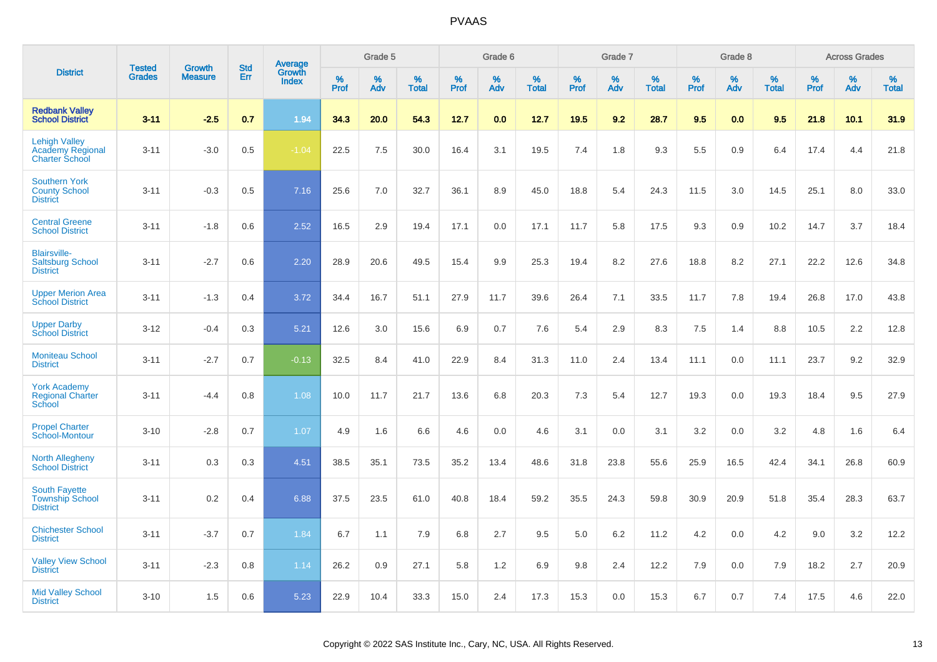|                                                                   |                                |                                 | <b>Std</b> |                                          |                  | Grade 5  |                   |           | Grade 6  |                   |                  | Grade 7  |                   |           | Grade 8  |                   |              | <b>Across Grades</b> |                   |
|-------------------------------------------------------------------|--------------------------------|---------------------------------|------------|------------------------------------------|------------------|----------|-------------------|-----------|----------|-------------------|------------------|----------|-------------------|-----------|----------|-------------------|--------------|----------------------|-------------------|
| <b>District</b>                                                   | <b>Tested</b><br><b>Grades</b> | <b>Growth</b><br><b>Measure</b> | Err        | <b>Average</b><br>Growth<br><b>Index</b> | %<br><b>Prof</b> | %<br>Adv | %<br><b>Total</b> | %<br>Prof | %<br>Adv | %<br><b>Total</b> | %<br><b>Prof</b> | %<br>Adv | %<br><b>Total</b> | %<br>Prof | %<br>Adv | %<br><b>Total</b> | $\%$<br>Prof | %<br>Adv             | %<br><b>Total</b> |
| <b>Redbank Valley</b><br><b>School District</b>                   | $3 - 11$                       | $-2.5$                          | 0.7        | 1.94                                     | 34.3             | 20.0     | 54.3              | 12.7      | 0.0      | 12.7              | 19.5             | 9.2      | 28.7              | 9.5       | 0.0      | 9.5               | 21.8         | 10.1                 | 31.9              |
| <b>Lehigh Valley</b><br>Academy Regional<br><b>Charter School</b> | $3 - 11$                       | $-3.0$                          | 0.5        | $-1.04$                                  | 22.5             | 7.5      | 30.0              | 16.4      | 3.1      | 19.5              | 7.4              | 1.8      | 9.3               | 5.5       | 0.9      | 6.4               | 17.4         | 4.4                  | 21.8              |
| <b>Southern York</b><br><b>County School</b><br><b>District</b>   | $3 - 11$                       | $-0.3$                          | 0.5        | 7.16                                     | 25.6             | 7.0      | 32.7              | 36.1      | 8.9      | 45.0              | 18.8             | 5.4      | 24.3              | 11.5      | 3.0      | 14.5              | 25.1         | 8.0                  | 33.0              |
| <b>Central Greene</b><br><b>School District</b>                   | $3 - 11$                       | $-1.8$                          | 0.6        | 2.52                                     | 16.5             | 2.9      | 19.4              | 17.1      | 0.0      | 17.1              | 11.7             | 5.8      | 17.5              | 9.3       | 0.9      | 10.2              | 14.7         | 3.7                  | 18.4              |
| <b>Blairsville-</b><br><b>Saltsburg School</b><br><b>District</b> | $3 - 11$                       | $-2.7$                          | 0.6        | 2.20                                     | 28.9             | 20.6     | 49.5              | 15.4      | 9.9      | 25.3              | 19.4             | 8.2      | 27.6              | 18.8      | 8.2      | 27.1              | 22.2         | 12.6                 | 34.8              |
| <b>Upper Merion Area</b><br><b>School District</b>                | $3 - 11$                       | $-1.3$                          | 0.4        | 3.72                                     | 34.4             | 16.7     | 51.1              | 27.9      | 11.7     | 39.6              | 26.4             | 7.1      | 33.5              | 11.7      | 7.8      | 19.4              | 26.8         | 17.0                 | 43.8              |
| <b>Upper Darby</b><br><b>School District</b>                      | $3 - 12$                       | $-0.4$                          | 0.3        | 5.21                                     | 12.6             | 3.0      | 15.6              | 6.9       | 0.7      | 7.6               | 5.4              | 2.9      | 8.3               | 7.5       | 1.4      | 8.8               | 10.5         | 2.2                  | 12.8              |
| <b>Moniteau School</b><br><b>District</b>                         | $3 - 11$                       | $-2.7$                          | 0.7        | $-0.13$                                  | 32.5             | 8.4      | 41.0              | 22.9      | 8.4      | 31.3              | 11.0             | 2.4      | 13.4              | 11.1      | 0.0      | 11.1              | 23.7         | 9.2                  | 32.9              |
| <b>York Academy</b><br><b>Regional Charter</b><br>School          | $3 - 11$                       | $-4.4$                          | 0.8        | 1.08                                     | 10.0             | 11.7     | 21.7              | 13.6      | 6.8      | 20.3              | 7.3              | 5.4      | 12.7              | 19.3      | 0.0      | 19.3              | 18.4         | 9.5                  | 27.9              |
| <b>Propel Charter</b><br>School-Montour                           | $3 - 10$                       | $-2.8$                          | 0.7        | 1.07                                     | 4.9              | 1.6      | 6.6               | 4.6       | 0.0      | 4.6               | 3.1              | 0.0      | 3.1               | 3.2       | 0.0      | 3.2               | 4.8          | 1.6                  | 6.4               |
| <b>North Allegheny</b><br><b>School District</b>                  | $3 - 11$                       | 0.3                             | 0.3        | 4.51                                     | 38.5             | 35.1     | 73.5              | 35.2      | 13.4     | 48.6              | 31.8             | 23.8     | 55.6              | 25.9      | 16.5     | 42.4              | 34.1         | 26.8                 | 60.9              |
| <b>South Fayette</b><br><b>Township School</b><br><b>District</b> | $3 - 11$                       | 0.2                             | 0.4        | 6.88                                     | 37.5             | 23.5     | 61.0              | 40.8      | 18.4     | 59.2              | 35.5             | 24.3     | 59.8              | 30.9      | 20.9     | 51.8              | 35.4         | 28.3                 | 63.7              |
| <b>Chichester School</b><br><b>District</b>                       | $3 - 11$                       | $-3.7$                          | 0.7        | 1.84                                     | 6.7              | 1.1      | 7.9               | 6.8       | 2.7      | 9.5               | 5.0              | 6.2      | 11.2              | 4.2       | 0.0      | 4.2               | 9.0          | 3.2                  | 12.2              |
| <b>Valley View School</b><br><b>District</b>                      | $3 - 11$                       | $-2.3$                          | 0.8        | 1.14                                     | 26.2             | 0.9      | 27.1              | 5.8       | 1.2      | 6.9               | 9.8              | 2.4      | 12.2              | 7.9       | 0.0      | 7.9               | 18.2         | 2.7                  | 20.9              |
| <b>Mid Valley School</b><br><b>District</b>                       | $3 - 10$                       | 1.5                             | 0.6        | 5.23                                     | 22.9             | 10.4     | 33.3              | 15.0      | 2.4      | 17.3              | 15.3             | 0.0      | 15.3              | 6.7       | 0.7      | 7.4               | 17.5         | 4.6                  | 22.0              |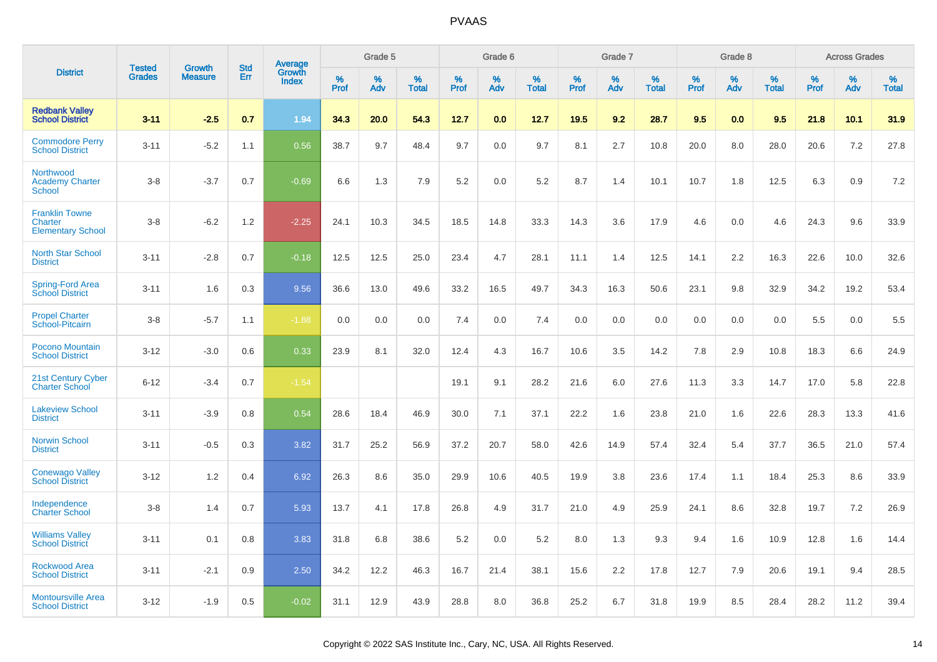|                                                              | <b>Tested</b> |                                 | <b>Std</b> |                                          |              | Grade 5  |                   |              | Grade 6  |                   |              | Grade 7  |                   |              | Grade 8  |                   |              | <b>Across Grades</b> |                   |
|--------------------------------------------------------------|---------------|---------------------------------|------------|------------------------------------------|--------------|----------|-------------------|--------------|----------|-------------------|--------------|----------|-------------------|--------------|----------|-------------------|--------------|----------------------|-------------------|
| <b>District</b>                                              | <b>Grades</b> | <b>Growth</b><br><b>Measure</b> | Err        | <b>Average</b><br>Growth<br><b>Index</b> | $\%$<br>Prof | %<br>Adv | %<br><b>Total</b> | $\%$<br>Prof | %<br>Adv | %<br><b>Total</b> | $\%$<br>Prof | %<br>Adv | %<br><b>Total</b> | $\%$<br>Prof | %<br>Adv | %<br><b>Total</b> | $\%$<br>Prof | %<br>Adv             | %<br><b>Total</b> |
| <b>Redbank Valley</b><br><b>School District</b>              | $3 - 11$      | $-2.5$                          | 0.7        | 1.94                                     | 34.3         | 20.0     | 54.3              | 12.7         | 0.0      | 12.7              | 19.5         | 9.2      | 28.7              | 9.5          | 0.0      | 9.5               | 21.8         | 10.1                 | 31.9              |
| <b>Commodore Perry</b><br><b>School District</b>             | $3 - 11$      | $-5.2$                          | 1.1        | 0.56                                     | 38.7         | 9.7      | 48.4              | 9.7          | 0.0      | 9.7               | 8.1          | 2.7      | 10.8              | 20.0         | 8.0      | 28.0              | 20.6         | 7.2                  | 27.8              |
| Northwood<br><b>Academy Charter</b><br><b>School</b>         | $3 - 8$       | $-3.7$                          | 0.7        | $-0.69$                                  | 6.6          | 1.3      | 7.9               | 5.2          | 0.0      | 5.2               | 8.7          | 1.4      | 10.1              | 10.7         | 1.8      | 12.5              | 6.3          | 0.9                  | 7.2               |
| <b>Franklin Towne</b><br>Charter<br><b>Elementary School</b> | $3 - 8$       | $-6.2$                          | 1.2        | $-2.25$                                  | 24.1         | 10.3     | 34.5              | 18.5         | 14.8     | 33.3              | 14.3         | 3.6      | 17.9              | 4.6          | 0.0      | 4.6               | 24.3         | 9.6                  | 33.9              |
| <b>North Star School</b><br><b>District</b>                  | $3 - 11$      | $-2.8$                          | 0.7        | $-0.18$                                  | 12.5         | 12.5     | 25.0              | 23.4         | 4.7      | 28.1              | 11.1         | 1.4      | 12.5              | 14.1         | 2.2      | 16.3              | 22.6         | 10.0                 | 32.6              |
| Spring-Ford Area<br><b>School District</b>                   | $3 - 11$      | 1.6                             | 0.3        | 9.56                                     | 36.6         | 13.0     | 49.6              | 33.2         | 16.5     | 49.7              | 34.3         | 16.3     | 50.6              | 23.1         | 9.8      | 32.9              | 34.2         | 19.2                 | 53.4              |
| <b>Propel Charter</b><br>School-Pitcairn                     | $3 - 8$       | $-5.7$                          | 1.1        | $-1.88$                                  | 0.0          | 0.0      | 0.0               | 7.4          | 0.0      | 7.4               | 0.0          | 0.0      | 0.0               | 0.0          | 0.0      | 0.0               | 5.5          | 0.0                  | 5.5               |
| Pocono Mountain<br><b>School District</b>                    | $3 - 12$      | $-3.0$                          | 0.6        | 0.33                                     | 23.9         | 8.1      | 32.0              | 12.4         | 4.3      | 16.7              | 10.6         | 3.5      | 14.2              | 7.8          | 2.9      | 10.8              | 18.3         | 6.6                  | 24.9              |
| 21st Century Cyber<br><b>Charter School</b>                  | $6 - 12$      | $-3.4$                          | 0.7        | $-1.54$                                  |              |          |                   | 19.1         | 9.1      | 28.2              | 21.6         | 6.0      | 27.6              | 11.3         | 3.3      | 14.7              | 17.0         | 5.8                  | 22.8              |
| <b>Lakeview School</b><br><b>District</b>                    | $3 - 11$      | $-3.9$                          | 0.8        | 0.54                                     | 28.6         | 18.4     | 46.9              | 30.0         | 7.1      | 37.1              | 22.2         | 1.6      | 23.8              | 21.0         | 1.6      | 22.6              | 28.3         | 13.3                 | 41.6              |
| <b>Norwin School</b><br><b>District</b>                      | $3 - 11$      | $-0.5$                          | 0.3        | 3.82                                     | 31.7         | 25.2     | 56.9              | 37.2         | 20.7     | 58.0              | 42.6         | 14.9     | 57.4              | 32.4         | 5.4      | 37.7              | 36.5         | 21.0                 | 57.4              |
| <b>Conewago Valley</b><br><b>School District</b>             | $3 - 12$      | 1.2                             | 0.4        | 6.92                                     | 26.3         | 8.6      | 35.0              | 29.9         | 10.6     | 40.5              | 19.9         | 3.8      | 23.6              | 17.4         | 1.1      | 18.4              | 25.3         | 8.6                  | 33.9              |
| Independence<br><b>Charter School</b>                        | $3 - 8$       | 1.4                             | 0.7        | 5.93                                     | 13.7         | 4.1      | 17.8              | 26.8         | 4.9      | 31.7              | 21.0         | 4.9      | 25.9              | 24.1         | 8.6      | 32.8              | 19.7         | 7.2                  | 26.9              |
| <b>Williams Valley</b><br><b>School District</b>             | $3 - 11$      | 0.1                             | 0.8        | 3.83                                     | 31.8         | 6.8      | 38.6              | 5.2          | 0.0      | 5.2               | 8.0          | 1.3      | 9.3               | 9.4          | 1.6      | 10.9              | 12.8         | 1.6                  | 14.4              |
| <b>Rockwood Area</b><br><b>School District</b>               | $3 - 11$      | $-2.1$                          | 0.9        | 2.50                                     | 34.2         | 12.2     | 46.3              | 16.7         | 21.4     | 38.1              | 15.6         | 2.2      | 17.8              | 12.7         | 7.9      | 20.6              | 19.1         | 9.4                  | 28.5              |
| <b>Montoursville Area</b><br><b>School District</b>          | $3 - 12$      | $-1.9$                          | 0.5        | $-0.02$                                  | 31.1         | 12.9     | 43.9              | 28.8         | 8.0      | 36.8              | 25.2         | 6.7      | 31.8              | 19.9         | 8.5      | 28.4              | 28.2         | 11.2                 | 39.4              |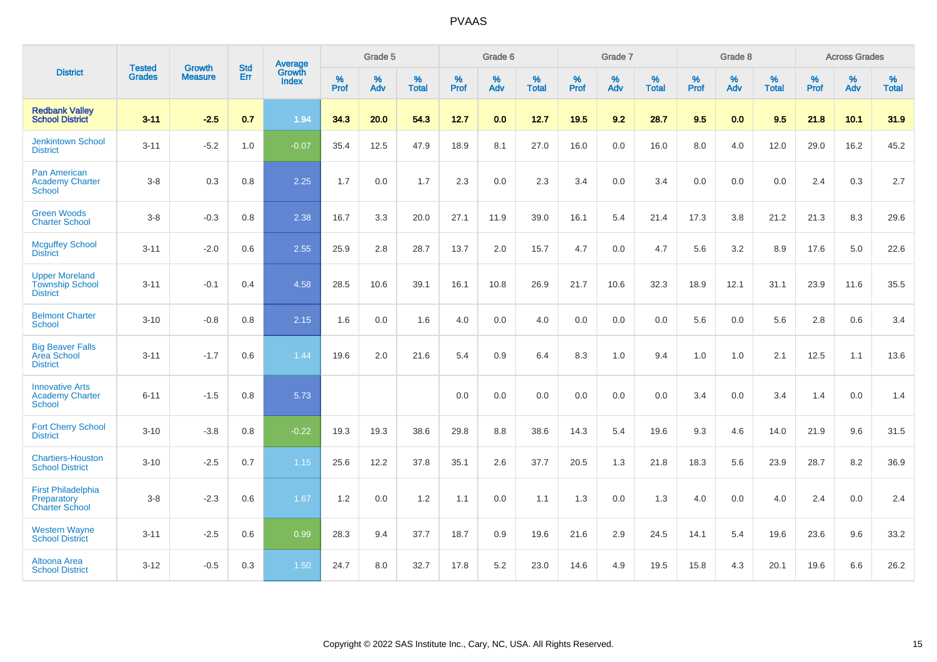|                                                                    | <b>Tested</b> | <b>Growth</b>  | <b>Std</b> | Average                |                     | Grade 5  |                   |              | Grade 6  |                   |                     | Grade 7  |                   |                     | Grade 8  |                   |              | <b>Across Grades</b> |                   |
|--------------------------------------------------------------------|---------------|----------------|------------|------------------------|---------------------|----------|-------------------|--------------|----------|-------------------|---------------------|----------|-------------------|---------------------|----------|-------------------|--------------|----------------------|-------------------|
| <b>District</b>                                                    | <b>Grades</b> | <b>Measure</b> | Err        | Growth<br><b>Index</b> | $\%$<br><b>Prof</b> | %<br>Adv | %<br><b>Total</b> | $\%$<br>Prof | %<br>Adv | %<br><b>Total</b> | $\%$<br><b>Prof</b> | %<br>Adv | %<br><b>Total</b> | $\%$<br><b>Prof</b> | %<br>Adv | %<br><b>Total</b> | $\%$<br>Prof | %<br>Adv             | %<br><b>Total</b> |
| <b>Redbank Valley</b><br><b>School District</b>                    | $3 - 11$      | $-2.5$         | 0.7        | 1.94                   | 34.3                | 20.0     | 54.3              | 12.7         | 0.0      | 12.7              | 19.5                | 9.2      | 28.7              | 9.5                 | 0.0      | 9.5               | 21.8         | 10.1                 | 31.9              |
| <b>Jenkintown School</b><br><b>District</b>                        | $3 - 11$      | $-5.2$         | 1.0        | $-0.07$                | 35.4                | 12.5     | 47.9              | 18.9         | 8.1      | 27.0              | 16.0                | 0.0      | 16.0              | 8.0                 | 4.0      | 12.0              | 29.0         | 16.2                 | 45.2              |
| <b>Pan American</b><br><b>Academy Charter</b><br><b>School</b>     | $3 - 8$       | 0.3            | 0.8        | 2.25                   | 1.7                 | 0.0      | 1.7               | 2.3          | 0.0      | 2.3               | 3.4                 | 0.0      | 3.4               | 0.0                 | 0.0      | 0.0               | 2.4          | 0.3                  | 2.7               |
| <b>Green Woods</b><br><b>Charter School</b>                        | $3 - 8$       | $-0.3$         | $0.8\,$    | 2.38                   | 16.7                | 3.3      | 20.0              | 27.1         | 11.9     | 39.0              | 16.1                | 5.4      | 21.4              | 17.3                | 3.8      | 21.2              | 21.3         | 8.3                  | 29.6              |
| <b>Mcguffey School</b><br><b>District</b>                          | $3 - 11$      | $-2.0$         | 0.6        | 2.55                   | 25.9                | 2.8      | 28.7              | 13.7         | 2.0      | 15.7              | 4.7                 | 0.0      | 4.7               | 5.6                 | 3.2      | 8.9               | 17.6         | 5.0                  | 22.6              |
| <b>Upper Moreland</b><br><b>Township School</b><br><b>District</b> | $3 - 11$      | $-0.1$         | 0.4        | 4.58                   | 28.5                | 10.6     | 39.1              | 16.1         | 10.8     | 26.9              | 21.7                | 10.6     | 32.3              | 18.9                | 12.1     | 31.1              | 23.9         | 11.6                 | 35.5              |
| <b>Belmont Charter</b><br>School                                   | $3 - 10$      | $-0.8$         | 0.8        | 2.15                   | 1.6                 | 0.0      | 1.6               | 4.0          | 0.0      | 4.0               | 0.0                 | 0.0      | 0.0               | 5.6                 | 0.0      | 5.6               | 2.8          | $0.6\,$              | 3.4               |
| <b>Big Beaver Falls</b><br>Area School<br><b>District</b>          | $3 - 11$      | $-1.7$         | 0.6        | 1.44                   | 19.6                | 2.0      | 21.6              | 5.4          | 0.9      | 6.4               | 8.3                 | 1.0      | 9.4               | 1.0                 | 1.0      | 2.1               | 12.5         | 1.1                  | 13.6              |
| <b>Innovative Arts</b><br><b>Academy Charter</b><br><b>School</b>  | $6 - 11$      | $-1.5$         | 0.8        | 5.73                   |                     |          |                   | 0.0          | 0.0      | 0.0               | 0.0                 | 0.0      | 0.0               | 3.4                 | 0.0      | 3.4               | 1.4          | 0.0                  | 1.4               |
| <b>Fort Cherry School</b><br><b>District</b>                       | $3 - 10$      | $-3.8$         | 0.8        | $-0.22$                | 19.3                | 19.3     | 38.6              | 29.8         | 8.8      | 38.6              | 14.3                | 5.4      | 19.6              | 9.3                 | 4.6      | 14.0              | 21.9         | 9.6                  | 31.5              |
| <b>Chartiers-Houston</b><br><b>School District</b>                 | $3 - 10$      | $-2.5$         | 0.7        | 1.15                   | 25.6                | 12.2     | 37.8              | 35.1         | 2.6      | 37.7              | 20.5                | 1.3      | 21.8              | 18.3                | 5.6      | 23.9              | 28.7         | 8.2                  | 36.9              |
| <b>First Philadelphia</b><br>Preparatory<br><b>Charter School</b>  | $3 - 8$       | $-2.3$         | 0.6        | 1.67                   | 1.2                 | 0.0      | 1.2               | 1.1          | 0.0      | 1.1               | 1.3                 | 0.0      | 1.3               | 4.0                 | 0.0      | 4.0               | 2.4          | 0.0                  | 2.4               |
| <b>Western Wayne</b><br><b>School District</b>                     | $3 - 11$      | $-2.5$         | 0.6        | 0.99                   | 28.3                | 9.4      | 37.7              | 18.7         | 0.9      | 19.6              | 21.6                | 2.9      | 24.5              | 14.1                | 5.4      | 19.6              | 23.6         | 9.6                  | 33.2              |
| Altoona Area<br><b>School District</b>                             | $3 - 12$      | $-0.5$         | 0.3        | 1.50                   | 24.7                | 8.0      | 32.7              | 17.8         | 5.2      | 23.0              | 14.6                | 4.9      | 19.5              | 15.8                | 4.3      | 20.1              | 19.6         | 6.6                  | 26.2              |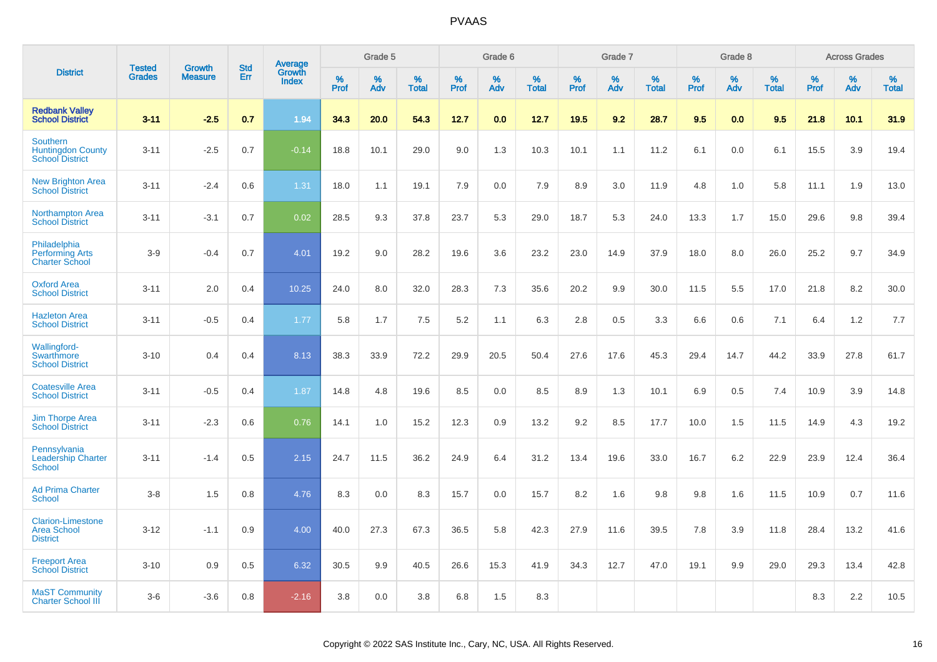|                                                                       | <b>Tested</b> | <b>Growth</b>  | <b>Std</b> | Average                |              | Grade 5  |                   |           | Grade 6  |                   |              | Grade 7  |                   |           | Grade 8  |                   |              | <b>Across Grades</b> |                   |
|-----------------------------------------------------------------------|---------------|----------------|------------|------------------------|--------------|----------|-------------------|-----------|----------|-------------------|--------------|----------|-------------------|-----------|----------|-------------------|--------------|----------------------|-------------------|
| <b>District</b>                                                       | <b>Grades</b> | <b>Measure</b> | Err        | Growth<br><b>Index</b> | $\%$<br>Prof | %<br>Adv | %<br><b>Total</b> | %<br>Prof | %<br>Adv | %<br><b>Total</b> | $\%$<br>Prof | %<br>Adv | %<br><b>Total</b> | %<br>Prof | %<br>Adv | %<br><b>Total</b> | $\%$<br>Prof | $\%$<br>Adv          | %<br><b>Total</b> |
| <b>Redbank Valley</b><br><b>School District</b>                       | $3 - 11$      | $-2.5$         | 0.7        | 1.94                   | 34.3         | 20.0     | 54.3              | 12.7      | 0.0      | 12.7              | 19.5         | 9.2      | 28.7              | 9.5       | 0.0      | 9.5               | 21.8         | 10.1                 | 31.9              |
| <b>Southern</b><br><b>Huntingdon County</b><br><b>School District</b> | $3 - 11$      | $-2.5$         | 0.7        | $-0.14$                | 18.8         | 10.1     | 29.0              | 9.0       | 1.3      | 10.3              | 10.1         | 1.1      | 11.2              | 6.1       | 0.0      | 6.1               | 15.5         | 3.9                  | 19.4              |
| <b>New Brighton Area</b><br><b>School District</b>                    | $3 - 11$      | $-2.4$         | 0.6        | 1.31                   | 18.0         | 1.1      | 19.1              | 7.9       | 0.0      | 7.9               | 8.9          | 3.0      | 11.9              | 4.8       | 1.0      | 5.8               | 11.1         | 1.9                  | 13.0              |
| <b>Northampton Area</b><br><b>School District</b>                     | $3 - 11$      | $-3.1$         | 0.7        | 0.02                   | 28.5         | 9.3      | 37.8              | 23.7      | 5.3      | 29.0              | 18.7         | 5.3      | 24.0              | 13.3      | 1.7      | 15.0              | 29.6         | 9.8                  | 39.4              |
| Philadelphia<br><b>Performing Arts</b><br><b>Charter School</b>       | $3-9$         | $-0.4$         | 0.7        | 4.01                   | 19.2         | 9.0      | 28.2              | 19.6      | 3.6      | 23.2              | 23.0         | 14.9     | 37.9              | 18.0      | 8.0      | 26.0              | 25.2         | 9.7                  | 34.9              |
| <b>Oxford Area</b><br><b>School District</b>                          | $3 - 11$      | 2.0            | 0.4        | 10.25                  | 24.0         | 8.0      | 32.0              | 28.3      | 7.3      | 35.6              | 20.2         | 9.9      | 30.0              | 11.5      | 5.5      | 17.0              | 21.8         | 8.2                  | 30.0              |
| <b>Hazleton Area</b><br><b>School District</b>                        | $3 - 11$      | $-0.5$         | 0.4        | 1.77                   | 5.8          | 1.7      | 7.5               | 5.2       | 1.1      | 6.3               | 2.8          | 0.5      | 3.3               | 6.6       | 0.6      | 7.1               | 6.4          | 1.2                  | 7.7               |
| Wallingford-<br>Swarthmore<br><b>School District</b>                  | $3 - 10$      | 0.4            | 0.4        | 8.13                   | 38.3         | 33.9     | 72.2              | 29.9      | 20.5     | 50.4              | 27.6         | 17.6     | 45.3              | 29.4      | 14.7     | 44.2              | 33.9         | 27.8                 | 61.7              |
| <b>Coatesville Area</b><br><b>School District</b>                     | $3 - 11$      | $-0.5$         | 0.4        | 1.87                   | 14.8         | 4.8      | 19.6              | 8.5       | 0.0      | 8.5               | 8.9          | 1.3      | 10.1              | 6.9       | 0.5      | 7.4               | 10.9         | 3.9                  | 14.8              |
| <b>Jim Thorpe Area</b><br><b>School District</b>                      | $3 - 11$      | $-2.3$         | 0.6        | 0.76                   | 14.1         | 1.0      | 15.2              | 12.3      | 0.9      | 13.2              | 9.2          | 8.5      | 17.7              | 10.0      | 1.5      | 11.5              | 14.9         | 4.3                  | 19.2              |
| Pennsylvania<br><b>Leadership Charter</b><br><b>School</b>            | $3 - 11$      | $-1.4$         | 0.5        | 2.15                   | 24.7         | 11.5     | 36.2              | 24.9      | 6.4      | 31.2              | 13.4         | 19.6     | 33.0              | 16.7      | 6.2      | 22.9              | 23.9         | 12.4                 | 36.4              |
| <b>Ad Prima Charter</b><br><b>School</b>                              | $3-8$         | 1.5            | 0.8        | 4.76                   | 8.3          | 0.0      | 8.3               | 15.7      | 0.0      | 15.7              | 8.2          | 1.6      | 9.8               | 9.8       | 1.6      | 11.5              | 10.9         | 0.7                  | 11.6              |
| <b>Clarion-Limestone</b><br><b>Area School</b><br><b>District</b>     | $3 - 12$      | $-1.1$         | 0.9        | 4.00                   | 40.0         | 27.3     | 67.3              | 36.5      | 5.8      | 42.3              | 27.9         | 11.6     | 39.5              | 7.8       | 3.9      | 11.8              | 28.4         | 13.2                 | 41.6              |
| <b>Freeport Area</b><br><b>School District</b>                        | $3 - 10$      | 0.9            | 0.5        | 6.32                   | 30.5         | 9.9      | 40.5              | 26.6      | 15.3     | 41.9              | 34.3         | 12.7     | 47.0              | 19.1      | 9.9      | 29.0              | 29.3         | 13.4                 | 42.8              |
| <b>MaST Community</b><br><b>Charter School III</b>                    | $3-6$         | $-3.6$         | 0.8        | $-2.16$                | 3.8          | 0.0      | 3.8               | 6.8       | 1.5      | 8.3               |              |          |                   |           |          |                   | 8.3          | 2.2                  | 10.5              |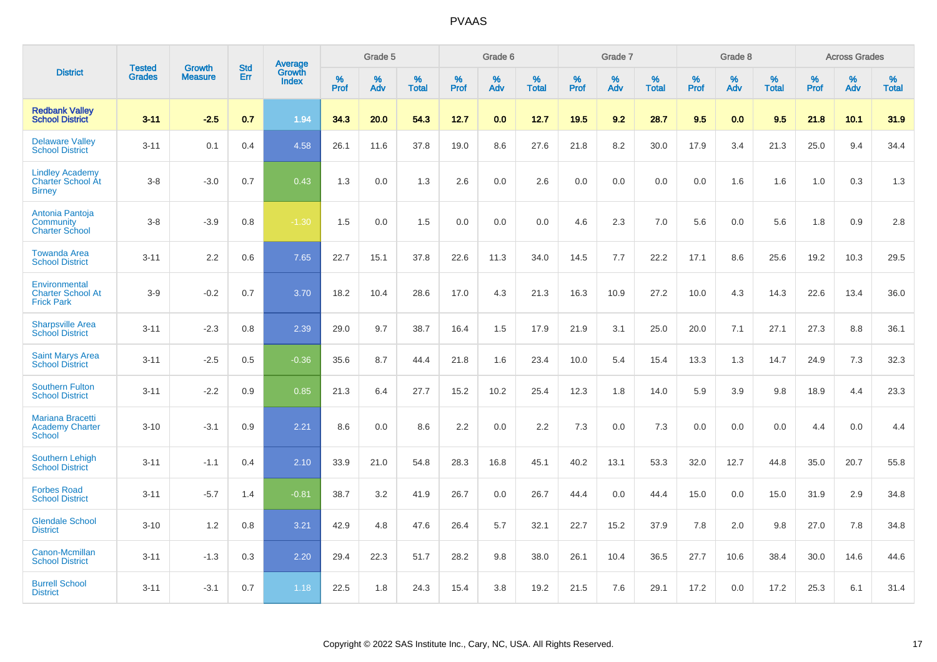|                                                                     |                                | <b>Growth</b>  | <b>Std</b> |                                          |              | Grade 5  |                   |           | Grade 6  |                   |              | Grade 7  |                   |              | Grade 8  |                   |              | <b>Across Grades</b> |                   |
|---------------------------------------------------------------------|--------------------------------|----------------|------------|------------------------------------------|--------------|----------|-------------------|-----------|----------|-------------------|--------------|----------|-------------------|--------------|----------|-------------------|--------------|----------------------|-------------------|
| <b>District</b>                                                     | <b>Tested</b><br><b>Grades</b> | <b>Measure</b> | <b>Err</b> | <b>Average</b><br>Growth<br><b>Index</b> | $\%$<br>Prof | %<br>Adv | %<br><b>Total</b> | %<br>Prof | %<br>Adv | %<br><b>Total</b> | $\%$<br>Prof | %<br>Adv | %<br><b>Total</b> | $\%$<br>Prof | %<br>Adv | %<br><b>Total</b> | $\%$<br>Prof | %<br>Adv             | %<br><b>Total</b> |
| <b>Redbank Valley</b><br><b>School District</b>                     | $3 - 11$                       | $-2.5$         | 0.7        | 1.94                                     | 34.3         | 20.0     | 54.3              | 12.7      | 0.0      | 12.7              | 19.5         | 9.2      | 28.7              | 9.5          | 0.0      | 9.5               | 21.8         | 10.1                 | 31.9              |
| <b>Delaware Valley</b><br><b>School District</b>                    | $3 - 11$                       | 0.1            | 0.4        | 4.58                                     | 26.1         | 11.6     | 37.8              | 19.0      | 8.6      | 27.6              | 21.8         | 8.2      | 30.0              | 17.9         | 3.4      | 21.3              | 25.0         | 9.4                  | 34.4              |
| <b>Lindley Academy</b><br><b>Charter School At</b><br><b>Birney</b> | $3 - 8$                        | $-3.0$         | 0.7        | 0.43                                     | 1.3          | 0.0      | 1.3               | 2.6       | 0.0      | 2.6               | 0.0          | 0.0      | 0.0               | 0.0          | 1.6      | 1.6               | 1.0          | 0.3                  | 1.3               |
| Antonia Pantoja<br>Community<br><b>Charter School</b>               | $3 - 8$                        | $-3.9$         | 0.8        | $-1.30$                                  | 1.5          | 0.0      | 1.5               | 0.0       | 0.0      | 0.0               | 4.6          | 2.3      | 7.0               | 5.6          | 0.0      | 5.6               | 1.8          | 0.9                  | 2.8               |
| <b>Towanda Area</b><br><b>School District</b>                       | $3 - 11$                       | 2.2            | 0.6        | 7.65                                     | 22.7         | 15.1     | 37.8              | 22.6      | 11.3     | 34.0              | 14.5         | 7.7      | 22.2              | 17.1         | 8.6      | 25.6              | 19.2         | 10.3                 | 29.5              |
| Environmental<br><b>Charter School At</b><br><b>Frick Park</b>      | $3-9$                          | $-0.2$         | 0.7        | 3.70                                     | 18.2         | 10.4     | 28.6              | 17.0      | 4.3      | 21.3              | 16.3         | 10.9     | 27.2              | 10.0         | 4.3      | 14.3              | 22.6         | 13.4                 | 36.0              |
| <b>Sharpsville Area</b><br><b>School District</b>                   | $3 - 11$                       | $-2.3$         | 0.8        | 2.39                                     | 29.0         | 9.7      | 38.7              | 16.4      | 1.5      | 17.9              | 21.9         | 3.1      | 25.0              | 20.0         | 7.1      | 27.1              | 27.3         | 8.8                  | 36.1              |
| <b>Saint Marys Area</b><br><b>School District</b>                   | $3 - 11$                       | $-2.5$         | 0.5        | $-0.36$                                  | 35.6         | 8.7      | 44.4              | 21.8      | 1.6      | 23.4              | 10.0         | 5.4      | 15.4              | 13.3         | 1.3      | 14.7              | 24.9         | 7.3                  | 32.3              |
| <b>Southern Fulton</b><br><b>School District</b>                    | $3 - 11$                       | $-2.2$         | 0.9        | 0.85                                     | 21.3         | 6.4      | 27.7              | 15.2      | 10.2     | 25.4              | 12.3         | 1.8      | 14.0              | 5.9          | 3.9      | 9.8               | 18.9         | 4.4                  | 23.3              |
| <b>Mariana Bracetti</b><br><b>Academy Charter</b><br><b>School</b>  | $3 - 10$                       | $-3.1$         | 0.9        | 2.21                                     | 8.6          | 0.0      | 8.6               | 2.2       | 0.0      | 2.2               | 7.3          | 0.0      | 7.3               | 0.0          | 0.0      | 0.0               | 4.4          | 0.0                  | 4.4               |
| <b>Southern Lehigh</b><br><b>School District</b>                    | $3 - 11$                       | $-1.1$         | 0.4        | 2.10                                     | 33.9         | 21.0     | 54.8              | 28.3      | 16.8     | 45.1              | 40.2         | 13.1     | 53.3              | 32.0         | 12.7     | 44.8              | 35.0         | 20.7                 | 55.8              |
| <b>Forbes Road</b><br><b>School District</b>                        | $3 - 11$                       | $-5.7$         | 1.4        | $-0.81$                                  | 38.7         | 3.2      | 41.9              | 26.7      | 0.0      | 26.7              | 44.4         | 0.0      | 44.4              | 15.0         | 0.0      | 15.0              | 31.9         | 2.9                  | 34.8              |
| <b>Glendale School</b><br><b>District</b>                           | $3 - 10$                       | 1.2            | 0.8        | 3.21                                     | 42.9         | 4.8      | 47.6              | 26.4      | 5.7      | 32.1              | 22.7         | 15.2     | 37.9              | 7.8          | 2.0      | 9.8               | 27.0         | 7.8                  | 34.8              |
| Canon-Mcmillan<br><b>School District</b>                            | $3 - 11$                       | $-1.3$         | 0.3        | 2.20                                     | 29.4         | 22.3     | 51.7              | 28.2      | 9.8      | 38.0              | 26.1         | 10.4     | 36.5              | 27.7         | 10.6     | 38.4              | 30.0         | 14.6                 | 44.6              |
| <b>Burrell School</b><br><b>District</b>                            | $3 - 11$                       | $-3.1$         | 0.7        | 1.18                                     | 22.5         | 1.8      | 24.3              | 15.4      | 3.8      | 19.2              | 21.5         | 7.6      | 29.1              | 17.2         | 0.0      | 17.2              | 25.3         | 6.1                  | 31.4              |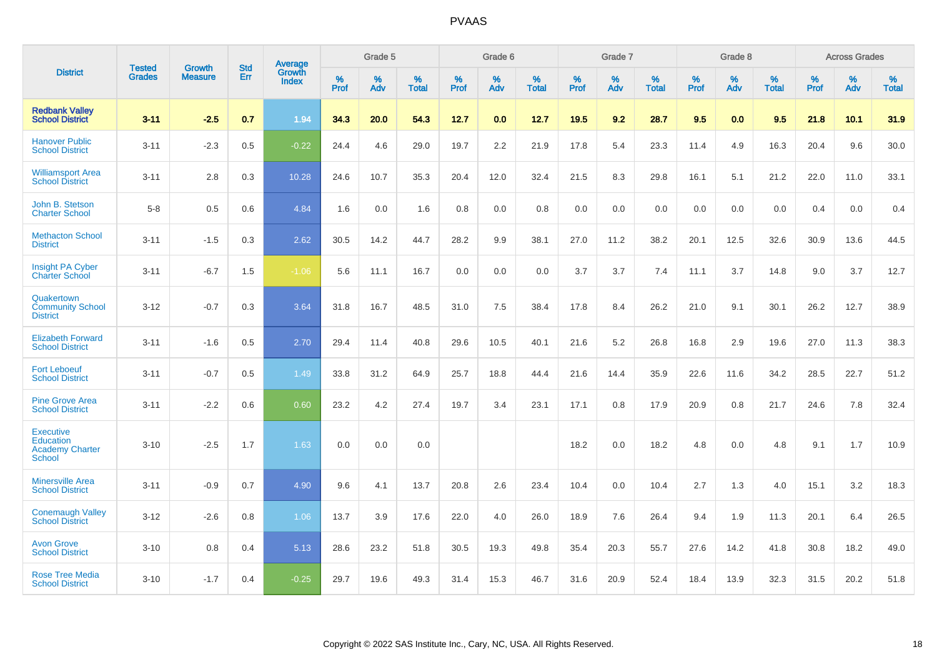|                                                                          |                                |                                 | <b>Std</b> | Average                       |           | Grade 5  |                   |           | Grade 6  |                   |           | Grade 7  |                   |           | Grade 8  |                   |           | <b>Across Grades</b> |                   |
|--------------------------------------------------------------------------|--------------------------------|---------------------------------|------------|-------------------------------|-----------|----------|-------------------|-----------|----------|-------------------|-----------|----------|-------------------|-----------|----------|-------------------|-----------|----------------------|-------------------|
| <b>District</b>                                                          | <b>Tested</b><br><b>Grades</b> | <b>Growth</b><br><b>Measure</b> | Err        | <b>Growth</b><br><b>Index</b> | %<br>Prof | %<br>Adv | %<br><b>Total</b> | %<br>Prof | %<br>Adv | %<br><b>Total</b> | %<br>Prof | %<br>Adv | %<br><b>Total</b> | %<br>Prof | %<br>Adv | %<br><b>Total</b> | %<br>Prof | %<br>Adv             | %<br><b>Total</b> |
| <b>Redbank Valley</b><br><b>School District</b>                          | $3 - 11$                       | $-2.5$                          | 0.7        | 1.94                          | 34.3      | 20.0     | 54.3              | 12.7      | 0.0      | 12.7              | 19.5      | 9.2      | 28.7              | 9.5       | 0.0      | 9.5               | 21.8      | 10.1                 | 31.9              |
| <b>Hanover Public</b><br><b>School District</b>                          | $3 - 11$                       | $-2.3$                          | 0.5        | $-0.22$                       | 24.4      | 4.6      | 29.0              | 19.7      | 2.2      | 21.9              | 17.8      | 5.4      | 23.3              | 11.4      | 4.9      | 16.3              | 20.4      | 9.6                  | 30.0              |
| <b>Williamsport Area</b><br><b>School District</b>                       | $3 - 11$                       | 2.8                             | 0.3        | 10.28                         | 24.6      | 10.7     | 35.3              | 20.4      | 12.0     | 32.4              | 21.5      | 8.3      | 29.8              | 16.1      | 5.1      | 21.2              | 22.0      | 11.0                 | 33.1              |
| John B. Stetson<br><b>Charter School</b>                                 | $5 - 8$                        | 0.5                             | 0.6        | 4.84                          | 1.6       | 0.0      | 1.6               | 0.8       | 0.0      | 0.8               | 0.0       | 0.0      | 0.0               | 0.0       | 0.0      | 0.0               | 0.4       | 0.0                  | 0.4               |
| <b>Methacton School</b><br><b>District</b>                               | $3 - 11$                       | $-1.5$                          | 0.3        | 2.62                          | 30.5      | 14.2     | 44.7              | 28.2      | 9.9      | 38.1              | 27.0      | 11.2     | 38.2              | 20.1      | 12.5     | 32.6              | 30.9      | 13.6                 | 44.5              |
| <b>Insight PA Cyber</b><br><b>Charter School</b>                         | $3 - 11$                       | $-6.7$                          | 1.5        | $-1.06$                       | 5.6       | 11.1     | 16.7              | 0.0       | 0.0      | 0.0               | 3.7       | 3.7      | 7.4               | 11.1      | 3.7      | 14.8              | 9.0       | 3.7                  | 12.7              |
| Quakertown<br><b>Community School</b><br><b>District</b>                 | $3 - 12$                       | $-0.7$                          | 0.3        | 3.64                          | 31.8      | 16.7     | 48.5              | 31.0      | 7.5      | 38.4              | 17.8      | 8.4      | 26.2              | 21.0      | 9.1      | 30.1              | 26.2      | 12.7                 | 38.9              |
| <b>Elizabeth Forward</b><br><b>School District</b>                       | $3 - 11$                       | $-1.6$                          | 0.5        | 2.70                          | 29.4      | 11.4     | 40.8              | 29.6      | 10.5     | 40.1              | 21.6      | 5.2      | 26.8              | 16.8      | 2.9      | 19.6              | 27.0      | 11.3                 | 38.3              |
| <b>Fort Leboeuf</b><br><b>School District</b>                            | $3 - 11$                       | $-0.7$                          | 0.5        | 1.49                          | 33.8      | 31.2     | 64.9              | 25.7      | 18.8     | 44.4              | 21.6      | 14.4     | 35.9              | 22.6      | 11.6     | 34.2              | 28.5      | 22.7                 | 51.2              |
| <b>Pine Grove Area</b><br><b>School District</b>                         | $3 - 11$                       | $-2.2$                          | 0.6        | 0.60                          | 23.2      | 4.2      | 27.4              | 19.7      | 3.4      | 23.1              | 17.1      | 0.8      | 17.9              | 20.9      | 0.8      | 21.7              | 24.6      | 7.8                  | 32.4              |
| <b>Executive</b><br>Education<br><b>Academy Charter</b><br><b>School</b> | $3 - 10$                       | $-2.5$                          | 1.7        | 1.63                          | 0.0       | 0.0      | 0.0               |           |          |                   | 18.2      | 0.0      | 18.2              | 4.8       | 0.0      | 4.8               | 9.1       | 1.7                  | 10.9              |
| <b>Minersville Area</b><br><b>School District</b>                        | $3 - 11$                       | $-0.9$                          | 0.7        | 4.90                          | 9.6       | 4.1      | 13.7              | 20.8      | 2.6      | 23.4              | 10.4      | 0.0      | 10.4              | 2.7       | 1.3      | 4.0               | 15.1      | 3.2                  | 18.3              |
| <b>Conemaugh Valley</b><br><b>School District</b>                        | $3 - 12$                       | $-2.6$                          | 0.8        | 1.06                          | 13.7      | 3.9      | 17.6              | 22.0      | 4.0      | 26.0              | 18.9      | 7.6      | 26.4              | 9.4       | 1.9      | 11.3              | 20.1      | 6.4                  | 26.5              |
| <b>Avon Grove</b><br><b>School District</b>                              | $3 - 10$                       | 0.8                             | 0.4        | 5.13                          | 28.6      | 23.2     | 51.8              | 30.5      | 19.3     | 49.8              | 35.4      | 20.3     | 55.7              | 27.6      | 14.2     | 41.8              | 30.8      | 18.2                 | 49.0              |
| <b>Rose Tree Media</b><br><b>School District</b>                         | $3 - 10$                       | $-1.7$                          | 0.4        | $-0.25$                       | 29.7      | 19.6     | 49.3              | 31.4      | 15.3     | 46.7              | 31.6      | 20.9     | 52.4              | 18.4      | 13.9     | 32.3              | 31.5      | 20.2                 | 51.8              |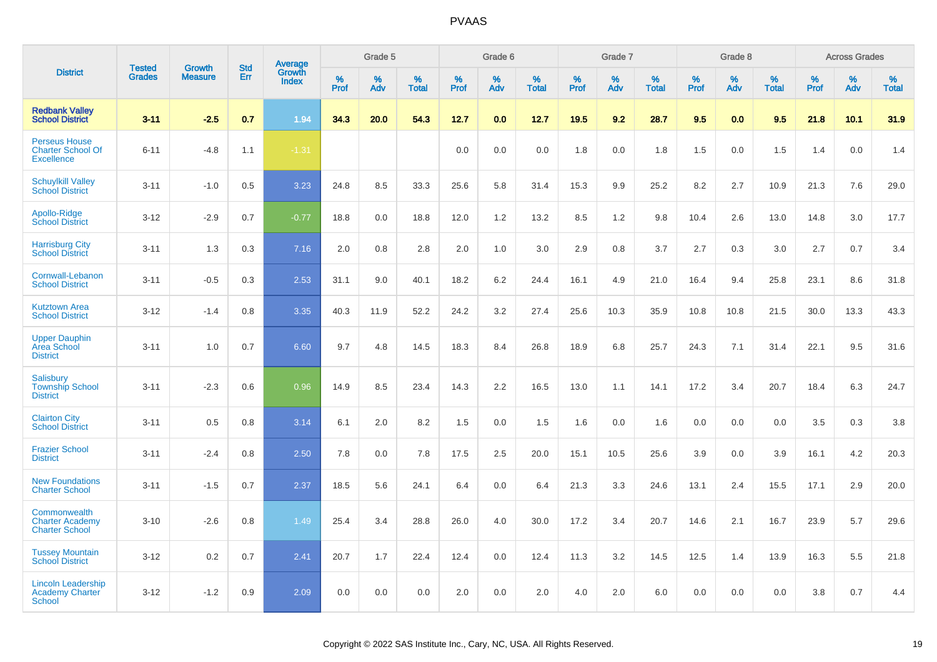|                                                                       |                                | <b>Growth</b>  | <b>Std</b> | <b>Average</b>         |                     | Grade 5  |                   |                  | Grade 6  |                   |                  | Grade 7  |                   |           | Grade 8  |                   |              | <b>Across Grades</b> |                   |
|-----------------------------------------------------------------------|--------------------------------|----------------|------------|------------------------|---------------------|----------|-------------------|------------------|----------|-------------------|------------------|----------|-------------------|-----------|----------|-------------------|--------------|----------------------|-------------------|
| <b>District</b>                                                       | <b>Tested</b><br><b>Grades</b> | <b>Measure</b> | Err        | Growth<br><b>Index</b> | $\%$<br><b>Prof</b> | %<br>Adv | %<br><b>Total</b> | %<br><b>Prof</b> | %<br>Adv | %<br><b>Total</b> | %<br><b>Prof</b> | %<br>Adv | %<br><b>Total</b> | %<br>Prof | %<br>Adv | %<br><b>Total</b> | $\%$<br>Prof | %<br>Adv             | %<br><b>Total</b> |
| <b>Redbank Valley</b><br><b>School District</b>                       | $3 - 11$                       | $-2.5$         | 0.7        | 1.94                   | 34.3                | 20.0     | 54.3              | 12.7             | 0.0      | 12.7              | 19.5             | 9.2      | 28.7              | 9.5       | 0.0      | 9.5               | 21.8         | 10.1                 | 31.9              |
| <b>Perseus House</b><br><b>Charter School Of</b><br><b>Excellence</b> | $6 - 11$                       | $-4.8$         | 1.1        | $-1.31$                |                     |          |                   | 0.0              | 0.0      | 0.0               | 1.8              | 0.0      | 1.8               | 1.5       | 0.0      | 1.5               | 1.4          | 0.0                  | 1.4               |
| <b>Schuylkill Valley</b><br><b>School District</b>                    | $3 - 11$                       | $-1.0$         | 0.5        | 3.23                   | 24.8                | 8.5      | 33.3              | 25.6             | 5.8      | 31.4              | 15.3             | 9.9      | 25.2              | 8.2       | 2.7      | 10.9              | 21.3         | 7.6                  | 29.0              |
| Apollo-Ridge<br><b>School District</b>                                | $3 - 12$                       | $-2.9$         | 0.7        | $-0.77$                | 18.8                | 0.0      | 18.8              | 12.0             | 1.2      | 13.2              | 8.5              | 1.2      | 9.8               | 10.4      | 2.6      | 13.0              | 14.8         | 3.0                  | 17.7              |
| <b>Harrisburg City</b><br><b>School District</b>                      | $3 - 11$                       | 1.3            | 0.3        | 7.16                   | 2.0                 | 0.8      | 2.8               | 2.0              | 1.0      | 3.0               | 2.9              | 0.8      | 3.7               | 2.7       | 0.3      | 3.0               | 2.7          | 0.7                  | 3.4               |
| Cornwall-Lebanon<br><b>School District</b>                            | $3 - 11$                       | $-0.5$         | 0.3        | 2.53                   | 31.1                | 9.0      | 40.1              | 18.2             | 6.2      | 24.4              | 16.1             | 4.9      | 21.0              | 16.4      | 9.4      | 25.8              | 23.1         | 8.6                  | 31.8              |
| <b>Kutztown Area</b><br><b>School District</b>                        | $3 - 12$                       | $-1.4$         | 0.8        | 3.35                   | 40.3                | 11.9     | 52.2              | 24.2             | 3.2      | 27.4              | 25.6             | 10.3     | 35.9              | 10.8      | 10.8     | 21.5              | 30.0         | 13.3                 | 43.3              |
| <b>Upper Dauphin</b><br>Area School<br><b>District</b>                | $3 - 11$                       | 1.0            | 0.7        | 6.60                   | 9.7                 | 4.8      | 14.5              | 18.3             | 8.4      | 26.8              | 18.9             | 6.8      | 25.7              | 24.3      | 7.1      | 31.4              | 22.1         | 9.5                  | 31.6              |
| Salisbury<br><b>Township School</b><br><b>District</b>                | $3 - 11$                       | $-2.3$         | 0.6        | 0.96                   | 14.9                | 8.5      | 23.4              | 14.3             | 2.2      | 16.5              | 13.0             | 1.1      | 14.1              | 17.2      | 3.4      | 20.7              | 18.4         | 6.3                  | 24.7              |
| <b>Clairton City</b><br><b>School District</b>                        | $3 - 11$                       | 0.5            | 0.8        | 3.14                   | 6.1                 | 2.0      | 8.2               | 1.5              | 0.0      | 1.5               | 1.6              | 0.0      | 1.6               | 0.0       | 0.0      | 0.0               | 3.5          | 0.3                  | 3.8               |
| <b>Frazier School</b><br><b>District</b>                              | $3 - 11$                       | $-2.4$         | 0.8        | 2.50                   | 7.8                 | 0.0      | 7.8               | 17.5             | 2.5      | 20.0              | 15.1             | 10.5     | 25.6              | 3.9       | 0.0      | 3.9               | 16.1         | 4.2                  | 20.3              |
| <b>New Foundations</b><br><b>Charter School</b>                       | $3 - 11$                       | $-1.5$         | 0.7        | 2.37                   | 18.5                | 5.6      | 24.1              | 6.4              | 0.0      | 6.4               | 21.3             | 3.3      | 24.6              | 13.1      | 2.4      | 15.5              | 17.1         | 2.9                  | 20.0              |
| Commonwealth<br><b>Charter Academy</b><br><b>Charter School</b>       | $3 - 10$                       | $-2.6$         | 0.8        | 1.49                   | 25.4                | 3.4      | 28.8              | 26.0             | 4.0      | 30.0              | 17.2             | 3.4      | 20.7              | 14.6      | 2.1      | 16.7              | 23.9         | 5.7                  | 29.6              |
| <b>Tussey Mountain</b><br><b>School District</b>                      | $3 - 12$                       | 0.2            | 0.7        | 2.41                   | 20.7                | 1.7      | 22.4              | 12.4             | 0.0      | 12.4              | 11.3             | 3.2      | 14.5              | 12.5      | 1.4      | 13.9              | 16.3         | 5.5                  | 21.8              |
| <b>Lincoln Leadership</b><br><b>Academy Charter</b><br><b>School</b>  | $3 - 12$                       | $-1.2$         | 0.9        | 2.09                   | 0.0                 | 0.0      | 0.0               | 2.0              | 0.0      | 2.0               | 4.0              | 2.0      | 6.0               | 0.0       | 0.0      | 0.0               | 3.8          | 0.7                  | 4.4               |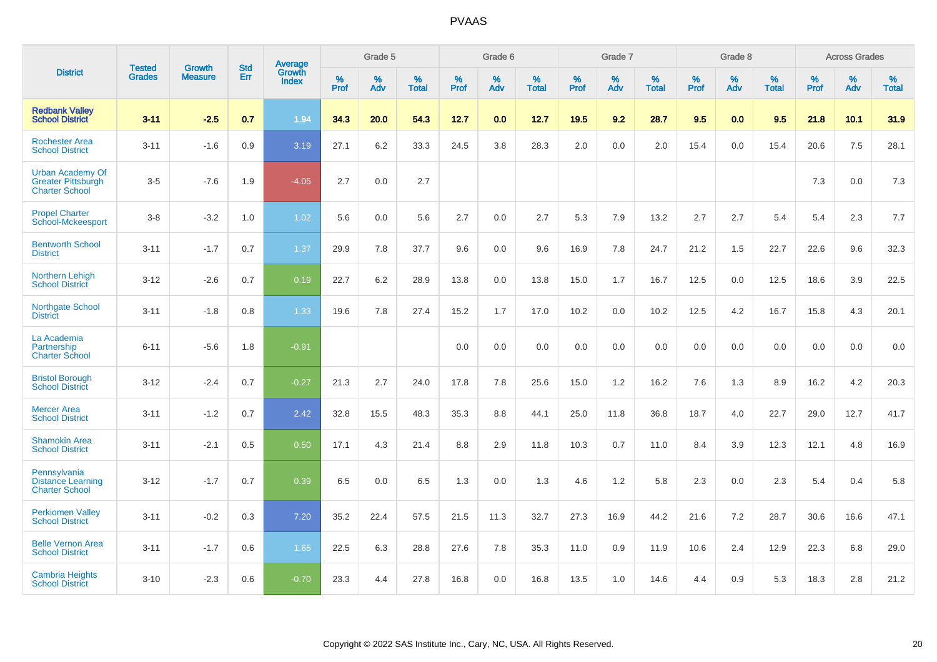|                                                                               | <b>Tested</b> | <b>Growth</b>  | <b>Std</b> | Average                       |              | Grade 5  |                   |           | Grade 6  |                   |           | Grade 7  |                   |           | Grade 8  |                   |           | <b>Across Grades</b> |                   |
|-------------------------------------------------------------------------------|---------------|----------------|------------|-------------------------------|--------------|----------|-------------------|-----------|----------|-------------------|-----------|----------|-------------------|-----------|----------|-------------------|-----------|----------------------|-------------------|
| <b>District</b>                                                               | <b>Grades</b> | <b>Measure</b> | Err        | <b>Growth</b><br><b>Index</b> | $\%$<br>Prof | %<br>Adv | %<br><b>Total</b> | %<br>Prof | %<br>Adv | %<br><b>Total</b> | %<br>Prof | %<br>Adv | %<br><b>Total</b> | %<br>Prof | %<br>Adv | %<br><b>Total</b> | %<br>Prof | $\%$<br>Adv          | %<br><b>Total</b> |
| <b>Redbank Valley</b><br><b>School District</b>                               | $3 - 11$      | $-2.5$         | 0.7        | 1.94                          | 34.3         | 20.0     | 54.3              | 12.7      | 0.0      | 12.7              | 19.5      | 9.2      | 28.7              | 9.5       | 0.0      | 9.5               | 21.8      | 10.1                 | 31.9              |
| <b>Rochester Area</b><br><b>School District</b>                               | $3 - 11$      | $-1.6$         | 0.9        | 3.19                          | 27.1         | 6.2      | 33.3              | 24.5      | 3.8      | 28.3              | 2.0       | 0.0      | 2.0               | 15.4      | 0.0      | 15.4              | 20.6      | 7.5                  | 28.1              |
| <b>Urban Academy Of</b><br><b>Greater Pittsburgh</b><br><b>Charter School</b> | $3-5$         | $-7.6$         | 1.9        | $-4.05$                       | 2.7          | 0.0      | 2.7               |           |          |                   |           |          |                   |           |          |                   | 7.3       | 0.0                  | $7.3$             |
| <b>Propel Charter</b><br><b>School-Mckeesport</b>                             | $3-8$         | $-3.2$         | 1.0        | 1.02                          | 5.6          | 0.0      | 5.6               | 2.7       | 0.0      | 2.7               | 5.3       | 7.9      | 13.2              | 2.7       | 2.7      | 5.4               | 5.4       | 2.3                  | 7.7               |
| <b>Bentworth School</b><br><b>District</b>                                    | $3 - 11$      | $-1.7$         | 0.7        | 1.37                          | 29.9         | 7.8      | 37.7              | 9.6       | 0.0      | 9.6               | 16.9      | 7.8      | 24.7              | 21.2      | 1.5      | 22.7              | 22.6      | 9.6                  | 32.3              |
| Northern Lehigh<br><b>School District</b>                                     | $3 - 12$      | $-2.6$         | 0.7        | 0.19                          | 22.7         | 6.2      | 28.9              | 13.8      | 0.0      | 13.8              | 15.0      | 1.7      | 16.7              | 12.5      | 0.0      | 12.5              | 18.6      | 3.9                  | 22.5              |
| Northgate School<br><b>District</b>                                           | $3 - 11$      | $-1.8$         | 0.8        | 1.33                          | 19.6         | 7.8      | 27.4              | 15.2      | 1.7      | 17.0              | 10.2      | 0.0      | 10.2              | 12.5      | 4.2      | 16.7              | 15.8      | 4.3                  | 20.1              |
| La Academia<br>Partnership<br><b>Charter School</b>                           | $6 - 11$      | $-5.6$         | 1.8        | $-0.91$                       |              |          |                   | 0.0       | 0.0      | 0.0               | 0.0       | 0.0      | 0.0               | 0.0       | 0.0      | 0.0               | 0.0       | 0.0                  | 0.0               |
| <b>Bristol Borough</b><br><b>School District</b>                              | $3 - 12$      | $-2.4$         | 0.7        | $-0.27$                       | 21.3         | 2.7      | 24.0              | 17.8      | 7.8      | 25.6              | 15.0      | 1.2      | 16.2              | 7.6       | 1.3      | 8.9               | 16.2      | 4.2                  | 20.3              |
| <b>Mercer Area</b><br><b>School District</b>                                  | $3 - 11$      | $-1.2$         | 0.7        | 2.42                          | 32.8         | 15.5     | 48.3              | 35.3      | 8.8      | 44.1              | 25.0      | 11.8     | 36.8              | 18.7      | 4.0      | 22.7              | 29.0      | 12.7                 | 41.7              |
| <b>Shamokin Area</b><br><b>School District</b>                                | $3 - 11$      | $-2.1$         | 0.5        | 0.50                          | 17.1         | 4.3      | 21.4              | 8.8       | 2.9      | 11.8              | 10.3      | 0.7      | 11.0              | 8.4       | 3.9      | 12.3              | 12.1      | 4.8                  | 16.9              |
| Pennsylvania<br><b>Distance Learning</b><br><b>Charter School</b>             | $3 - 12$      | $-1.7$         | 0.7        | 0.39                          | 6.5          | 0.0      | 6.5               | 1.3       | 0.0      | 1.3               | 4.6       | 1.2      | 5.8               | 2.3       | 0.0      | 2.3               | 5.4       | 0.4                  | 5.8               |
| <b>Perkiomen Valley</b><br><b>School District</b>                             | $3 - 11$      | $-0.2$         | 0.3        | 7.20                          | 35.2         | 22.4     | 57.5              | 21.5      | 11.3     | 32.7              | 27.3      | 16.9     | 44.2              | 21.6      | 7.2      | 28.7              | 30.6      | 16.6                 | 47.1              |
| <b>Belle Vernon Area</b><br><b>School District</b>                            | $3 - 11$      | $-1.7$         | 0.6        | 1.65                          | 22.5         | 6.3      | 28.8              | 27.6      | 7.8      | 35.3              | 11.0      | 0.9      | 11.9              | 10.6      | 2.4      | 12.9              | 22.3      | 6.8                  | 29.0              |
| <b>Cambria Heights</b><br><b>School District</b>                              | $3 - 10$      | $-2.3$         | 0.6        | $-0.70$                       | 23.3         | 4.4      | 27.8              | 16.8      | 0.0      | 16.8              | 13.5      | 1.0      | 14.6              | 4.4       | 0.9      | 5.3               | 18.3      | 2.8                  | 21.2              |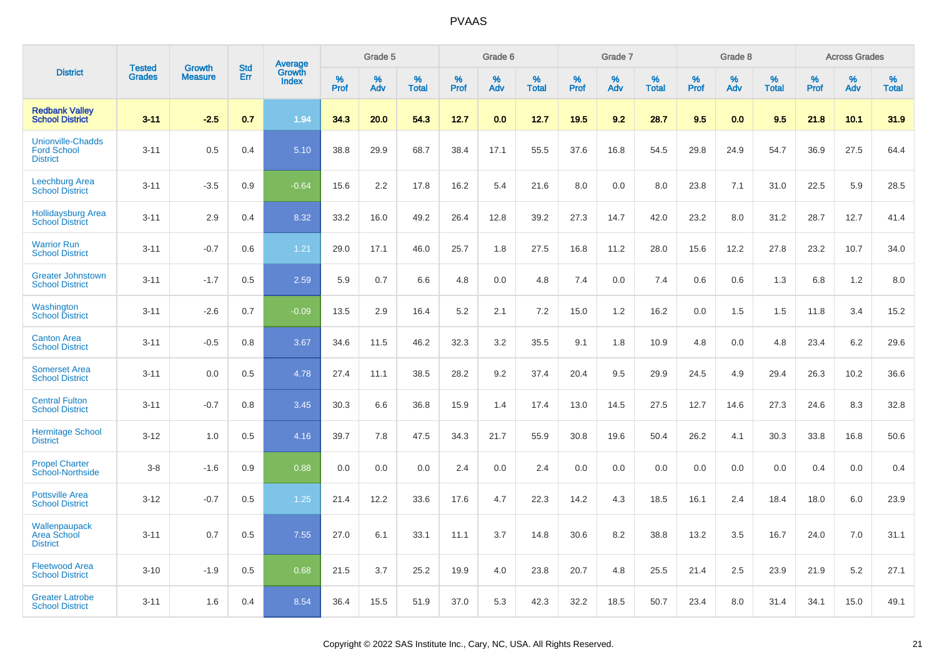|                                                                   | <b>Tested</b> |                                 | <b>Std</b> | Average                |              | Grade 5  |                   |              | Grade 6  |                   |              | Grade 7  |                   |              | Grade 8  |                   |              | <b>Across Grades</b> |                   |
|-------------------------------------------------------------------|---------------|---------------------------------|------------|------------------------|--------------|----------|-------------------|--------------|----------|-------------------|--------------|----------|-------------------|--------------|----------|-------------------|--------------|----------------------|-------------------|
| <b>District</b>                                                   | <b>Grades</b> | <b>Growth</b><br><b>Measure</b> | Err        | Growth<br><b>Index</b> | $\%$<br>Prof | %<br>Adv | %<br><b>Total</b> | $\%$<br>Prof | %<br>Adv | %<br><b>Total</b> | $\%$<br>Prof | %<br>Adv | %<br><b>Total</b> | $\%$<br>Prof | %<br>Adv | %<br><b>Total</b> | $\%$<br>Prof | %<br>Adv             | %<br><b>Total</b> |
| <b>Redbank Valley</b><br><b>School District</b>                   | $3 - 11$      | $-2.5$                          | 0.7        | 1.94                   | 34.3         | 20.0     | 54.3              | 12.7         | 0.0      | 12.7              | 19.5         | 9.2      | 28.7              | 9.5          | 0.0      | 9.5               | 21.8         | 10.1                 | 31.9              |
| <b>Unionville-Chadds</b><br><b>Ford School</b><br><b>District</b> | $3 - 11$      | 0.5                             | 0.4        | 5.10                   | 38.8         | 29.9     | 68.7              | 38.4         | 17.1     | 55.5              | 37.6         | 16.8     | 54.5              | 29.8         | 24.9     | 54.7              | 36.9         | 27.5                 | 64.4              |
| <b>Leechburg Area</b><br><b>School District</b>                   | $3 - 11$      | $-3.5$                          | 0.9        | $-0.64$                | 15.6         | 2.2      | 17.8              | 16.2         | 5.4      | 21.6              | 8.0          | 0.0      | 8.0               | 23.8         | 7.1      | 31.0              | 22.5         | 5.9                  | 28.5              |
| <b>Hollidaysburg Area</b><br><b>School District</b>               | $3 - 11$      | 2.9                             | 0.4        | 8.32                   | 33.2         | 16.0     | 49.2              | 26.4         | 12.8     | 39.2              | 27.3         | 14.7     | 42.0              | 23.2         | 8.0      | 31.2              | 28.7         | 12.7                 | 41.4              |
| <b>Warrior Run</b><br><b>School District</b>                      | $3 - 11$      | $-0.7$                          | 0.6        | 1.21                   | 29.0         | 17.1     | 46.0              | 25.7         | 1.8      | 27.5              | 16.8         | 11.2     | 28.0              | 15.6         | 12.2     | 27.8              | 23.2         | 10.7                 | 34.0              |
| <b>Greater Johnstown</b><br><b>School District</b>                | $3 - 11$      | $-1.7$                          | 0.5        | 2.59                   | 5.9          | 0.7      | 6.6               | 4.8          | 0.0      | 4.8               | 7.4          | 0.0      | 7.4               | 0.6          | 0.6      | 1.3               | 6.8          | 1.2                  | 8.0               |
| Washington<br><b>School District</b>                              | $3 - 11$      | $-2.6$                          | 0.7        | $-0.09$                | 13.5         | 2.9      | 16.4              | 5.2          | 2.1      | 7.2               | 15.0         | 1.2      | 16.2              | 0.0          | 1.5      | 1.5               | 11.8         | 3.4                  | 15.2              |
| <b>Canton Area</b><br><b>School District</b>                      | $3 - 11$      | $-0.5$                          | 0.8        | 3.67                   | 34.6         | 11.5     | 46.2              | 32.3         | 3.2      | 35.5              | 9.1          | 1.8      | 10.9              | 4.8          | 0.0      | 4.8               | 23.4         | 6.2                  | 29.6              |
| <b>Somerset Area</b><br><b>School District</b>                    | $3 - 11$      | 0.0                             | 0.5        | 4.78                   | 27.4         | 11.1     | 38.5              | 28.2         | 9.2      | 37.4              | 20.4         | 9.5      | 29.9              | 24.5         | 4.9      | 29.4              | 26.3         | 10.2                 | 36.6              |
| <b>Central Fulton</b><br><b>School District</b>                   | $3 - 11$      | $-0.7$                          | 0.8        | 3.45                   | 30.3         | 6.6      | 36.8              | 15.9         | 1.4      | 17.4              | 13.0         | 14.5     | 27.5              | 12.7         | 14.6     | 27.3              | 24.6         | 8.3                  | 32.8              |
| <b>Hermitage School</b><br><b>District</b>                        | $3 - 12$      | 1.0                             | 0.5        | 4.16                   | 39.7         | 7.8      | 47.5              | 34.3         | 21.7     | 55.9              | 30.8         | 19.6     | 50.4              | 26.2         | 4.1      | 30.3              | 33.8         | 16.8                 | 50.6              |
| <b>Propel Charter</b><br><b>School-Northside</b>                  | $3 - 8$       | $-1.6$                          | 0.9        | 0.88                   | 0.0          | 0.0      | 0.0               | 2.4          | 0.0      | 2.4               | 0.0          | 0.0      | 0.0               | 0.0          | 0.0      | 0.0               | 0.4          | 0.0                  | 0.4               |
| <b>Pottsville Area</b><br><b>School District</b>                  | $3 - 12$      | $-0.7$                          | 0.5        | 1.25                   | 21.4         | 12.2     | 33.6              | 17.6         | 4.7      | 22.3              | 14.2         | 4.3      | 18.5              | 16.1         | 2.4      | 18.4              | 18.0         | 6.0                  | 23.9              |
| Wallenpaupack<br><b>Area School</b><br><b>District</b>            | $3 - 11$      | 0.7                             | 0.5        | 7.55                   | 27.0         | 6.1      | 33.1              | 11.1         | 3.7      | 14.8              | 30.6         | 8.2      | 38.8              | 13.2         | 3.5      | 16.7              | 24.0         | 7.0                  | 31.1              |
| <b>Fleetwood Area</b><br><b>School District</b>                   | $3 - 10$      | $-1.9$                          | 0.5        | 0.68                   | 21.5         | 3.7      | 25.2              | 19.9         | 4.0      | 23.8              | 20.7         | 4.8      | 25.5              | 21.4         | 2.5      | 23.9              | 21.9         | 5.2                  | 27.1              |
| <b>Greater Latrobe</b><br><b>School District</b>                  | $3 - 11$      | 1.6                             | 0.4        | 8.54                   | 36.4         | 15.5     | 51.9              | 37.0         | 5.3      | 42.3              | 32.2         | 18.5     | 50.7              | 23.4         | 8.0      | 31.4              | 34.1         | 15.0                 | 49.1              |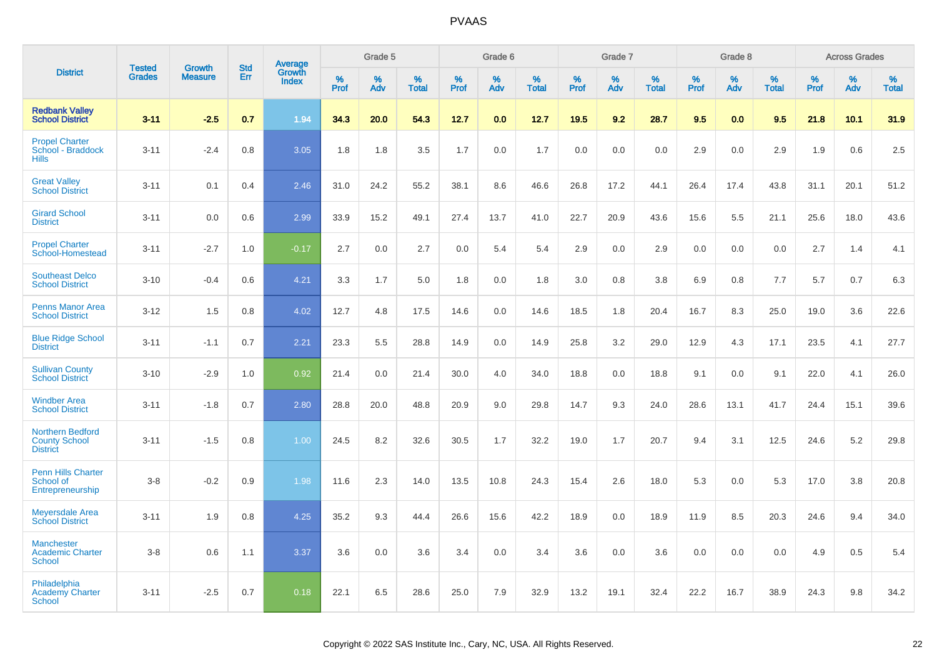|                                                               |                                |                                 | <b>Std</b> | Average                |                  | Grade 5  |                   |                  | Grade 6  |                   |                  | Grade 7  |                   |           | Grade 8  |                   |                  | <b>Across Grades</b> |                   |
|---------------------------------------------------------------|--------------------------------|---------------------------------|------------|------------------------|------------------|----------|-------------------|------------------|----------|-------------------|------------------|----------|-------------------|-----------|----------|-------------------|------------------|----------------------|-------------------|
| <b>District</b>                                               | <b>Tested</b><br><b>Grades</b> | <b>Growth</b><br><b>Measure</b> | Err        | Growth<br><b>Index</b> | %<br><b>Prof</b> | %<br>Adv | %<br><b>Total</b> | %<br><b>Prof</b> | %<br>Adv | %<br><b>Total</b> | %<br><b>Prof</b> | %<br>Adv | %<br><b>Total</b> | %<br>Prof | %<br>Adv | %<br><b>Total</b> | %<br><b>Prof</b> | %<br>Adv             | %<br><b>Total</b> |
| <b>Redbank Valley</b><br><b>School District</b>               | $3 - 11$                       | $-2.5$                          | 0.7        | 1.94                   | 34.3             | 20.0     | 54.3              | 12.7             | 0.0      | 12.7              | 19.5             | 9.2      | 28.7              | 9.5       | 0.0      | 9.5               | 21.8             | 10.1                 | 31.9              |
| <b>Propel Charter</b><br>School - Braddock<br><b>Hills</b>    | $3 - 11$                       | $-2.4$                          | 0.8        | 3.05                   | 1.8              | 1.8      | 3.5               | 1.7              | 0.0      | 1.7               | 0.0              | 0.0      | 0.0               | 2.9       | 0.0      | 2.9               | 1.9              | 0.6                  | 2.5               |
| <b>Great Valley</b><br><b>School District</b>                 | $3 - 11$                       | 0.1                             | 0.4        | 2.46                   | 31.0             | 24.2     | 55.2              | 38.1             | 8.6      | 46.6              | 26.8             | 17.2     | 44.1              | 26.4      | 17.4     | 43.8              | 31.1             | 20.1                 | 51.2              |
| <b>Girard School</b><br><b>District</b>                       | $3 - 11$                       | 0.0                             | 0.6        | 2.99                   | 33.9             | 15.2     | 49.1              | 27.4             | 13.7     | 41.0              | 22.7             | 20.9     | 43.6              | 15.6      | 5.5      | 21.1              | 25.6             | 18.0                 | 43.6              |
| <b>Propel Charter</b><br>School-Homestead                     | $3 - 11$                       | $-2.7$                          | 1.0        | $-0.17$                | 2.7              | 0.0      | 2.7               | 0.0              | 5.4      | 5.4               | 2.9              | 0.0      | 2.9               | 0.0       | 0.0      | 0.0               | 2.7              | 1.4                  | 4.1               |
| <b>Southeast Delco</b><br><b>School District</b>              | $3 - 10$                       | $-0.4$                          | 0.6        | 4.21                   | 3.3              | 1.7      | 5.0               | 1.8              | 0.0      | 1.8               | 3.0              | 0.8      | 3.8               | 6.9       | 0.8      | 7.7               | 5.7              | 0.7                  | 6.3               |
| <b>Penns Manor Area</b><br><b>School District</b>             | $3 - 12$                       | 1.5                             | 0.8        | 4.02                   | 12.7             | 4.8      | 17.5              | 14.6             | 0.0      | 14.6              | 18.5             | 1.8      | 20.4              | 16.7      | 8.3      | 25.0              | 19.0             | 3.6                  | 22.6              |
| <b>Blue Ridge School</b><br><b>District</b>                   | $3 - 11$                       | $-1.1$                          | 0.7        | 2.21                   | 23.3             | 5.5      | 28.8              | 14.9             | 0.0      | 14.9              | 25.8             | 3.2      | 29.0              | 12.9      | 4.3      | 17.1              | 23.5             | 4.1                  | 27.7              |
| <b>Sullivan County</b><br><b>School District</b>              | $3 - 10$                       | $-2.9$                          | 1.0        | 0.92                   | 21.4             | 0.0      | 21.4              | 30.0             | 4.0      | 34.0              | 18.8             | 0.0      | 18.8              | 9.1       | 0.0      | 9.1               | 22.0             | 4.1                  | 26.0              |
| <b>Windber Area</b><br><b>School District</b>                 | $3 - 11$                       | $-1.8$                          | 0.7        | 2.80                   | 28.8             | 20.0     | 48.8              | 20.9             | 9.0      | 29.8              | 14.7             | 9.3      | 24.0              | 28.6      | 13.1     | 41.7              | 24.4             | 15.1                 | 39.6              |
| Northern Bedford<br><b>County School</b><br><b>District</b>   | $3 - 11$                       | $-1.5$                          | 0.8        | 1.00                   | 24.5             | 8.2      | 32.6              | 30.5             | 1.7      | 32.2              | 19.0             | 1.7      | 20.7              | 9.4       | 3.1      | 12.5              | 24.6             | 5.2                  | 29.8              |
| <b>Penn Hills Charter</b><br>School of<br>Entrepreneurship    | $3-8$                          | $-0.2$                          | 0.9        | 1.98                   | 11.6             | 2.3      | 14.0              | 13.5             | 10.8     | 24.3              | 15.4             | 2.6      | 18.0              | 5.3       | 0.0      | 5.3               | 17.0             | 3.8                  | 20.8              |
| <b>Meyersdale Area</b><br><b>School District</b>              | $3 - 11$                       | 1.9                             | 0.8        | 4.25                   | 35.2             | 9.3      | 44.4              | 26.6             | 15.6     | 42.2              | 18.9             | 0.0      | 18.9              | 11.9      | 8.5      | 20.3              | 24.6             | 9.4                  | 34.0              |
| <b>Manchester</b><br><b>Academic Charter</b><br><b>School</b> | $3-8$                          | 0.6                             | 1.1        | 3.37                   | 3.6              | 0.0      | 3.6               | 3.4              | 0.0      | 3.4               | 3.6              | 0.0      | 3.6               | 0.0       | 0.0      | 0.0               | 4.9              | 0.5                  | 5.4               |
| Philadelphia<br><b>Academy Charter</b><br><b>School</b>       | $3 - 11$                       | $-2.5$                          | 0.7        | 0.18                   | 22.1             | 6.5      | 28.6              | 25.0             | 7.9      | 32.9              | 13.2             | 19.1     | 32.4              | 22.2      | 16.7     | 38.9              | 24.3             | 9.8                  | 34.2              |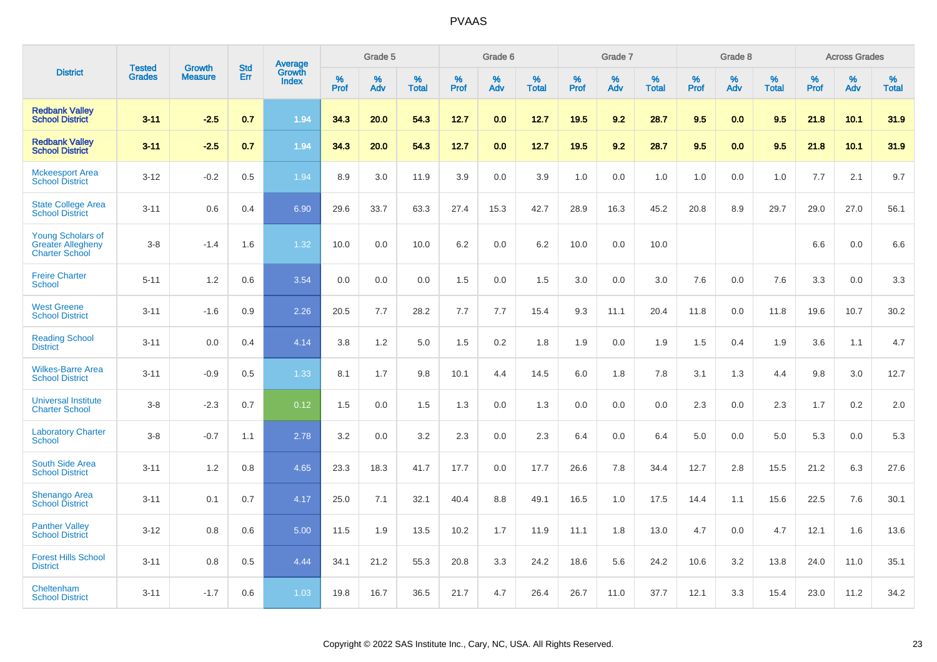|                                                                               | <b>Tested</b> | Growth         | <b>Std</b> | Average                |           | Grade 5  |                      |           | Grade 6  |                   |           | Grade 7  |                      |           | Grade 8  |                   |           | <b>Across Grades</b> |                   |
|-------------------------------------------------------------------------------|---------------|----------------|------------|------------------------|-----------|----------|----------------------|-----------|----------|-------------------|-----------|----------|----------------------|-----------|----------|-------------------|-----------|----------------------|-------------------|
| <b>District</b>                                                               | <b>Grades</b> | <b>Measure</b> | Err        | Growth<br><b>Index</b> | %<br>Prof | %<br>Adv | $\%$<br><b>Total</b> | %<br>Prof | %<br>Adv | %<br><b>Total</b> | %<br>Prof | %<br>Adv | $\%$<br><b>Total</b> | %<br>Prof | %<br>Adv | %<br><b>Total</b> | %<br>Prof | %<br>Adv             | %<br><b>Total</b> |
| <b>Redbank Valley</b><br><b>School District</b>                               | $3 - 11$      | $-2.5$         | 0.7        | 1.94                   | 34.3      | 20.0     | 54.3                 | 12.7      | 0.0      | 12.7              | 19.5      | 9.2      | 28.7                 | 9.5       | 0.0      | 9.5               | 21.8      | 10.1                 | 31.9              |
| <b>Redbank Valley</b><br><b>School District</b>                               | $3 - 11$      | $-2.5$         | 0.7        | 1.94                   | 34.3      | 20.0     | 54.3                 | $12.7$    | 0.0      | 12.7              | 19.5      | 9.2      | 28.7                 | 9.5       | 0.0      | 9.5               | 21.8      | 10.1                 | 31.9              |
| <b>Mckeesport Area</b><br><b>School District</b>                              | $3 - 12$      | $-0.2$         | 0.5        | 1.94                   | 8.9       | 3.0      | 11.9                 | 3.9       | 0.0      | 3.9               | 1.0       | 0.0      | 1.0                  | 1.0       | 0.0      | 1.0               | 7.7       | 2.1                  | 9.7               |
| <b>State College Area</b><br><b>School District</b>                           | $3 - 11$      | 0.6            | 0.4        | 6.90                   | 29.6      | 33.7     | 63.3                 | 27.4      | 15.3     | 42.7              | 28.9      | 16.3     | 45.2                 | 20.8      | 8.9      | 29.7              | 29.0      | 27.0                 | 56.1              |
| <b>Young Scholars of</b><br><b>Greater Allegheny</b><br><b>Charter School</b> | $3 - 8$       | $-1.4$         | 1.6        | 1.32                   | 10.0      | 0.0      | 10.0                 | 6.2       | 0.0      | 6.2               | 10.0      | 0.0      | 10.0                 |           |          |                   | 6.6       | 0.0                  | 6.6               |
| <b>Freire Charter</b><br><b>School</b>                                        | $5 - 11$      | 1.2            | 0.6        | 3.54                   | 0.0       | 0.0      | 0.0                  | 1.5       | 0.0      | 1.5               | 3.0       | 0.0      | 3.0                  | 7.6       | 0.0      | 7.6               | 3.3       | 0.0                  | 3.3               |
| <b>West Greene</b><br><b>School District</b>                                  | $3 - 11$      | $-1.6$         | 0.9        | 2.26                   | 20.5      | 7.7      | 28.2                 | 7.7       | 7.7      | 15.4              | 9.3       | 11.1     | 20.4                 | 11.8      | 0.0      | 11.8              | 19.6      | 10.7                 | 30.2              |
| <b>Reading School</b><br><b>District</b>                                      | $3 - 11$      | 0.0            | 0.4        | 4.14                   | 3.8       | 1.2      | 5.0                  | 1.5       | 0.2      | 1.8               | 1.9       | 0.0      | 1.9                  | 1.5       | 0.4      | 1.9               | 3.6       | 1.1                  | 4.7               |
| <b>Wilkes-Barre Area</b><br><b>School District</b>                            | $3 - 11$      | $-0.9$         | 0.5        | 1.33                   | 8.1       | 1.7      | 9.8                  | 10.1      | 4.4      | 14.5              | 6.0       | 1.8      | 7.8                  | 3.1       | 1.3      | 4.4               | 9.8       | 3.0                  | 12.7              |
| <b>Universal Institute</b><br><b>Charter School</b>                           | $3 - 8$       | $-2.3$         | 0.7        | 0.12                   | 1.5       | 0.0      | 1.5                  | 1.3       | 0.0      | 1.3               | 0.0       | 0.0      | 0.0                  | 2.3       | 0.0      | 2.3               | 1.7       | 0.2                  | 2.0               |
| <b>Laboratory Charter</b><br><b>School</b>                                    | $3 - 8$       | $-0.7$         | 1.1        | 2.78                   | 3.2       | 0.0      | 3.2                  | 2.3       | 0.0      | 2.3               | 6.4       | 0.0      | 6.4                  | 5.0       | 0.0      | 5.0               | 5.3       | 0.0                  | 5.3               |
| <b>South Side Area</b><br><b>School District</b>                              | $3 - 11$      | 1.2            | 0.8        | 4.65                   | 23.3      | 18.3     | 41.7                 | 17.7      | 0.0      | 17.7              | 26.6      | 7.8      | 34.4                 | 12.7      | 2.8      | 15.5              | 21.2      | 6.3                  | 27.6              |
| <b>Shenango Area</b><br><b>School District</b>                                | $3 - 11$      | 0.1            | 0.7        | 4.17                   | 25.0      | 7.1      | 32.1                 | 40.4      | 8.8      | 49.1              | 16.5      | 1.0      | 17.5                 | 14.4      | 1.1      | 15.6              | 22.5      | 7.6                  | 30.1              |
| <b>Panther Valley</b><br><b>School District</b>                               | $3 - 12$      | 0.8            | 0.6        | 5.00                   | 11.5      | 1.9      | 13.5                 | 10.2      | 1.7      | 11.9              | 11.1      | 1.8      | 13.0                 | 4.7       | 0.0      | 4.7               | 12.1      | 1.6                  | 13.6              |
| <b>Forest Hills School</b><br><b>District</b>                                 | $3 - 11$      | 0.8            | 0.5        | 4.44                   | 34.1      | 21.2     | 55.3                 | 20.8      | 3.3      | 24.2              | 18.6      | 5.6      | 24.2                 | 10.6      | 3.2      | 13.8              | 24.0      | 11.0                 | 35.1              |
| Cheltenham<br><b>School District</b>                                          | $3 - 11$      | $-1.7$         | 0.6        | 1.03                   | 19.8      | 16.7     | 36.5                 | 21.7      | 4.7      | 26.4              | 26.7      | 11.0     | 37.7                 | 12.1      | 3.3      | 15.4              | 23.0      | 11.2                 | 34.2              |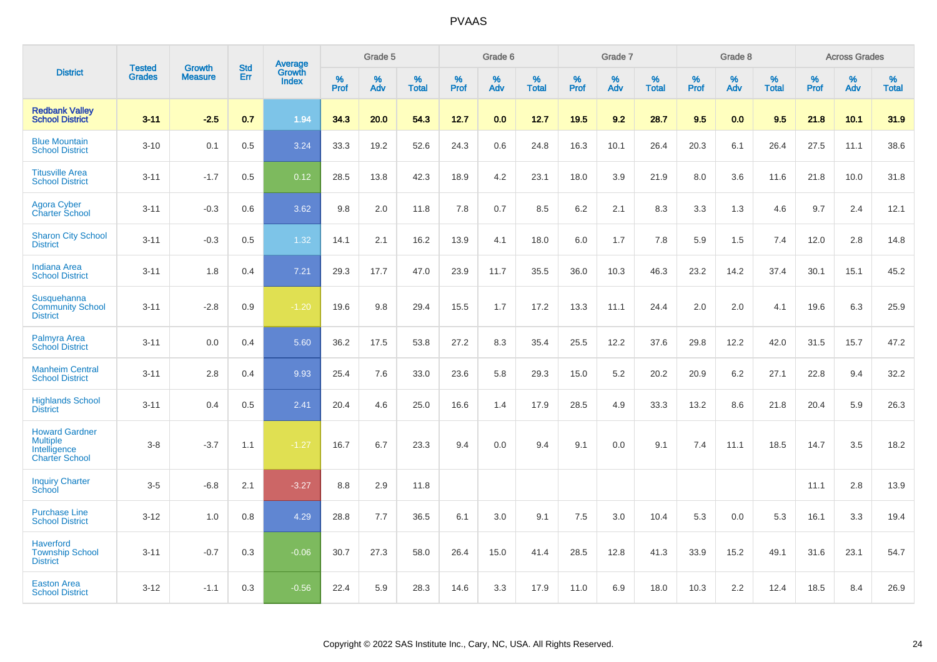|                                                                                   |                                | <b>Growth</b>  | <b>Std</b> | Average                |              | Grade 5  |                   |           | Grade 6  |                   |              | Grade 7  |                   |              | Grade 8  |                   |              | <b>Across Grades</b> |                   |
|-----------------------------------------------------------------------------------|--------------------------------|----------------|------------|------------------------|--------------|----------|-------------------|-----------|----------|-------------------|--------------|----------|-------------------|--------------|----------|-------------------|--------------|----------------------|-------------------|
| <b>District</b>                                                                   | <b>Tested</b><br><b>Grades</b> | <b>Measure</b> | Err        | Growth<br><b>Index</b> | $\%$<br>Prof | %<br>Adv | %<br><b>Total</b> | %<br>Prof | %<br>Adv | %<br><b>Total</b> | $\%$<br>Prof | %<br>Adv | %<br><b>Total</b> | $\%$<br>Prof | %<br>Adv | %<br><b>Total</b> | $\%$<br>Prof | $\%$<br>Adv          | %<br><b>Total</b> |
| <b>Redbank Valley</b><br><b>School District</b>                                   | $3 - 11$                       | $-2.5$         | 0.7        | 1.94                   | 34.3         | 20.0     | 54.3              | 12.7      | 0.0      | 12.7              | 19.5         | 9.2      | 28.7              | 9.5          | 0.0      | 9.5               | 21.8         | 10.1                 | 31.9              |
| <b>Blue Mountain</b><br><b>School District</b>                                    | $3 - 10$                       | 0.1            | 0.5        | 3.24                   | 33.3         | 19.2     | 52.6              | 24.3      | 0.6      | 24.8              | 16.3         | 10.1     | 26.4              | 20.3         | 6.1      | 26.4              | 27.5         | 11.1                 | 38.6              |
| <b>Titusville Area</b><br><b>School District</b>                                  | $3 - 11$                       | $-1.7$         | 0.5        | 0.12                   | 28.5         | 13.8     | 42.3              | 18.9      | 4.2      | 23.1              | 18.0         | 3.9      | 21.9              | 8.0          | 3.6      | 11.6              | 21.8         | 10.0                 | 31.8              |
| <b>Agora Cyber</b><br><b>Charter School</b>                                       | $3 - 11$                       | $-0.3$         | 0.6        | 3.62                   | 9.8          | 2.0      | 11.8              | 7.8       | 0.7      | 8.5               | 6.2          | 2.1      | 8.3               | 3.3          | 1.3      | 4.6               | 9.7          | 2.4                  | 12.1              |
| <b>Sharon City School</b><br><b>District</b>                                      | $3 - 11$                       | $-0.3$         | 0.5        | 1.32                   | 14.1         | 2.1      | 16.2              | 13.9      | 4.1      | 18.0              | 6.0          | 1.7      | 7.8               | 5.9          | 1.5      | 7.4               | 12.0         | 2.8                  | 14.8              |
| <b>Indiana Area</b><br><b>School District</b>                                     | $3 - 11$                       | 1.8            | 0.4        | 7.21                   | 29.3         | 17.7     | 47.0              | 23.9      | 11.7     | 35.5              | 36.0         | 10.3     | 46.3              | 23.2         | 14.2     | 37.4              | 30.1         | 15.1                 | 45.2              |
| Susquehanna<br><b>Community School</b><br><b>District</b>                         | $3 - 11$                       | $-2.8$         | $0.9\,$    | $-1.20$                | 19.6         | 9.8      | 29.4              | 15.5      | 1.7      | 17.2              | 13.3         | 11.1     | 24.4              | 2.0          | 2.0      | 4.1               | 19.6         | 6.3                  | 25.9              |
| Palmyra Area<br><b>School District</b>                                            | $3 - 11$                       | 0.0            | 0.4        | 5.60                   | 36.2         | 17.5     | 53.8              | 27.2      | 8.3      | 35.4              | 25.5         | 12.2     | 37.6              | 29.8         | 12.2     | 42.0              | 31.5         | 15.7                 | 47.2              |
| <b>Manheim Central</b><br><b>School District</b>                                  | $3 - 11$                       | 2.8            | 0.4        | 9.93                   | 25.4         | 7.6      | 33.0              | 23.6      | 5.8      | 29.3              | 15.0         | 5.2      | 20.2              | 20.9         | 6.2      | 27.1              | 22.8         | 9.4                  | 32.2              |
| <b>Highlands School</b><br><b>District</b>                                        | $3 - 11$                       | 0.4            | 0.5        | 2.41                   | 20.4         | 4.6      | 25.0              | 16.6      | 1.4      | 17.9              | 28.5         | 4.9      | 33.3              | 13.2         | 8.6      | 21.8              | 20.4         | 5.9                  | 26.3              |
| <b>Howard Gardner</b><br><b>Multiple</b><br>Intelligence<br><b>Charter School</b> | $3 - 8$                        | $-3.7$         | 1.1        | $-1.27$                | 16.7         | 6.7      | 23.3              | 9.4       | 0.0      | 9.4               | 9.1          | 0.0      | 9.1               | 7.4          | 11.1     | 18.5              | 14.7         | 3.5                  | 18.2              |
| <b>Inquiry Charter</b><br>School                                                  | $3-5$                          | $-6.8$         | 2.1        | $-3.27$                | 8.8          | 2.9      | 11.8              |           |          |                   |              |          |                   |              |          |                   | 11.1         | 2.8                  | 13.9              |
| <b>Purchase Line</b><br><b>School District</b>                                    | $3 - 12$                       | 1.0            | 0.8        | 4.29                   | 28.8         | 7.7      | 36.5              | 6.1       | 3.0      | 9.1               | 7.5          | 3.0      | 10.4              | 5.3          | 0.0      | 5.3               | 16.1         | 3.3                  | 19.4              |
| <b>Haverford</b><br><b>Township School</b><br><b>District</b>                     | $3 - 11$                       | $-0.7$         | 0.3        | $-0.06$                | 30.7         | 27.3     | 58.0              | 26.4      | 15.0     | 41.4              | 28.5         | 12.8     | 41.3              | 33.9         | 15.2     | 49.1              | 31.6         | 23.1                 | 54.7              |
| <b>Easton Area</b><br><b>School District</b>                                      | $3 - 12$                       | $-1.1$         | 0.3        | $-0.56$                | 22.4         | 5.9      | 28.3              | 14.6      | 3.3      | 17.9              | 11.0         | 6.9      | 18.0              | 10.3         | 2.2      | 12.4              | 18.5         | 8.4                  | 26.9              |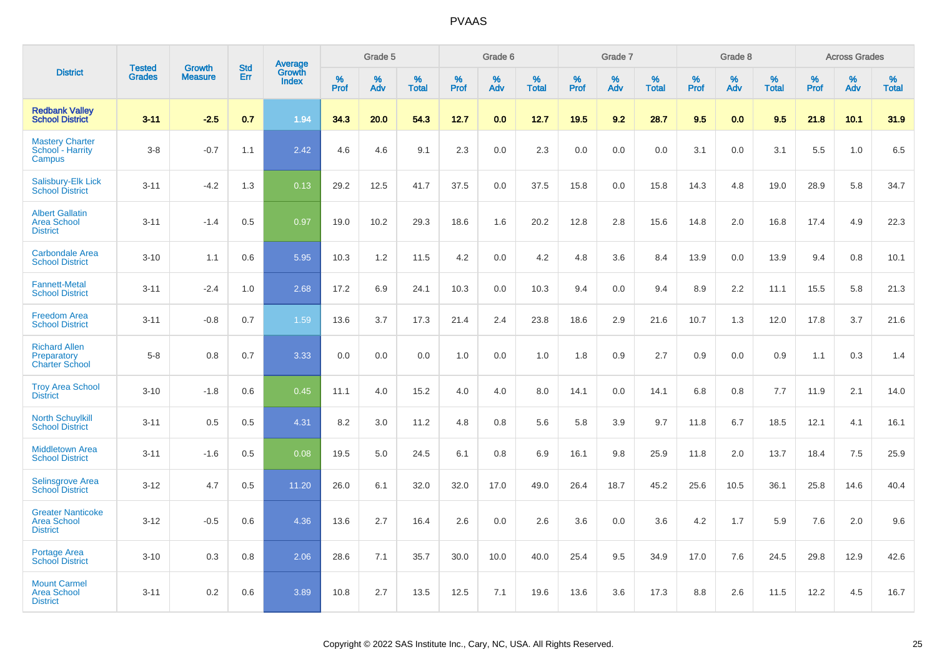|                                                                   |                                |                                 |                   | Average                |                     | Grade 5     |                   |                  | Grade 6  |                   |                  | Grade 7  |                   |           | Grade 8  |                   |              | <b>Across Grades</b> |                   |
|-------------------------------------------------------------------|--------------------------------|---------------------------------|-------------------|------------------------|---------------------|-------------|-------------------|------------------|----------|-------------------|------------------|----------|-------------------|-----------|----------|-------------------|--------------|----------------------|-------------------|
| <b>District</b>                                                   | <b>Tested</b><br><b>Grades</b> | <b>Growth</b><br><b>Measure</b> | <b>Std</b><br>Err | Growth<br><b>Index</b> | $\%$<br><b>Prof</b> | $\%$<br>Adv | %<br><b>Total</b> | %<br><b>Prof</b> | %<br>Adv | %<br><b>Total</b> | %<br><b>Prof</b> | %<br>Adv | %<br><b>Total</b> | %<br>Prof | %<br>Adv | %<br><b>Total</b> | $\%$<br>Prof | %<br>Adv             | %<br><b>Total</b> |
| <b>Redbank Valley</b><br><b>School District</b>                   | $3 - 11$                       | $-2.5$                          | 0.7               | 1.94                   | 34.3                | 20.0        | 54.3              | 12.7             | 0.0      | 12.7              | 19.5             | 9.2      | 28.7              | 9.5       | 0.0      | 9.5               | 21.8         | 10.1                 | 31.9              |
| <b>Mastery Charter</b><br>School - Harrity<br>Campus              | $3-8$                          | $-0.7$                          | 1.1               | 2.42                   | 4.6                 | 4.6         | 9.1               | 2.3              | 0.0      | 2.3               | 0.0              | 0.0      | 0.0               | 3.1       | 0.0      | 3.1               | 5.5          | 1.0                  | 6.5               |
| Salisbury-Elk Lick<br><b>School District</b>                      | $3 - 11$                       | $-4.2$                          | 1.3               | 0.13                   | 29.2                | 12.5        | 41.7              | 37.5             | 0.0      | 37.5              | 15.8             | 0.0      | 15.8              | 14.3      | 4.8      | 19.0              | 28.9         | 5.8                  | 34.7              |
| <b>Albert Gallatin</b><br><b>Area School</b><br><b>District</b>   | $3 - 11$                       | $-1.4$                          | 0.5               | 0.97                   | 19.0                | 10.2        | 29.3              | 18.6             | 1.6      | 20.2              | 12.8             | 2.8      | 15.6              | 14.8      | 2.0      | 16.8              | 17.4         | 4.9                  | 22.3              |
| <b>Carbondale Area</b><br><b>School District</b>                  | $3 - 10$                       | 1.1                             | 0.6               | 5.95                   | 10.3                | 1.2         | 11.5              | 4.2              | 0.0      | 4.2               | 4.8              | 3.6      | 8.4               | 13.9      | 0.0      | 13.9              | 9.4          | 0.8                  | 10.1              |
| <b>Fannett-Metal</b><br><b>School District</b>                    | $3 - 11$                       | $-2.4$                          | 1.0               | 2.68                   | 17.2                | 6.9         | 24.1              | 10.3             | 0.0      | 10.3              | 9.4              | 0.0      | 9.4               | 8.9       | 2.2      | 11.1              | 15.5         | 5.8                  | 21.3              |
| <b>Freedom Area</b><br><b>School District</b>                     | $3 - 11$                       | $-0.8$                          | 0.7               | 1.59                   | 13.6                | 3.7         | 17.3              | 21.4             | 2.4      | 23.8              | 18.6             | 2.9      | 21.6              | 10.7      | 1.3      | 12.0              | 17.8         | 3.7                  | 21.6              |
| <b>Richard Allen</b><br>Preparatory<br><b>Charter School</b>      | $5-8$                          | 0.8                             | 0.7               | 3.33                   | 0.0                 | 0.0         | 0.0               | 1.0              | 0.0      | 1.0               | 1.8              | 0.9      | 2.7               | 0.9       | 0.0      | 0.9               | 1.1          | 0.3                  | 1.4               |
| <b>Troy Area School</b><br><b>District</b>                        | $3 - 10$                       | $-1.8$                          | 0.6               | 0.45                   | 11.1                | 4.0         | 15.2              | 4.0              | 4.0      | 8.0               | 14.1             | 0.0      | 14.1              | 6.8       | 0.8      | 7.7               | 11.9         | 2.1                  | 14.0              |
| <b>North Schuylkill</b><br><b>School District</b>                 | $3 - 11$                       | 0.5                             | 0.5               | 4.31                   | 8.2                 | 3.0         | 11.2              | 4.8              | 0.8      | 5.6               | 5.8              | 3.9      | 9.7               | 11.8      | 6.7      | 18.5              | 12.1         | 4.1                  | 16.1              |
| <b>Middletown Area</b><br><b>School District</b>                  | $3 - 11$                       | $-1.6$                          | 0.5               | 0.08                   | 19.5                | 5.0         | 24.5              | 6.1              | 0.8      | 6.9               | 16.1             | 9.8      | 25.9              | 11.8      | 2.0      | 13.7              | 18.4         | 7.5                  | 25.9              |
| <b>Selinsgrove Area</b><br><b>School District</b>                 | $3 - 12$                       | 4.7                             | 0.5               | 11.20                  | 26.0                | 6.1         | 32.0              | 32.0             | 17.0     | 49.0              | 26.4             | 18.7     | 45.2              | 25.6      | 10.5     | 36.1              | 25.8         | 14.6                 | 40.4              |
| <b>Greater Nanticoke</b><br><b>Area School</b><br><b>District</b> | $3 - 12$                       | $-0.5$                          | 0.6               | 4.36                   | 13.6                | 2.7         | 16.4              | 2.6              | 0.0      | 2.6               | 3.6              | 0.0      | 3.6               | 4.2       | 1.7      | 5.9               | 7.6          | 2.0                  | 9.6               |
| Portage Area<br><b>School District</b>                            | $3 - 10$                       | 0.3                             | 0.8               | 2.06                   | 28.6                | 7.1         | 35.7              | 30.0             | 10.0     | 40.0              | 25.4             | 9.5      | 34.9              | 17.0      | 7.6      | 24.5              | 29.8         | 12.9                 | 42.6              |
| <b>Mount Carmel</b><br><b>Area School</b><br><b>District</b>      | $3 - 11$                       | 0.2                             | 0.6               | 3.89                   | 10.8                | 2.7         | 13.5              | 12.5             | 7.1      | 19.6              | 13.6             | 3.6      | 17.3              | 8.8       | 2.6      | 11.5              | 12.2         | 4.5                  | 16.7              |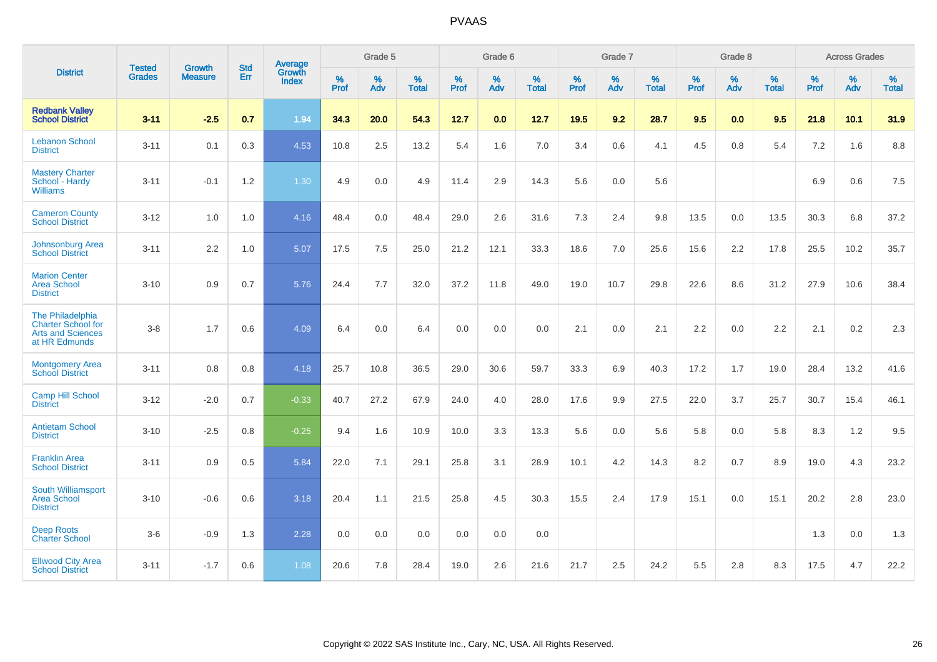|                                                                                            |                                |                                 | <b>Std</b> | Average                       |                     | Grade 5  |                   |              | Grade 6  |                   |              | Grade 7  |                   |                     | Grade 8  |                   |              | <b>Across Grades</b> |                   |
|--------------------------------------------------------------------------------------------|--------------------------------|---------------------------------|------------|-------------------------------|---------------------|----------|-------------------|--------------|----------|-------------------|--------------|----------|-------------------|---------------------|----------|-------------------|--------------|----------------------|-------------------|
| <b>District</b>                                                                            | <b>Tested</b><br><b>Grades</b> | <b>Growth</b><br><b>Measure</b> | Err        | <b>Growth</b><br><b>Index</b> | $\%$<br><b>Prof</b> | %<br>Adv | %<br><b>Total</b> | $\%$<br>Prof | %<br>Adv | %<br><b>Total</b> | $\%$<br>Prof | %<br>Adv | %<br><b>Total</b> | $\%$<br><b>Prof</b> | %<br>Adv | %<br><b>Total</b> | $\%$<br>Prof | %<br>Adv             | %<br><b>Total</b> |
| <b>Redbank Valley</b><br><b>School District</b>                                            | $3 - 11$                       | $-2.5$                          | 0.7        | 1.94                          | 34.3                | 20.0     | 54.3              | 12.7         | 0.0      | 12.7              | 19.5         | 9.2      | 28.7              | 9.5                 | 0.0      | 9.5               | 21.8         | 10.1                 | 31.9              |
| <b>Lebanon School</b><br><b>District</b>                                                   | $3 - 11$                       | 0.1                             | 0.3        | 4.53                          | 10.8                | 2.5      | 13.2              | 5.4          | 1.6      | 7.0               | 3.4          | 0.6      | 4.1               | 4.5                 | 0.8      | 5.4               | 7.2          | 1.6                  | 8.8               |
| <b>Mastery Charter</b><br>School - Hardy<br><b>Williams</b>                                | $3 - 11$                       | $-0.1$                          | 1.2        | 1.30                          | 4.9                 | 0.0      | 4.9               | 11.4         | 2.9      | 14.3              | 5.6          | 0.0      | 5.6               |                     |          |                   | 6.9          | 0.6                  | 7.5               |
| <b>Cameron County</b><br><b>School District</b>                                            | $3 - 12$                       | 1.0                             | 1.0        | 4.16                          | 48.4                | 0.0      | 48.4              | 29.0         | 2.6      | 31.6              | $7.3$        | 2.4      | 9.8               | 13.5                | 0.0      | 13.5              | 30.3         | 6.8                  | 37.2              |
| <b>Johnsonburg Area</b><br><b>School District</b>                                          | $3 - 11$                       | 2.2                             | 1.0        | 5.07                          | 17.5                | 7.5      | 25.0              | 21.2         | 12.1     | 33.3              | 18.6         | 7.0      | 25.6              | 15.6                | 2.2      | 17.8              | 25.5         | 10.2                 | 35.7              |
| <b>Marion Center</b><br><b>Area School</b><br><b>District</b>                              | $3 - 10$                       | 0.9                             | 0.7        | 5.76                          | 24.4                | 7.7      | 32.0              | 37.2         | 11.8     | 49.0              | 19.0         | 10.7     | 29.8              | 22.6                | 8.6      | 31.2              | 27.9         | 10.6                 | 38.4              |
| The Philadelphia<br><b>Charter School for</b><br><b>Arts and Sciences</b><br>at HR Edmunds | $3 - 8$                        | 1.7                             | 0.6        | 4.09                          | 6.4                 | 0.0      | 6.4               | 0.0          | 0.0      | 0.0               | 2.1          | 0.0      | 2.1               | 2.2                 | 0.0      | 2.2               | 2.1          | 0.2                  | 2.3               |
| <b>Montgomery Area</b><br><b>School District</b>                                           | $3 - 11$                       | 0.8                             | 0.8        | 4.18                          | 25.7                | 10.8     | 36.5              | 29.0         | 30.6     | 59.7              | 33.3         | 6.9      | 40.3              | 17.2                | 1.7      | 19.0              | 28.4         | 13.2                 | 41.6              |
| <b>Camp Hill School</b><br><b>District</b>                                                 | $3 - 12$                       | $-2.0$                          | 0.7        | $-0.33$                       | 40.7                | 27.2     | 67.9              | 24.0         | 4.0      | 28.0              | 17.6         | 9.9      | 27.5              | 22.0                | 3.7      | 25.7              | 30.7         | 15.4                 | 46.1              |
| <b>Antietam School</b><br><b>District</b>                                                  | $3 - 10$                       | $-2.5$                          | 0.8        | $-0.25$                       | 9.4                 | 1.6      | 10.9              | 10.0         | 3.3      | 13.3              | 5.6          | 0.0      | 5.6               | 5.8                 | 0.0      | 5.8               | 8.3          | 1.2                  | 9.5               |
| <b>Franklin Area</b><br><b>School District</b>                                             | $3 - 11$                       | 0.9                             | 0.5        | 5.84                          | 22.0                | 7.1      | 29.1              | 25.8         | 3.1      | 28.9              | 10.1         | 4.2      | 14.3              | 8.2                 | 0.7      | 8.9               | 19.0         | 4.3                  | 23.2              |
| South Williamsport<br><b>Area School</b><br><b>District</b>                                | $3 - 10$                       | $-0.6$                          | 0.6        | 3.18                          | 20.4                | 1.1      | 21.5              | 25.8         | 4.5      | 30.3              | 15.5         | 2.4      | 17.9              | 15.1                | 0.0      | 15.1              | 20.2         | 2.8                  | 23.0              |
| <b>Deep Roots</b><br><b>Charter School</b>                                                 | $3-6$                          | $-0.9$                          | 1.3        | 2.28                          | 0.0                 | 0.0      | 0.0               | 0.0          | 0.0      | 0.0               |              |          |                   |                     |          |                   | 1.3          | 0.0                  | 1.3               |
| <b>Ellwood City Area</b><br><b>School District</b>                                         | $3 - 11$                       | $-1.7$                          | 0.6        | 1.08                          | 20.6                | 7.8      | 28.4              | 19.0         | 2.6      | 21.6              | 21.7         | 2.5      | 24.2              | 5.5                 | 2.8      | 8.3               | 17.5         | 4.7                  | 22.2              |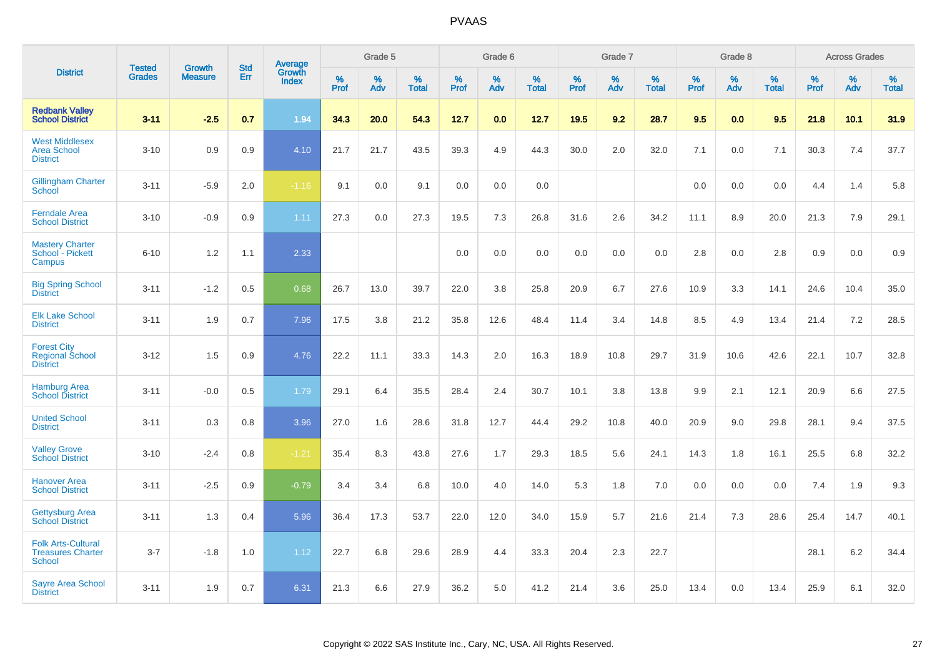|                                                                        |                                | <b>Growth</b>  | <b>Std</b> |                                          |              | Grade 5  |                   |              | Grade 6  |                   |              | Grade 7  |                   |              | Grade 8  |                   |              | <b>Across Grades</b> |                   |
|------------------------------------------------------------------------|--------------------------------|----------------|------------|------------------------------------------|--------------|----------|-------------------|--------------|----------|-------------------|--------------|----------|-------------------|--------------|----------|-------------------|--------------|----------------------|-------------------|
| <b>District</b>                                                        | <b>Tested</b><br><b>Grades</b> | <b>Measure</b> | Err        | <b>Average</b><br>Growth<br><b>Index</b> | $\%$<br>Prof | %<br>Adv | %<br><b>Total</b> | $\%$<br>Prof | %<br>Adv | %<br><b>Total</b> | $\%$<br>Prof | %<br>Adv | %<br><b>Total</b> | $\%$<br>Prof | %<br>Adv | %<br><b>Total</b> | $\%$<br>Prof | %<br>Adv             | %<br><b>Total</b> |
| <b>Redbank Valley</b><br><b>School District</b>                        | $3 - 11$                       | $-2.5$         | 0.7        | 1.94                                     | 34.3         | 20.0     | 54.3              | 12.7         | 0.0      | 12.7              | 19.5         | 9.2      | 28.7              | 9.5          | 0.0      | 9.5               | 21.8         | 10.1                 | 31.9              |
| <b>West Middlesex</b><br><b>Area School</b><br><b>District</b>         | $3 - 10$                       | 0.9            | 0.9        | 4.10                                     | 21.7         | 21.7     | 43.5              | 39.3         | 4.9      | 44.3              | 30.0         | 2.0      | 32.0              | 7.1          | 0.0      | 7.1               | 30.3         | 7.4                  | 37.7              |
| <b>Gillingham Charter</b><br>School                                    | $3 - 11$                       | $-5.9$         | 2.0        | $-1.16$                                  | 9.1          | 0.0      | 9.1               | 0.0          | 0.0      | 0.0               |              |          |                   | 0.0          | 0.0      | 0.0               | 4.4          | 1.4                  | 5.8               |
| <b>Ferndale Area</b><br><b>School District</b>                         | $3 - 10$                       | $-0.9$         | 0.9        | 1.11                                     | 27.3         | 0.0      | 27.3              | 19.5         | 7.3      | 26.8              | 31.6         | 2.6      | 34.2              | 11.1         | 8.9      | 20.0              | 21.3         | 7.9                  | 29.1              |
| <b>Mastery Charter</b><br>School - Pickett<br>Campus                   | $6 - 10$                       | 1.2            | 1.1        | 2.33                                     |              |          |                   | 0.0          | 0.0      | 0.0               | 0.0          | 0.0      | 0.0               | 2.8          | 0.0      | 2.8               | 0.9          | 0.0                  | 0.9               |
| <b>Big Spring School</b><br><b>District</b>                            | $3 - 11$                       | $-1.2$         | 0.5        | 0.68                                     | 26.7         | 13.0     | 39.7              | 22.0         | 3.8      | 25.8              | 20.9         | 6.7      | 27.6              | 10.9         | 3.3      | 14.1              | 24.6         | 10.4                 | 35.0              |
| <b>Elk Lake School</b><br><b>District</b>                              | $3 - 11$                       | 1.9            | 0.7        | 7.96                                     | 17.5         | 3.8      | 21.2              | 35.8         | 12.6     | 48.4              | 11.4         | 3.4      | 14.8              | 8.5          | 4.9      | 13.4              | 21.4         | 7.2                  | 28.5              |
| <b>Forest City</b><br><b>Regional School</b><br><b>District</b>        | $3 - 12$                       | 1.5            | 0.9        | 4.76                                     | 22.2         | 11.1     | 33.3              | 14.3         | 2.0      | 16.3              | 18.9         | 10.8     | 29.7              | 31.9         | 10.6     | 42.6              | 22.1         | 10.7                 | 32.8              |
| <b>Hamburg Area</b><br><b>School District</b>                          | $3 - 11$                       | $-0.0$         | 0.5        | 1.79                                     | 29.1         | 6.4      | 35.5              | 28.4         | 2.4      | 30.7              | 10.1         | 3.8      | 13.8              | 9.9          | 2.1      | 12.1              | 20.9         | 6.6                  | 27.5              |
| <b>United School</b><br><b>District</b>                                | $3 - 11$                       | 0.3            | 0.8        | 3.96                                     | 27.0         | 1.6      | 28.6              | 31.8         | 12.7     | 44.4              | 29.2         | 10.8     | 40.0              | 20.9         | 9.0      | 29.8              | 28.1         | 9.4                  | 37.5              |
| <b>Valley Grove</b><br><b>School District</b>                          | $3 - 10$                       | $-2.4$         | 0.8        | $-1.21$                                  | 35.4         | 8.3      | 43.8              | 27.6         | 1.7      | 29.3              | 18.5         | 5.6      | 24.1              | 14.3         | 1.8      | 16.1              | 25.5         | 6.8                  | 32.2              |
| <b>Hanover Area</b><br><b>School District</b>                          | $3 - 11$                       | $-2.5$         | 0.9        | $-0.79$                                  | 3.4          | 3.4      | 6.8               | 10.0         | 4.0      | 14.0              | 5.3          | 1.8      | 7.0               | 0.0          | 0.0      | 0.0               | 7.4          | 1.9                  | 9.3               |
| <b>Gettysburg Area</b><br><b>School District</b>                       | $3 - 11$                       | 1.3            | 0.4        | 5.96                                     | 36.4         | 17.3     | 53.7              | 22.0         | 12.0     | 34.0              | 15.9         | 5.7      | 21.6              | 21.4         | 7.3      | 28.6              | 25.4         | 14.7                 | 40.1              |
| <b>Folk Arts-Cultural</b><br><b>Treasures Charter</b><br><b>School</b> | $3 - 7$                        | $-1.8$         | 1.0        | 1.12                                     | 22.7         | 6.8      | 29.6              | 28.9         | 4.4      | 33.3              | 20.4         | 2.3      | 22.7              |              |          |                   | 28.1         | $6.2\,$              | 34.4              |
| <b>Sayre Area School</b><br><b>District</b>                            | $3 - 11$                       | 1.9            | 0.7        | 6.31                                     | 21.3         | 6.6      | 27.9              | 36.2         | 5.0      | 41.2              | 21.4         | 3.6      | 25.0              | 13.4         | 0.0      | 13.4              | 25.9         | 6.1                  | 32.0              |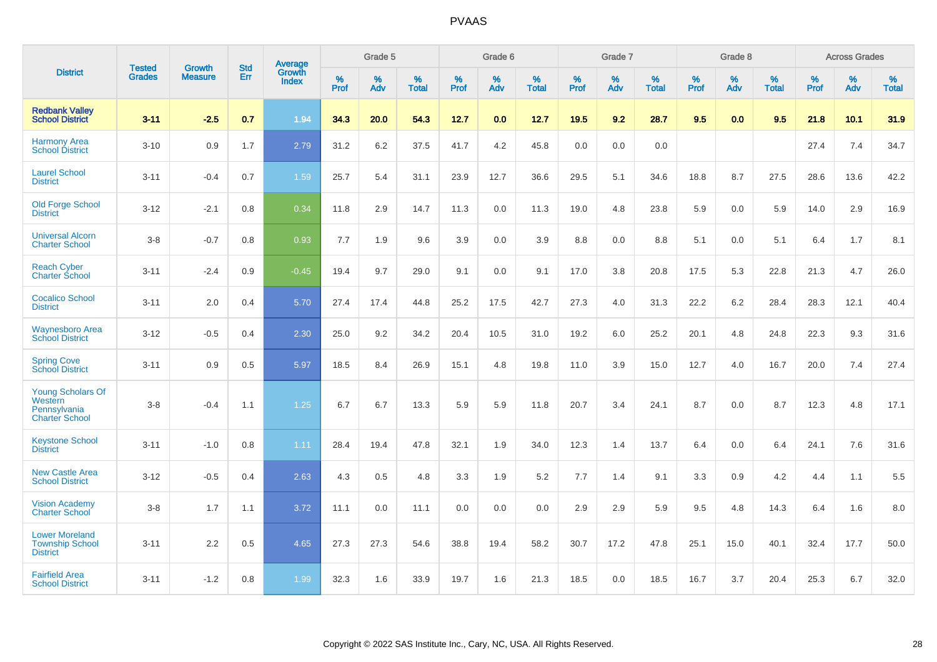|                                                                       |                                |                                 | <b>Std</b> | Average         |           | Grade 5  |                   |           | Grade 6  |                   |           | Grade 7  |                   |           | Grade 8  |                   |           | <b>Across Grades</b> |                   |
|-----------------------------------------------------------------------|--------------------------------|---------------------------------|------------|-----------------|-----------|----------|-------------------|-----------|----------|-------------------|-----------|----------|-------------------|-----------|----------|-------------------|-----------|----------------------|-------------------|
| <b>District</b>                                                       | <b>Tested</b><br><b>Grades</b> | <b>Growth</b><br><b>Measure</b> | Err        | Growth<br>Index | %<br>Prof | %<br>Adv | %<br><b>Total</b> | %<br>Prof | %<br>Adv | %<br><b>Total</b> | %<br>Prof | %<br>Adv | %<br><b>Total</b> | %<br>Prof | %<br>Adv | %<br><b>Total</b> | %<br>Prof | %<br>Adv             | %<br><b>Total</b> |
| <b>Redbank Valley</b><br><b>School District</b>                       | $3 - 11$                       | $-2.5$                          | 0.7        | 1.94            | 34.3      | 20.0     | 54.3              | 12.7      | 0.0      | 12.7              | 19.5      | 9.2      | 28.7              | 9.5       | 0.0      | 9.5               | 21.8      | 10.1                 | 31.9              |
| <b>Harmony Area</b><br><b>School District</b>                         | $3 - 10$                       | 0.9                             | 1.7        | 2.79            | 31.2      | 6.2      | 37.5              | 41.7      | 4.2      | 45.8              | 0.0       | 0.0      | 0.0               |           |          |                   | 27.4      | 7.4                  | 34.7              |
| <b>Laurel School</b><br><b>District</b>                               | $3 - 11$                       | $-0.4$                          | 0.7        | 1.59            | 25.7      | 5.4      | 31.1              | 23.9      | 12.7     | 36.6              | 29.5      | 5.1      | 34.6              | 18.8      | 8.7      | 27.5              | 28.6      | 13.6                 | 42.2              |
| <b>Old Forge School</b><br><b>District</b>                            | $3 - 12$                       | $-2.1$                          | 0.8        | 0.34            | 11.8      | 2.9      | 14.7              | 11.3      | 0.0      | 11.3              | 19.0      | 4.8      | 23.8              | 5.9       | 0.0      | 5.9               | 14.0      | 2.9                  | 16.9              |
| <b>Universal Alcorn</b><br><b>Charter School</b>                      | $3 - 8$                        | $-0.7$                          | 0.8        | 0.93            | 7.7       | 1.9      | 9.6               | 3.9       | 0.0      | 3.9               | 8.8       | 0.0      | 8.8               | 5.1       | 0.0      | 5.1               | 6.4       | 1.7                  | 8.1               |
| <b>Reach Cyber</b><br><b>Charter School</b>                           | $3 - 11$                       | $-2.4$                          | 0.9        | $-0.45$         | 19.4      | 9.7      | 29.0              | 9.1       | 0.0      | 9.1               | 17.0      | 3.8      | 20.8              | 17.5      | 5.3      | 22.8              | 21.3      | 4.7                  | 26.0              |
| <b>Cocalico School</b><br><b>District</b>                             | $3 - 11$                       | 2.0                             | 0.4        | 5.70            | 27.4      | 17.4     | 44.8              | 25.2      | 17.5     | 42.7              | 27.3      | 4.0      | 31.3              | 22.2      | $6.2\,$  | 28.4              | 28.3      | 12.1                 | 40.4              |
| <b>Waynesboro Area</b><br><b>School District</b>                      | $3 - 12$                       | $-0.5$                          | 0.4        | 2.30            | 25.0      | 9.2      | 34.2              | 20.4      | 10.5     | 31.0              | 19.2      | 6.0      | 25.2              | 20.1      | 4.8      | 24.8              | 22.3      | 9.3                  | 31.6              |
| <b>Spring Cove</b><br><b>School District</b>                          | $3 - 11$                       | 0.9                             | 0.5        | 5.97            | 18.5      | 8.4      | 26.9              | 15.1      | 4.8      | 19.8              | 11.0      | 3.9      | 15.0              | 12.7      | 4.0      | 16.7              | 20.0      | 7.4                  | 27.4              |
| Young Scholars Of<br>Western<br>Pennsylvania<br><b>Charter School</b> | $3 - 8$                        | $-0.4$                          | 1.1        | 1.25            | 6.7       | 6.7      | 13.3              | 5.9       | 5.9      | 11.8              | 20.7      | 3.4      | 24.1              | 8.7       | 0.0      | 8.7               | 12.3      | 4.8                  | 17.1              |
| <b>Keystone School</b><br><b>District</b>                             | $3 - 11$                       | $-1.0$                          | 0.8        | 1.11            | 28.4      | 19.4     | 47.8              | 32.1      | 1.9      | 34.0              | 12.3      | 1.4      | 13.7              | 6.4       | 0.0      | 6.4               | 24.1      | 7.6                  | 31.6              |
| <b>New Castle Area</b><br><b>School District</b>                      | $3 - 12$                       | $-0.5$                          | 0.4        | 2.63            | 4.3       | 0.5      | 4.8               | 3.3       | 1.9      | 5.2               | 7.7       | 1.4      | 9.1               | 3.3       | 0.9      | 4.2               | 4.4       | 1.1                  | 5.5               |
| <b>Vision Academy</b><br><b>Charter School</b>                        | $3 - 8$                        | 1.7                             | 1.1        | 3.72            | 11.1      | 0.0      | 11.1              | 0.0       | 0.0      | 0.0               | 2.9       | 2.9      | 5.9               | 9.5       | 4.8      | 14.3              | 6.4       | 1.6                  | 8.0               |
| <b>Lower Moreland</b><br><b>Township School</b><br><b>District</b>    | $3 - 11$                       | 2.2                             | 0.5        | 4.65            | 27.3      | 27.3     | 54.6              | 38.8      | 19.4     | 58.2              | 30.7      | 17.2     | 47.8              | 25.1      | 15.0     | 40.1              | 32.4      | 17.7                 | 50.0              |
| <b>Fairfield Area</b><br><b>School District</b>                       | $3 - 11$                       | $-1.2$                          | 0.8        | 1.99            | 32.3      | 1.6      | 33.9              | 19.7      | 1.6      | 21.3              | 18.5      | 0.0      | 18.5              | 16.7      | 3.7      | 20.4              | 25.3      | 6.7                  | 32.0              |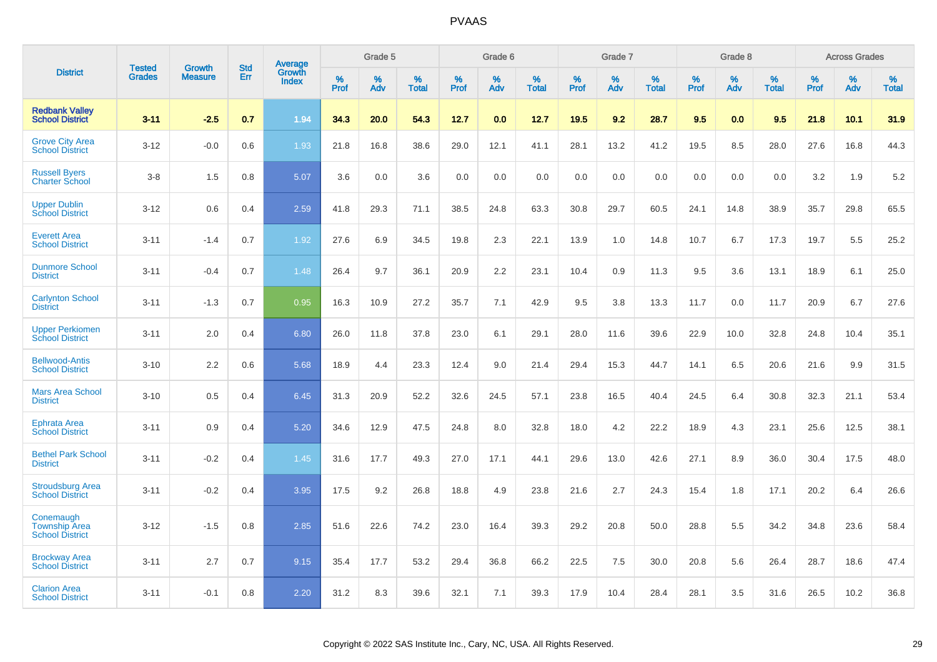|                                                             |                                | <b>Growth</b>  | <b>Std</b> | Average                |              | Grade 5     |                      |                     | Grade 6     |                      |              | Grade 7     |                      |              | Grade 8     |                      |                     | <b>Across Grades</b> |                      |
|-------------------------------------------------------------|--------------------------------|----------------|------------|------------------------|--------------|-------------|----------------------|---------------------|-------------|----------------------|--------------|-------------|----------------------|--------------|-------------|----------------------|---------------------|----------------------|----------------------|
| <b>District</b>                                             | <b>Tested</b><br><b>Grades</b> | <b>Measure</b> | Err        | Growth<br><b>Index</b> | $\%$<br>Prof | $\%$<br>Adv | $\%$<br><b>Total</b> | $\%$<br><b>Prof</b> | $\%$<br>Adv | $\%$<br><b>Total</b> | $\%$<br>Prof | $\%$<br>Adv | $\%$<br><b>Total</b> | $\%$<br>Prof | $\%$<br>Adv | $\%$<br><b>Total</b> | $\%$<br><b>Prof</b> | $\%$<br>Adv          | $\%$<br><b>Total</b> |
| <b>Redbank Vallev</b><br><b>School District</b>             | $3 - 11$                       | $-2.5$         | 0.7        | 1.94                   | 34.3         | 20.0        | 54.3                 | 12.7                | 0.0         | 12.7                 | 19.5         | 9.2         | 28.7                 | 9.5          | 0.0         | 9.5                  | 21.8                | 10.1                 | 31.9                 |
| <b>Grove City Area</b><br><b>School District</b>            | $3 - 12$                       | $-0.0$         | 0.6        | 1.93                   | 21.8         | 16.8        | 38.6                 | 29.0                | 12.1        | 41.1                 | 28.1         | 13.2        | 41.2                 | 19.5         | 8.5         | 28.0                 | 27.6                | 16.8                 | 44.3                 |
| <b>Russell Byers</b><br><b>Charter School</b>               | $3 - 8$                        | 1.5            | 0.8        | 5.07                   | 3.6          | 0.0         | 3.6                  | 0.0                 | 0.0         | 0.0                  | 0.0          | 0.0         | 0.0                  | 0.0          | 0.0         | 0.0                  | 3.2                 | 1.9                  | 5.2                  |
| <b>Upper Dublin</b><br><b>School District</b>               | $3 - 12$                       | 0.6            | 0.4        | 2.59                   | 41.8         | 29.3        | 71.1                 | 38.5                | 24.8        | 63.3                 | 30.8         | 29.7        | 60.5                 | 24.1         | 14.8        | 38.9                 | 35.7                | 29.8                 | 65.5                 |
| <b>Everett Area</b><br><b>School District</b>               | $3 - 11$                       | $-1.4$         | 0.7        | 1.92                   | 27.6         | 6.9         | 34.5                 | 19.8                | 2.3         | 22.1                 | 13.9         | 1.0         | 14.8                 | 10.7         | 6.7         | 17.3                 | 19.7                | 5.5                  | 25.2                 |
| <b>Dunmore School</b><br><b>District</b>                    | $3 - 11$                       | $-0.4$         | 0.7        | 1.48                   | 26.4         | 9.7         | 36.1                 | 20.9                | 2.2         | 23.1                 | 10.4         | 0.9         | 11.3                 | 9.5          | 3.6         | 13.1                 | 18.9                | 6.1                  | 25.0                 |
| <b>Carlynton School</b><br><b>District</b>                  | $3 - 11$                       | $-1.3$         | 0.7        | 0.95                   | 16.3         | 10.9        | 27.2                 | 35.7                | 7.1         | 42.9                 | 9.5          | 3.8         | 13.3                 | 11.7         | 0.0         | 11.7                 | 20.9                | 6.7                  | 27.6                 |
| <b>Upper Perkiomen</b><br><b>School District</b>            | $3 - 11$                       | 2.0            | 0.4        | 6.80                   | 26.0         | 11.8        | 37.8                 | 23.0                | 6.1         | 29.1                 | 28.0         | 11.6        | 39.6                 | 22.9         | 10.0        | 32.8                 | 24.8                | 10.4                 | 35.1                 |
| <b>Bellwood-Antis</b><br><b>School District</b>             | $3 - 10$                       | 2.2            | 0.6        | 5.68                   | 18.9         | 4.4         | 23.3                 | 12.4                | 9.0         | 21.4                 | 29.4         | 15.3        | 44.7                 | 14.1         | 6.5         | 20.6                 | 21.6                | 9.9                  | 31.5                 |
| <b>Mars Area School</b><br><b>District</b>                  | $3 - 10$                       | 0.5            | 0.4        | 6.45                   | 31.3         | 20.9        | 52.2                 | 32.6                | 24.5        | 57.1                 | 23.8         | 16.5        | 40.4                 | 24.5         | 6.4         | 30.8                 | 32.3                | 21.1                 | 53.4                 |
| Ephrata Area<br><b>School District</b>                      | $3 - 11$                       | 0.9            | 0.4        | 5.20                   | 34.6         | 12.9        | 47.5                 | 24.8                | 8.0         | 32.8                 | 18.0         | 4.2         | 22.2                 | 18.9         | 4.3         | 23.1                 | 25.6                | 12.5                 | 38.1                 |
| <b>Bethel Park School</b><br><b>District</b>                | $3 - 11$                       | $-0.2$         | 0.4        | 1.45                   | 31.6         | 17.7        | 49.3                 | 27.0                | 17.1        | 44.1                 | 29.6         | 13.0        | 42.6                 | 27.1         | 8.9         | 36.0                 | 30.4                | 17.5                 | 48.0                 |
| <b>Stroudsburg Area</b><br><b>School District</b>           | $3 - 11$                       | $-0.2$         | 0.4        | 3.95                   | 17.5         | 9.2         | 26.8                 | 18.8                | 4.9         | 23.8                 | 21.6         | 2.7         | 24.3                 | 15.4         | 1.8         | 17.1                 | 20.2                | 6.4                  | 26.6                 |
| Conemaugh<br><b>Township Area</b><br><b>School District</b> | $3 - 12$                       | $-1.5$         | 0.8        | 2.85                   | 51.6         | 22.6        | 74.2                 | 23.0                | 16.4        | 39.3                 | 29.2         | 20.8        | 50.0                 | 28.8         | 5.5         | 34.2                 | 34.8                | 23.6                 | 58.4                 |
| <b>Brockway Area</b><br><b>School District</b>              | $3 - 11$                       | 2.7            | 0.7        | 9.15                   | 35.4         | 17.7        | 53.2                 | 29.4                | 36.8        | 66.2                 | 22.5         | 7.5         | 30.0                 | 20.8         | 5.6         | 26.4                 | 28.7                | 18.6                 | 47.4                 |
| <b>Clarion Area</b><br><b>School District</b>               | $3 - 11$                       | $-0.1$         | 0.8        | 2.20                   | 31.2         | 8.3         | 39.6                 | 32.1                | 7.1         | 39.3                 | 17.9         | 10.4        | 28.4                 | 28.1         | 3.5         | 31.6                 | 26.5                | 10.2                 | 36.8                 |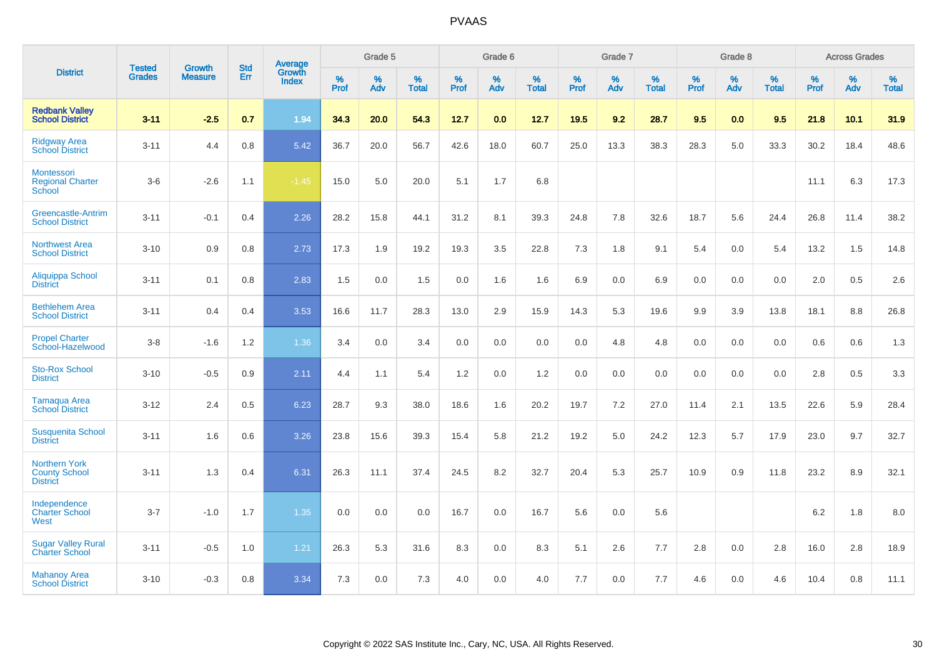|                                                                 | <b>Tested</b> | <b>Growth</b>  | <b>Std</b> | Average                |              | Grade 5  |                   |           | Grade 6  |                   |           | Grade 7  |                   |           | Grade 8  |                   |           | <b>Across Grades</b> |                   |
|-----------------------------------------------------------------|---------------|----------------|------------|------------------------|--------------|----------|-------------------|-----------|----------|-------------------|-----------|----------|-------------------|-----------|----------|-------------------|-----------|----------------------|-------------------|
| <b>District</b>                                                 | <b>Grades</b> | <b>Measure</b> | Err        | Growth<br><b>Index</b> | $\%$<br>Prof | %<br>Adv | %<br><b>Total</b> | %<br>Prof | %<br>Adv | %<br><b>Total</b> | %<br>Prof | %<br>Adv | %<br><b>Total</b> | %<br>Prof | %<br>Adv | %<br><b>Total</b> | %<br>Prof | %<br>Adv             | %<br><b>Total</b> |
| <b>Redbank Valley</b><br><b>School District</b>                 | $3 - 11$      | $-2.5$         | 0.7        | 1.94                   | 34.3         | 20.0     | 54.3              | 12.7      | 0.0      | 12.7              | 19.5      | 9.2      | 28.7              | 9.5       | 0.0      | 9.5               | 21.8      | 10.1                 | 31.9              |
| <b>Ridgway Area</b><br><b>School District</b>                   | $3 - 11$      | 4.4            | 0.8        | 5.42                   | 36.7         | 20.0     | 56.7              | 42.6      | 18.0     | 60.7              | 25.0      | 13.3     | 38.3              | 28.3      | 5.0      | 33.3              | 30.2      | 18.4                 | 48.6              |
| Montessori<br><b>Regional Charter</b><br>School                 | $3-6$         | $-2.6$         | 1.1        | $-1.45$                | 15.0         | 5.0      | 20.0              | 5.1       | 1.7      | 6.8               |           |          |                   |           |          |                   | 11.1      | 6.3                  | 17.3              |
| Greencastle-Antrim<br><b>School District</b>                    | $3 - 11$      | $-0.1$         | 0.4        | 2.26                   | 28.2         | 15.8     | 44.1              | 31.2      | 8.1      | 39.3              | 24.8      | 7.8      | 32.6              | 18.7      | 5.6      | 24.4              | 26.8      | 11.4                 | 38.2              |
| <b>Northwest Area</b><br><b>School District</b>                 | $3 - 10$      | 0.9            | 0.8        | 2.73                   | 17.3         | 1.9      | 19.2              | 19.3      | 3.5      | 22.8              | 7.3       | 1.8      | 9.1               | 5.4       | 0.0      | 5.4               | 13.2      | 1.5                  | 14.8              |
| Aliquippa School<br><b>District</b>                             | $3 - 11$      | 0.1            | 0.8        | 2.83                   | 1.5          | 0.0      | 1.5               | 0.0       | 1.6      | 1.6               | 6.9       | 0.0      | 6.9               | 0.0       | 0.0      | 0.0               | 2.0       | 0.5                  | 2.6               |
| <b>Bethlehem Area</b><br><b>School District</b>                 | $3 - 11$      | 0.4            | 0.4        | 3.53                   | 16.6         | 11.7     | 28.3              | 13.0      | 2.9      | 15.9              | 14.3      | 5.3      | 19.6              | 9.9       | 3.9      | 13.8              | 18.1      | 8.8                  | 26.8              |
| <b>Propel Charter</b><br>School-Hazelwood                       | $3 - 8$       | $-1.6$         | $1.2$      | 1.36                   | 3.4          | 0.0      | 3.4               | 0.0       | 0.0      | 0.0               | 0.0       | 4.8      | 4.8               | 0.0       | 0.0      | 0.0               | 0.6       | 0.6                  | 1.3               |
| <b>Sto-Rox School</b><br><b>District</b>                        | $3 - 10$      | $-0.5$         | 0.9        | 2.11                   | 4.4          | 1.1      | 5.4               | 1.2       | 0.0      | 1.2               | 0.0       | 0.0      | 0.0               | 0.0       | 0.0      | 0.0               | 2.8       | 0.5                  | 3.3               |
| Tamaqua Area<br><b>School District</b>                          | $3 - 12$      | 2.4            | 0.5        | 6.23                   | 28.7         | 9.3      | 38.0              | 18.6      | 1.6      | 20.2              | 19.7      | $7.2\,$  | 27.0              | 11.4      | 2.1      | 13.5              | 22.6      | 5.9                  | 28.4              |
| <b>Susquenita School</b><br><b>District</b>                     | $3 - 11$      | 1.6            | 0.6        | 3.26                   | 23.8         | 15.6     | 39.3              | 15.4      | 5.8      | 21.2              | 19.2      | 5.0      | 24.2              | 12.3      | 5.7      | 17.9              | 23.0      | 9.7                  | 32.7              |
| <b>Northern York</b><br><b>County School</b><br><b>District</b> | $3 - 11$      | 1.3            | 0.4        | 6.31                   | 26.3         | 11.1     | 37.4              | 24.5      | 8.2      | 32.7              | 20.4      | 5.3      | 25.7              | 10.9      | 0.9      | 11.8              | 23.2      | 8.9                  | 32.1              |
| Independence<br><b>Charter School</b><br>West                   | $3 - 7$       | $-1.0$         | 1.7        | 1.35                   | 0.0          | 0.0      | 0.0               | 16.7      | 0.0      | 16.7              | 5.6       | 0.0      | 5.6               |           |          |                   | $6.2\,$   | 1.8                  | $8.0\,$           |
| <b>Sugar Valley Rural</b><br><b>Charter School</b>              | $3 - 11$      | $-0.5$         | 1.0        | 1.21                   | 26.3         | 5.3      | 31.6              | 8.3       | 0.0      | 8.3               | 5.1       | 2.6      | 7.7               | 2.8       | 0.0      | 2.8               | 16.0      | 2.8                  | 18.9              |
| <b>Mahanoy Area</b><br><b>School District</b>                   | $3 - 10$      | $-0.3$         | 0.8        | 3.34                   | 7.3          | 0.0      | 7.3               | 4.0       | 0.0      | 4.0               | 7.7       | 0.0      | 7.7               | 4.6       | 0.0      | 4.6               | 10.4      | 0.8                  | 11.1              |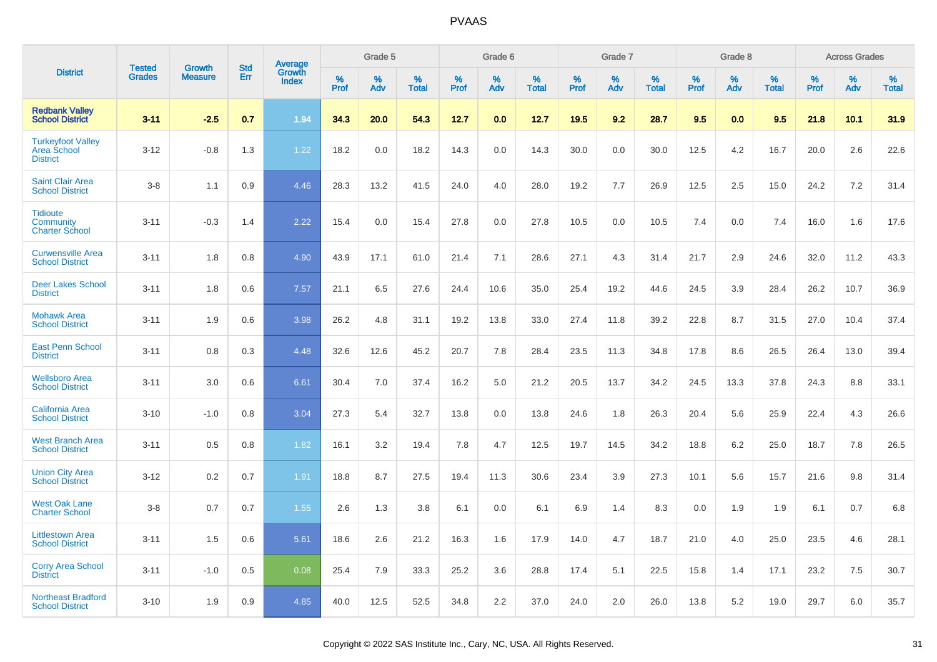|                                                                   |                                |                                 |                   |                                   |           | Grade 5  |                   |           | Grade 6  |                   |           | Grade 7  |                   |           | Grade 8  |                   |           | <b>Across Grades</b> |                   |
|-------------------------------------------------------------------|--------------------------------|---------------------------------|-------------------|-----------------------------------|-----------|----------|-------------------|-----------|----------|-------------------|-----------|----------|-------------------|-----------|----------|-------------------|-----------|----------------------|-------------------|
| <b>District</b>                                                   | <b>Tested</b><br><b>Grades</b> | <b>Growth</b><br><b>Measure</b> | <b>Std</b><br>Err | Average<br>Growth<br><b>Index</b> | %<br>Prof | %<br>Adv | %<br><b>Total</b> | %<br>Prof | %<br>Adv | %<br><b>Total</b> | %<br>Prof | %<br>Adv | %<br><b>Total</b> | %<br>Prof | %<br>Adv | %<br><b>Total</b> | %<br>Prof | %<br>Adv             | %<br><b>Total</b> |
| <b>Redbank Valley</b><br><b>School District</b>                   | $3 - 11$                       | $-2.5$                          | 0.7               | 1.94                              | 34.3      | 20.0     | 54.3              | 12.7      | 0.0      | 12.7              | 19.5      | 9.2      | 28.7              | 9.5       | 0.0      | 9.5               | 21.8      | 10.1                 | 31.9              |
| <b>Turkeyfoot Valley</b><br><b>Area School</b><br><b>District</b> | $3 - 12$                       | $-0.8$                          | 1.3               | 1.22                              | 18.2      | 0.0      | 18.2              | 14.3      | 0.0      | 14.3              | 30.0      | 0.0      | 30.0              | 12.5      | 4.2      | 16.7              | 20.0      | 2.6                  | 22.6              |
| <b>Saint Clair Area</b><br><b>School District</b>                 | $3 - 8$                        | 1.1                             | 0.9               | 4.46                              | 28.3      | 13.2     | 41.5              | 24.0      | 4.0      | 28.0              | 19.2      | 7.7      | 26.9              | 12.5      | 2.5      | 15.0              | 24.2      | $7.2\,$              | 31.4              |
| <b>Tidioute</b><br><b>Community</b><br><b>Charter School</b>      | $3 - 11$                       | $-0.3$                          | 1.4               | 2.22                              | 15.4      | 0.0      | 15.4              | 27.8      | 0.0      | 27.8              | 10.5      | 0.0      | 10.5              | 7.4       | 0.0      | 7.4               | 16.0      | 1.6                  | 17.6              |
| <b>Curwensville Area</b><br><b>School District</b>                | $3 - 11$                       | 1.8                             | 0.8               | 4.90                              | 43.9      | 17.1     | 61.0              | 21.4      | 7.1      | 28.6              | 27.1      | 4.3      | 31.4              | 21.7      | 2.9      | 24.6              | 32.0      | 11.2                 | 43.3              |
| <b>Deer Lakes School</b><br><b>District</b>                       | $3 - 11$                       | 1.8                             | 0.6               | 7.57                              | 21.1      | 6.5      | 27.6              | 24.4      | 10.6     | 35.0              | 25.4      | 19.2     | 44.6              | 24.5      | 3.9      | 28.4              | 26.2      | 10.7                 | 36.9              |
| <b>Mohawk Area</b><br><b>School District</b>                      | $3 - 11$                       | 1.9                             | 0.6               | 3.98                              | 26.2      | 4.8      | 31.1              | 19.2      | 13.8     | 33.0              | 27.4      | 11.8     | 39.2              | 22.8      | 8.7      | 31.5              | 27.0      | 10.4                 | 37.4              |
| <b>East Penn School</b><br><b>District</b>                        | $3 - 11$                       | 0.8                             | 0.3               | 4.48                              | 32.6      | 12.6     | 45.2              | 20.7      | 7.8      | 28.4              | 23.5      | 11.3     | 34.8              | 17.8      | 8.6      | 26.5              | 26.4      | 13.0                 | 39.4              |
| <b>Wellsboro Area</b><br><b>School District</b>                   | $3 - 11$                       | 3.0                             | 0.6               | 6.61                              | 30.4      | 7.0      | 37.4              | 16.2      | 5.0      | 21.2              | 20.5      | 13.7     | 34.2              | 24.5      | 13.3     | 37.8              | 24.3      | 8.8                  | 33.1              |
| <b>California Area</b><br><b>School District</b>                  | $3 - 10$                       | $-1.0$                          | 0.8               | 3.04                              | 27.3      | 5.4      | 32.7              | 13.8      | 0.0      | 13.8              | 24.6      | 1.8      | 26.3              | 20.4      | 5.6      | 25.9              | 22.4      | 4.3                  | 26.6              |
| <b>West Branch Area</b><br><b>School District</b>                 | $3 - 11$                       | 0.5                             | 0.8               | 1.82                              | 16.1      | 3.2      | 19.4              | 7.8       | 4.7      | 12.5              | 19.7      | 14.5     | 34.2              | 18.8      | 6.2      | 25.0              | 18.7      | 7.8                  | 26.5              |
| <b>Union City Area</b><br><b>School District</b>                  | $3 - 12$                       | 0.2                             | 0.7               | 1.91                              | 18.8      | 8.7      | 27.5              | 19.4      | 11.3     | 30.6              | 23.4      | 3.9      | 27.3              | 10.1      | 5.6      | 15.7              | 21.6      | 9.8                  | 31.4              |
| <b>West Oak Lane</b><br><b>Charter School</b>                     | $3 - 8$                        | 0.7                             | 0.7               | 1.55                              | 2.6       | 1.3      | 3.8               | 6.1       | 0.0      | 6.1               | 6.9       | 1.4      | 8.3               | 0.0       | 1.9      | 1.9               | 6.1       | 0.7                  | 6.8               |
| <b>Littlestown Area</b><br><b>School District</b>                 | $3 - 11$                       | 1.5                             | 0.6               | 5.61                              | 18.6      | 2.6      | 21.2              | 16.3      | 1.6      | 17.9              | 14.0      | 4.7      | 18.7              | 21.0      | 4.0      | 25.0              | 23.5      | 4.6                  | 28.1              |
| <b>Corry Area School</b><br><b>District</b>                       | $3 - 11$                       | $-1.0$                          | 0.5               | 0.08                              | 25.4      | 7.9      | 33.3              | 25.2      | 3.6      | 28.8              | 17.4      | 5.1      | 22.5              | 15.8      | 1.4      | 17.1              | 23.2      | 7.5                  | 30.7              |
| <b>Northeast Bradford</b><br><b>School District</b>               | $3 - 10$                       | 1.9                             | 0.9               | 4.85                              | 40.0      | 12.5     | 52.5              | 34.8      | 2.2      | 37.0              | 24.0      | 2.0      | 26.0              | 13.8      | 5.2      | 19.0              | 29.7      | 6.0                  | 35.7              |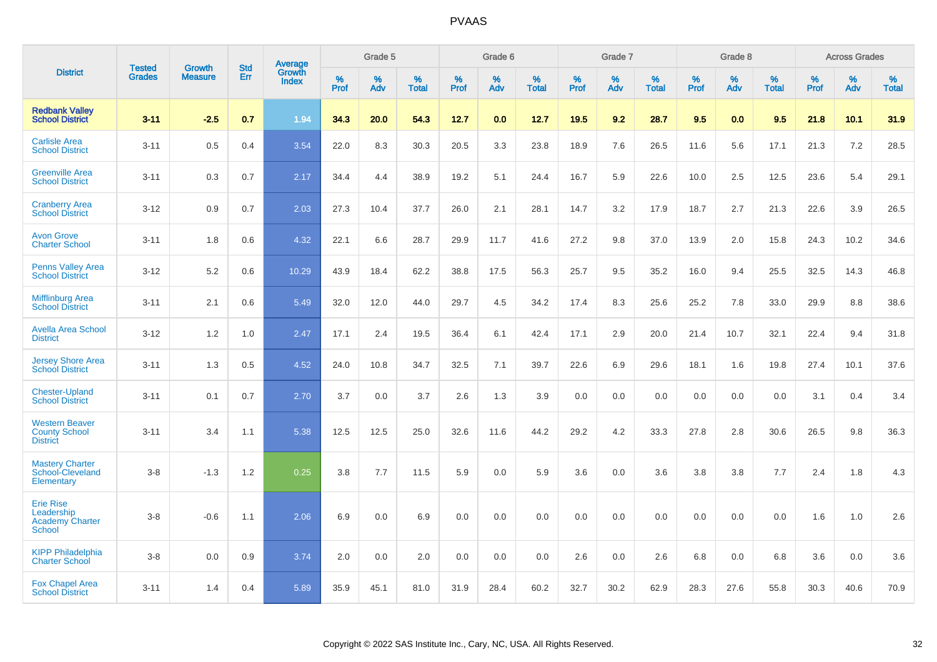|                                                                           | <b>Tested</b> | <b>Growth</b>  | <b>Std</b> | Average                |              | Grade 5  |                   |           | Grade 6  |                   |              | Grade 7  |                   |              | Grade 8  |                   |              | <b>Across Grades</b> |                   |
|---------------------------------------------------------------------------|---------------|----------------|------------|------------------------|--------------|----------|-------------------|-----------|----------|-------------------|--------------|----------|-------------------|--------------|----------|-------------------|--------------|----------------------|-------------------|
| <b>District</b>                                                           | <b>Grades</b> | <b>Measure</b> | Err        | Growth<br><b>Index</b> | $\%$<br>Prof | %<br>Adv | %<br><b>Total</b> | %<br>Prof | %<br>Adv | %<br><b>Total</b> | $\%$<br>Prof | %<br>Adv | %<br><b>Total</b> | $\%$<br>Prof | %<br>Adv | %<br><b>Total</b> | $\%$<br>Prof | $\%$<br>Adv          | %<br><b>Total</b> |
| <b>Redbank Valley</b><br><b>School District</b>                           | $3 - 11$      | $-2.5$         | 0.7        | 1.94                   | 34.3         | 20.0     | 54.3              | 12.7      | 0.0      | 12.7              | 19.5         | 9.2      | 28.7              | 9.5          | 0.0      | 9.5               | 21.8         | 10.1                 | 31.9              |
| <b>Carlisle Area</b><br><b>School District</b>                            | $3 - 11$      | 0.5            | 0.4        | 3.54                   | 22.0         | 8.3      | 30.3              | 20.5      | 3.3      | 23.8              | 18.9         | 7.6      | 26.5              | 11.6         | 5.6      | 17.1              | 21.3         | 7.2                  | 28.5              |
| <b>Greenville Area</b><br><b>School District</b>                          | $3 - 11$      | 0.3            | 0.7        | 2.17                   | 34.4         | 4.4      | 38.9              | 19.2      | 5.1      | 24.4              | 16.7         | 5.9      | 22.6              | 10.0         | 2.5      | 12.5              | 23.6         | 5.4                  | 29.1              |
| <b>Cranberry Area</b><br><b>School District</b>                           | $3 - 12$      | 0.9            | 0.7        | 2.03                   | 27.3         | 10.4     | 37.7              | 26.0      | 2.1      | 28.1              | 14.7         | 3.2      | 17.9              | 18.7         | 2.7      | 21.3              | 22.6         | 3.9                  | 26.5              |
| <b>Avon Grove</b><br><b>Charter School</b>                                | $3 - 11$      | 1.8            | 0.6        | 4.32                   | 22.1         | 6.6      | 28.7              | 29.9      | 11.7     | 41.6              | 27.2         | 9.8      | 37.0              | 13.9         | 2.0      | 15.8              | 24.3         | 10.2                 | 34.6              |
| <b>Penns Valley Area</b><br><b>School District</b>                        | $3 - 12$      | 5.2            | 0.6        | 10.29                  | 43.9         | 18.4     | 62.2              | 38.8      | 17.5     | 56.3              | 25.7         | 9.5      | 35.2              | 16.0         | 9.4      | 25.5              | 32.5         | 14.3                 | 46.8              |
| <b>Mifflinburg Area</b><br><b>School District</b>                         | $3 - 11$      | 2.1            | 0.6        | 5.49                   | 32.0         | 12.0     | 44.0              | 29.7      | 4.5      | 34.2              | 17.4         | 8.3      | 25.6              | 25.2         | 7.8      | 33.0              | 29.9         | 8.8                  | 38.6              |
| <b>Avella Area School</b><br><b>District</b>                              | $3 - 12$      | 1.2            | 1.0        | 2.47                   | 17.1         | 2.4      | 19.5              | 36.4      | 6.1      | 42.4              | 17.1         | 2.9      | 20.0              | 21.4         | 10.7     | 32.1              | 22.4         | 9.4                  | 31.8              |
| <b>Jersey Shore Area</b><br><b>School District</b>                        | $3 - 11$      | 1.3            | 0.5        | 4.52                   | 24.0         | 10.8     | 34.7              | 32.5      | 7.1      | 39.7              | 22.6         | 6.9      | 29.6              | 18.1         | 1.6      | 19.8              | 27.4         | 10.1                 | 37.6              |
| <b>Chester-Upland</b><br><b>School District</b>                           | $3 - 11$      | 0.1            | 0.7        | 2.70                   | 3.7          | 0.0      | 3.7               | 2.6       | 1.3      | 3.9               | 0.0          | 0.0      | 0.0               | 0.0          | 0.0      | 0.0               | 3.1          | 0.4                  | 3.4               |
| <b>Western Beaver</b><br><b>County School</b><br><b>District</b>          | $3 - 11$      | 3.4            | 1.1        | 5.38                   | 12.5         | 12.5     | 25.0              | 32.6      | 11.6     | 44.2              | 29.2         | 4.2      | 33.3              | 27.8         | 2.8      | 30.6              | 26.5         | 9.8                  | 36.3              |
| <b>Mastery Charter</b><br>School-Cleveland<br>Elementary                  | $3 - 8$       | $-1.3$         | 1.2        | 0.25                   | 3.8          | 7.7      | 11.5              | 5.9       | 0.0      | 5.9               | 3.6          | 0.0      | 3.6               | 3.8          | 3.8      | 7.7               | 2.4          | 1.8                  | 4.3               |
| <b>Erie Rise</b><br>Leadership<br><b>Academy Charter</b><br><b>School</b> | $3 - 8$       | $-0.6$         | 1.1        | 2.06                   | 6.9          | 0.0      | 6.9               | 0.0       | 0.0      | 0.0               | 0.0          | 0.0      | 0.0               | 0.0          | 0.0      | 0.0               | 1.6          | 1.0                  | 2.6               |
| <b>KIPP Philadelphia</b><br><b>Charter School</b>                         | $3 - 8$       | 0.0            | 0.9        | 3.74                   | 2.0          | 0.0      | 2.0               | 0.0       | 0.0      | 0.0               | 2.6          | 0.0      | 2.6               | 6.8          | 0.0      | 6.8               | 3.6          | 0.0                  | 3.6               |
| <b>Fox Chapel Area</b><br><b>School District</b>                          | $3 - 11$      | 1.4            | 0.4        | 5.89                   | 35.9         | 45.1     | 81.0              | 31.9      | 28.4     | 60.2              | 32.7         | 30.2     | 62.9              | 28.3         | 27.6     | 55.8              | 30.3         | 40.6                 | 70.9              |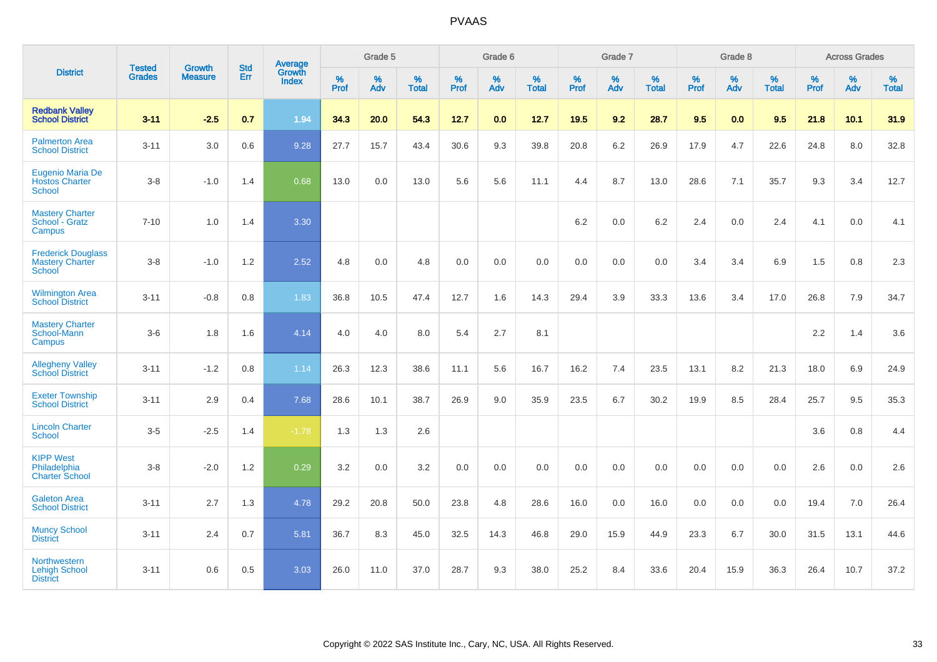|                                                               |                                | <b>Growth</b>  | <b>Std</b> | Average         |              | Grade 5  |                   |              | Grade 6  |                   |              | Grade 7  |                   |              | Grade 8  |                   |              | <b>Across Grades</b> |                   |
|---------------------------------------------------------------|--------------------------------|----------------|------------|-----------------|--------------|----------|-------------------|--------------|----------|-------------------|--------------|----------|-------------------|--------------|----------|-------------------|--------------|----------------------|-------------------|
| <b>District</b>                                               | <b>Tested</b><br><b>Grades</b> | <b>Measure</b> | Err        | Growth<br>Index | $\%$<br>Prof | %<br>Adv | %<br><b>Total</b> | $\%$<br>Prof | %<br>Adv | %<br><b>Total</b> | $\%$<br>Prof | %<br>Adv | %<br><b>Total</b> | $\%$<br>Prof | %<br>Adv | %<br><b>Total</b> | $\%$<br>Prof | $\%$<br>Adv          | %<br><b>Total</b> |
| <b>Redbank Valley</b><br><b>School District</b>               | $3 - 11$                       | $-2.5$         | 0.7        | 1.94            | 34.3         | 20.0     | 54.3              | 12.7         | 0.0      | 12.7              | 19.5         | 9.2      | 28.7              | 9.5          | 0.0      | 9.5               | 21.8         | $10.1$               | 31.9              |
| <b>Palmerton Area</b><br><b>School District</b>               | $3 - 11$                       | 3.0            | 0.6        | 9.28            | 27.7         | 15.7     | 43.4              | 30.6         | 9.3      | 39.8              | 20.8         | 6.2      | 26.9              | 17.9         | 4.7      | 22.6              | 24.8         | 8.0                  | 32.8              |
| Eugenio Maria De<br><b>Hostos Charter</b><br><b>School</b>    | $3 - 8$                        | $-1.0$         | 1.4        | 0.68            | 13.0         | 0.0      | 13.0              | 5.6          | 5.6      | 11.1              | 4.4          | 8.7      | 13.0              | 28.6         | 7.1      | 35.7              | 9.3          | 3.4                  | 12.7              |
| <b>Mastery Charter</b><br>School - Gratz<br>Campus            | $7 - 10$                       | 1.0            | 1.4        | 3.30            |              |          |                   |              |          |                   | 6.2          | 0.0      | 6.2               | 2.4          | 0.0      | 2.4               | 4.1          | 0.0                  | 4.1               |
| <b>Frederick Douglass</b><br><b>Mastery Charter</b><br>School | $3 - 8$                        | $-1.0$         | 1.2        | 2.52            | 4.8          | 0.0      | 4.8               | 0.0          | 0.0      | 0.0               | 0.0          | 0.0      | 0.0               | 3.4          | 3.4      | 6.9               | 1.5          | 0.8                  | $2.3\,$           |
| <b>Wilmington Area</b><br><b>School District</b>              | $3 - 11$                       | $-0.8$         | 0.8        | 1.83            | 36.8         | 10.5     | 47.4              | 12.7         | 1.6      | 14.3              | 29.4         | 3.9      | 33.3              | 13.6         | 3.4      | 17.0              | 26.8         | 7.9                  | 34.7              |
| <b>Mastery Charter</b><br>School-Mann<br>Campus               | $3-6$                          | 1.8            | 1.6        | 4.14            | 4.0          | 4.0      | 8.0               | 5.4          | 2.7      | 8.1               |              |          |                   |              |          |                   | $2.2\,$      | 1.4                  | 3.6               |
| <b>Allegheny Valley</b><br><b>School District</b>             | $3 - 11$                       | $-1.2$         | $0.8\,$    | 1.14            | 26.3         | 12.3     | 38.6              | 11.1         | 5.6      | 16.7              | 16.2         | 7.4      | 23.5              | 13.1         | 8.2      | 21.3              | 18.0         | 6.9                  | 24.9              |
| <b>Exeter Township</b><br><b>School District</b>              | $3 - 11$                       | 2.9            | 0.4        | 7.68            | 28.6         | 10.1     | 38.7              | 26.9         | 9.0      | 35.9              | 23.5         | 6.7      | 30.2              | 19.9         | 8.5      | 28.4              | 25.7         | 9.5                  | 35.3              |
| <b>Lincoln Charter</b><br><b>School</b>                       | $3 - 5$                        | $-2.5$         | 1.4        | $-1.78$         | 1.3          | 1.3      | 2.6               |              |          |                   |              |          |                   |              |          |                   | 3.6          | 0.8                  | 4.4               |
| <b>KIPP West</b><br>Philadelphia<br><b>Charter School</b>     | $3 - 8$                        | $-2.0$         | 1.2        | 0.29            | 3.2          | 0.0      | 3.2               | 0.0          | 0.0      | 0.0               | 0.0          | 0.0      | 0.0               | 0.0          | 0.0      | 0.0               | 2.6          | 0.0                  | 2.6               |
| <b>Galeton Area</b><br><b>School District</b>                 | $3 - 11$                       | 2.7            | 1.3        | 4.78            | 29.2         | 20.8     | 50.0              | 23.8         | 4.8      | 28.6              | 16.0         | 0.0      | 16.0              | 0.0          | 0.0      | 0.0               | 19.4         | 7.0                  | 26.4              |
| <b>Muncy School</b><br><b>District</b>                        | $3 - 11$                       | 2.4            | 0.7        | 5.81            | 36.7         | 8.3      | 45.0              | 32.5         | 14.3     | 46.8              | 29.0         | 15.9     | 44.9              | 23.3         | 6.7      | 30.0              | 31.5         | 13.1                 | 44.6              |
| Northwestern<br><b>Lehigh School</b><br><b>District</b>       | $3 - 11$                       | 0.6            | 0.5        | 3.03            | 26.0         | 11.0     | 37.0              | 28.7         | 9.3      | 38.0              | 25.2         | 8.4      | 33.6              | 20.4         | 15.9     | 36.3              | 26.4         | 10.7                 | 37.2              |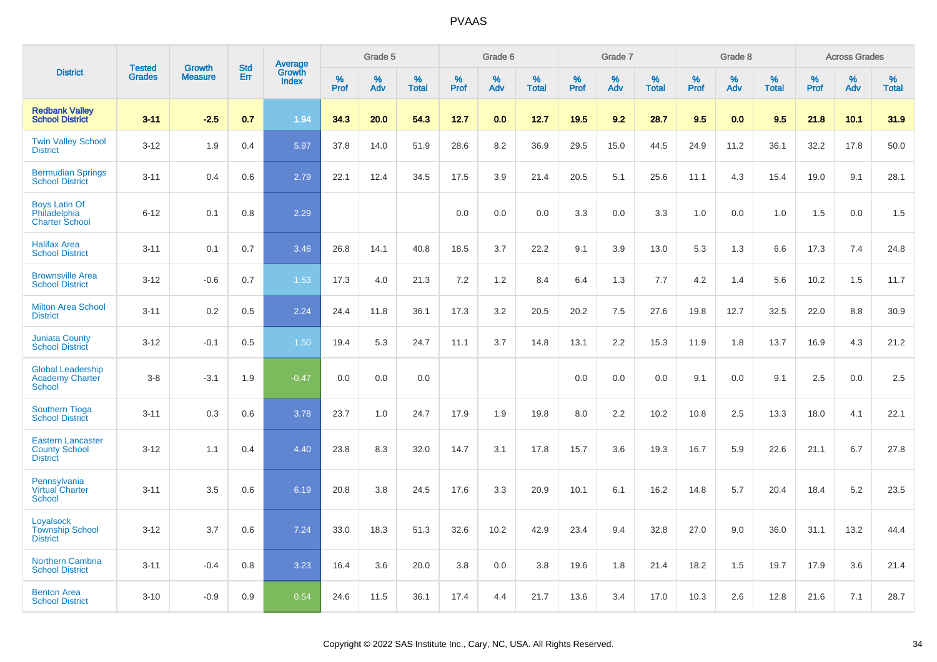|                                                               |                                | <b>Growth</b>  | <b>Std</b> | Average                |                     | Grade 5  |                   |                     | Grade 6  |                   |              | Grade 7  |                   |                     | Grade 8  |                   |                     | <b>Across Grades</b> |                   |
|---------------------------------------------------------------|--------------------------------|----------------|------------|------------------------|---------------------|----------|-------------------|---------------------|----------|-------------------|--------------|----------|-------------------|---------------------|----------|-------------------|---------------------|----------------------|-------------------|
| <b>District</b>                                               | <b>Tested</b><br><b>Grades</b> | <b>Measure</b> | Err        | Growth<br><b>Index</b> | $\%$<br><b>Prof</b> | %<br>Adv | %<br><b>Total</b> | $\%$<br><b>Prof</b> | %<br>Adv | %<br><b>Total</b> | $\%$<br>Prof | %<br>Adv | %<br><b>Total</b> | $\%$<br><b>Prof</b> | %<br>Adv | %<br><b>Total</b> | $\%$<br><b>Prof</b> | %<br>Adv             | %<br><b>Total</b> |
| <b>Redbank Vallev</b><br><b>School District</b>               | $3 - 11$                       | $-2.5$         | 0.7        | 1.94                   | 34.3                | 20.0     | 54.3              | 12.7                | 0.0      | 12.7              | 19.5         | 9.2      | 28.7              | 9.5                 | 0.0      | 9.5               | 21.8                | 10.1                 | 31.9              |
| <b>Twin Valley School</b><br><b>District</b>                  | $3 - 12$                       | 1.9            | 0.4        | 5.97                   | 37.8                | 14.0     | 51.9              | 28.6                | 8.2      | 36.9              | 29.5         | 15.0     | 44.5              | 24.9                | 11.2     | 36.1              | 32.2                | 17.8                 | 50.0              |
| <b>Bermudian Springs</b><br><b>School District</b>            | $3 - 11$                       | 0.4            | 0.6        | 2.79                   | 22.1                | 12.4     | 34.5              | 17.5                | 3.9      | 21.4              | 20.5         | 5.1      | 25.6              | 11.1                | 4.3      | 15.4              | 19.0                | 9.1                  | 28.1              |
| <b>Boys Latin Of</b><br>Philadelphia<br><b>Charter School</b> | $6 - 12$                       | 0.1            | 0.8        | 2.29                   |                     |          |                   | 0.0                 | 0.0      | 0.0               | 3.3          | 0.0      | 3.3               | 1.0                 | 0.0      | 1.0               | 1.5                 | 0.0                  | 1.5               |
| <b>Halifax Area</b><br><b>School District</b>                 | $3 - 11$                       | 0.1            | 0.7        | 3.46                   | 26.8                | 14.1     | 40.8              | 18.5                | 3.7      | 22.2              | 9.1          | 3.9      | 13.0              | 5.3                 | 1.3      | 6.6               | 17.3                | 7.4                  | 24.8              |
| <b>Brownsville Area</b><br><b>School District</b>             | $3 - 12$                       | $-0.6$         | 0.7        | 1.53                   | 17.3                | 4.0      | 21.3              | 7.2                 | 1.2      | 8.4               | 6.4          | 1.3      | 7.7               | 4.2                 | 1.4      | 5.6               | 10.2                | 1.5                  | 11.7              |
| <b>Milton Area School</b><br><b>District</b>                  | $3 - 11$                       | 0.2            | 0.5        | 2.24                   | 24.4                | 11.8     | 36.1              | 17.3                | 3.2      | 20.5              | 20.2         | 7.5      | 27.6              | 19.8                | 12.7     | 32.5              | 22.0                | 8.8                  | 30.9              |
| <b>Juniata County</b><br><b>School District</b>               | $3 - 12$                       | $-0.1$         | 0.5        | 1.50                   | 19.4                | 5.3      | 24.7              | 11.1                | 3.7      | 14.8              | 13.1         | 2.2      | 15.3              | 11.9                | 1.8      | 13.7              | 16.9                | 4.3                  | 21.2              |
| <b>Global Leadership</b><br><b>Academy Charter</b><br>School  | $3 - 8$                        | $-3.1$         | 1.9        | $-0.47$                | 0.0                 | 0.0      | 0.0               |                     |          |                   | $0.0\,$      | 0.0      | 0.0               | 9.1                 | $0.0\,$  | 9.1               | 2.5                 | 0.0                  | 2.5               |
| <b>Southern Tioga</b><br><b>School District</b>               | $3 - 11$                       | 0.3            | 0.6        | 3.78                   | 23.7                | 1.0      | 24.7              | 17.9                | 1.9      | 19.8              | 8.0          | 2.2      | 10.2              | 10.8                | 2.5      | 13.3              | 18.0                | 4.1                  | 22.1              |
| Eastern Lancaster<br><b>County School</b><br><b>District</b>  | $3 - 12$                       | 1.1            | 0.4        | 4.40                   | 23.8                | 8.3      | 32.0              | 14.7                | 3.1      | 17.8              | 15.7         | 3.6      | 19.3              | 16.7                | 5.9      | 22.6              | 21.1                | 6.7                  | 27.8              |
| Pennsylvania<br><b>Virtual Charter</b><br><b>School</b>       | $3 - 11$                       | 3.5            | 0.6        | 6.19                   | 20.8                | 3.8      | 24.5              | 17.6                | 3.3      | 20.9              | 10.1         | 6.1      | 16.2              | 14.8                | 5.7      | 20.4              | 18.4                | 5.2                  | 23.5              |
| Loyalsock<br><b>Township School</b><br><b>District</b>        | $3 - 12$                       | 3.7            | 0.6        | 7.24                   | 33.0                | 18.3     | 51.3              | 32.6                | 10.2     | 42.9              | 23.4         | 9.4      | 32.8              | 27.0                | 9.0      | 36.0              | 31.1                | 13.2                 | 44.4              |
| <b>Northern Cambria</b><br><b>School District</b>             | $3 - 11$                       | $-0.4$         | 0.8        | 3.23                   | 16.4                | 3.6      | 20.0              | 3.8                 | 0.0      | 3.8               | 19.6         | 1.8      | 21.4              | 18.2                | 1.5      | 19.7              | 17.9                | 3.6                  | 21.4              |
| <b>Benton Area</b><br><b>School District</b>                  | $3 - 10$                       | $-0.9$         | 0.9        | 0.54                   | 24.6                | 11.5     | 36.1              | 17.4                | 4.4      | 21.7              | 13.6         | 3.4      | 17.0              | 10.3                | 2.6      | 12.8              | 21.6                | 7.1                  | 28.7              |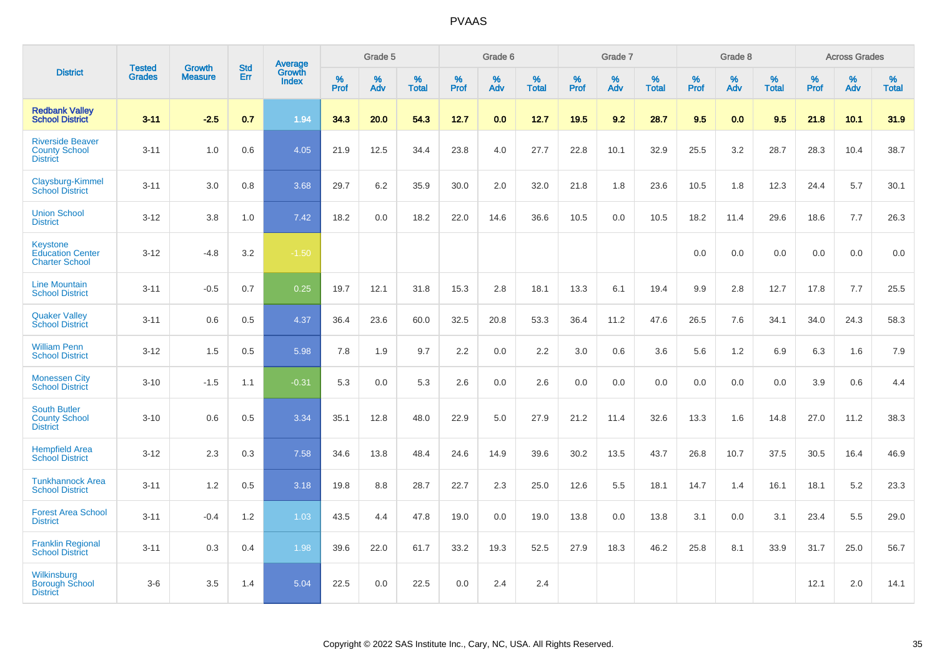|                                                                     |                                |                                 | <b>Std</b> | Average                |                     | Grade 5  |                   |                  | Grade 6  |                   |           | Grade 7  |                   |           | Grade 8  |                   |                     | <b>Across Grades</b> |                   |
|---------------------------------------------------------------------|--------------------------------|---------------------------------|------------|------------------------|---------------------|----------|-------------------|------------------|----------|-------------------|-----------|----------|-------------------|-----------|----------|-------------------|---------------------|----------------------|-------------------|
| <b>District</b>                                                     | <b>Tested</b><br><b>Grades</b> | <b>Growth</b><br><b>Measure</b> | Err        | Growth<br><b>Index</b> | $\%$<br><b>Prof</b> | %<br>Adv | %<br><b>Total</b> | %<br><b>Prof</b> | %<br>Adv | %<br><b>Total</b> | %<br>Prof | %<br>Adv | %<br><b>Total</b> | %<br>Prof | %<br>Adv | %<br><b>Total</b> | $\%$<br><b>Prof</b> | %<br>Adv             | %<br><b>Total</b> |
| <b>Redbank Valley</b><br><b>School District</b>                     | $3 - 11$                       | $-2.5$                          | 0.7        | 1.94                   | 34.3                | 20.0     | 54.3              | 12.7             | 0.0      | 12.7              | 19.5      | 9.2      | 28.7              | 9.5       | 0.0      | 9.5               | 21.8                | 10.1                 | 31.9              |
| <b>Riverside Beaver</b><br><b>County School</b><br><b>District</b>  | $3 - 11$                       | 1.0                             | 0.6        | 4.05                   | 21.9                | 12.5     | 34.4              | 23.8             | 4.0      | 27.7              | 22.8      | 10.1     | 32.9              | 25.5      | 3.2      | 28.7              | 28.3                | 10.4                 | 38.7              |
| Claysburg-Kimmel<br><b>School District</b>                          | $3 - 11$                       | 3.0                             | 0.8        | 3.68                   | 29.7                | 6.2      | 35.9              | 30.0             | 2.0      | 32.0              | 21.8      | 1.8      | 23.6              | 10.5      | 1.8      | 12.3              | 24.4                | 5.7                  | 30.1              |
| <b>Union School</b><br><b>District</b>                              | $3 - 12$                       | 3.8                             | 1.0        | 7.42                   | 18.2                | 0.0      | 18.2              | 22.0             | 14.6     | 36.6              | 10.5      | 0.0      | 10.5              | 18.2      | 11.4     | 29.6              | 18.6                | 7.7                  | 26.3              |
| <b>Keystone</b><br><b>Education Center</b><br><b>Charter School</b> | $3 - 12$                       | $-4.8$                          | 3.2        | $-1.50$                |                     |          |                   |                  |          |                   |           |          |                   | 0.0       | 0.0      | 0.0               | 0.0                 | 0.0                  | 0.0               |
| <b>Line Mountain</b><br><b>School District</b>                      | $3 - 11$                       | $-0.5$                          | 0.7        | 0.25                   | 19.7                | 12.1     | 31.8              | 15.3             | 2.8      | 18.1              | 13.3      | 6.1      | 19.4              | 9.9       | 2.8      | 12.7              | 17.8                | 7.7                  | 25.5              |
| <b>Quaker Valley</b><br><b>School District</b>                      | $3 - 11$                       | 0.6                             | 0.5        | 4.37                   | 36.4                | 23.6     | 60.0              | 32.5             | 20.8     | 53.3              | 36.4      | 11.2     | 47.6              | 26.5      | 7.6      | 34.1              | 34.0                | 24.3                 | 58.3              |
| <b>William Penn</b><br><b>School District</b>                       | $3 - 12$                       | 1.5                             | 0.5        | 5.98                   | 7.8                 | 1.9      | 9.7               | 2.2              | 0.0      | 2.2               | 3.0       | 0.6      | 3.6               | 5.6       | 1.2      | 6.9               | 6.3                 | 1.6                  | 7.9               |
| <b>Monessen City</b><br><b>School District</b>                      | $3 - 10$                       | $-1.5$                          | 1.1        | $-0.31$                | 5.3                 | 0.0      | 5.3               | 2.6              | 0.0      | 2.6               | 0.0       | 0.0      | 0.0               | 0.0       | 0.0      | 0.0               | 3.9                 | 0.6                  | 4.4               |
| <b>South Butler</b><br><b>County School</b><br><b>District</b>      | $3 - 10$                       | 0.6                             | 0.5        | 3.34                   | 35.1                | 12.8     | 48.0              | 22.9             | 5.0      | 27.9              | 21.2      | 11.4     | 32.6              | 13.3      | 1.6      | 14.8              | 27.0                | 11.2                 | 38.3              |
| <b>Hempfield Area</b><br><b>School District</b>                     | $3 - 12$                       | 2.3                             | 0.3        | 7.58                   | 34.6                | 13.8     | 48.4              | 24.6             | 14.9     | 39.6              | 30.2      | 13.5     | 43.7              | 26.8      | 10.7     | 37.5              | 30.5                | 16.4                 | 46.9              |
| <b>Tunkhannock Area</b><br><b>School District</b>                   | $3 - 11$                       | 1.2                             | 0.5        | 3.18                   | 19.8                | 8.8      | 28.7              | 22.7             | 2.3      | 25.0              | 12.6      | 5.5      | 18.1              | 14.7      | 1.4      | 16.1              | 18.1                | 5.2                  | 23.3              |
| <b>Forest Area School</b><br><b>District</b>                        | $3 - 11$                       | $-0.4$                          | 1.2        | 1.03                   | 43.5                | 4.4      | 47.8              | 19.0             | 0.0      | 19.0              | 13.8      | 0.0      | 13.8              | 3.1       | 0.0      | 3.1               | 23.4                | 5.5                  | 29.0              |
| <b>Franklin Regional</b><br><b>School District</b>                  | $3 - 11$                       | 0.3                             | 0.4        | 1.98                   | 39.6                | 22.0     | 61.7              | 33.2             | 19.3     | 52.5              | 27.9      | 18.3     | 46.2              | 25.8      | 8.1      | 33.9              | 31.7                | 25.0                 | 56.7              |
| Wilkinsburg<br><b>Borough School</b><br><b>District</b>             | $3-6$                          | 3.5                             | 1.4        | 5.04                   | 22.5                | 0.0      | 22.5              | 0.0              | 2.4      | 2.4               |           |          |                   |           |          |                   | 12.1                | 2.0                  | 14.1              |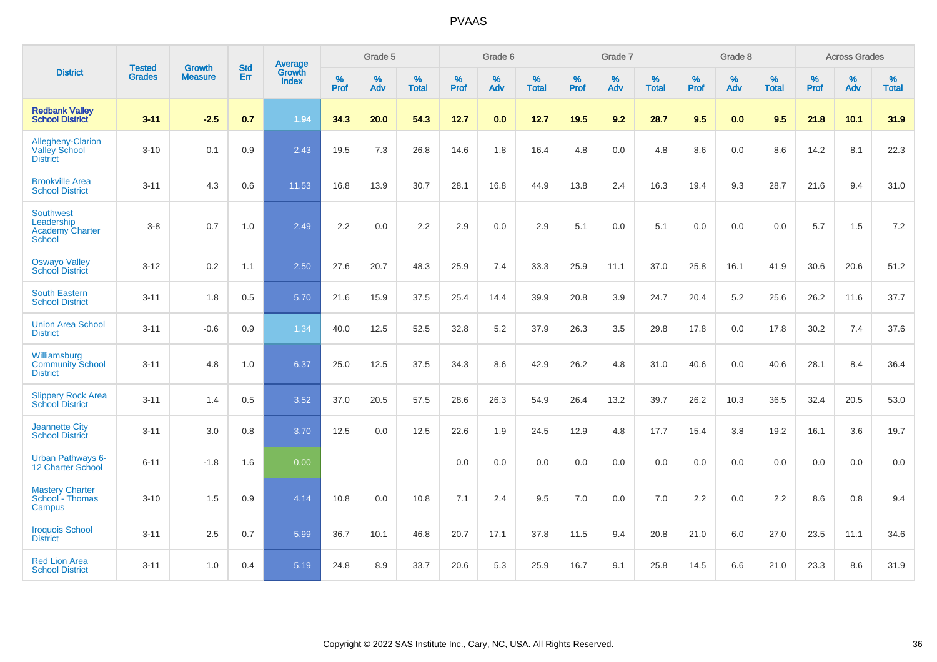|                                                                    | <b>Tested</b> | <b>Growth</b>  | <b>Std</b> | Average                |                     | Grade 5  |                   |                     | Grade 6  |                   |              | Grade 7  |                   |                     | Grade 8  |                   |                     | <b>Across Grades</b> |                   |
|--------------------------------------------------------------------|---------------|----------------|------------|------------------------|---------------------|----------|-------------------|---------------------|----------|-------------------|--------------|----------|-------------------|---------------------|----------|-------------------|---------------------|----------------------|-------------------|
| <b>District</b>                                                    | <b>Grades</b> | <b>Measure</b> | Err        | Growth<br><b>Index</b> | $\%$<br><b>Prof</b> | %<br>Adv | %<br><b>Total</b> | $\%$<br><b>Prof</b> | %<br>Adv | %<br><b>Total</b> | $\%$<br>Prof | %<br>Adv | %<br><b>Total</b> | $\%$<br><b>Prof</b> | %<br>Adv | %<br><b>Total</b> | $\%$<br><b>Prof</b> | %<br>Adv             | %<br><b>Total</b> |
| <b>Redbank Valley</b><br><b>School District</b>                    | $3 - 11$      | $-2.5$         | 0.7        | 1.94                   | 34.3                | 20.0     | 54.3              | 12.7                | 0.0      | 12.7              | 19.5         | 9.2      | 28.7              | 9.5                 | 0.0      | 9.5               | 21.8                | 10.1                 | 31.9              |
| Allegheny-Clarion<br><b>Valley School</b><br><b>District</b>       | $3 - 10$      | 0.1            | 0.9        | 2.43                   | 19.5                | 7.3      | 26.8              | 14.6                | 1.8      | 16.4              | 4.8          | 0.0      | 4.8               | 8.6                 | 0.0      | 8.6               | 14.2                | 8.1                  | 22.3              |
| <b>Brookville Area</b><br><b>School District</b>                   | $3 - 11$      | 4.3            | 0.6        | 11.53                  | 16.8                | 13.9     | 30.7              | 28.1                | 16.8     | 44.9              | 13.8         | 2.4      | 16.3              | 19.4                | 9.3      | 28.7              | 21.6                | 9.4                  | 31.0              |
| <b>Southwest</b><br>Leadership<br><b>Academy Charter</b><br>School | $3 - 8$       | 0.7            | 1.0        | 2.49                   | 2.2                 | 0.0      | 2.2               | 2.9                 | 0.0      | 2.9               | 5.1          | 0.0      | 5.1               | 0.0                 | 0.0      | 0.0               | 5.7                 | 1.5                  | 7.2               |
| <b>Oswayo Valley</b><br><b>School District</b>                     | $3 - 12$      | 0.2            | 1.1        | 2.50                   | 27.6                | 20.7     | 48.3              | 25.9                | 7.4      | 33.3              | 25.9         | 11.1     | 37.0              | 25.8                | 16.1     | 41.9              | 30.6                | 20.6                 | 51.2              |
| <b>South Eastern</b><br><b>School District</b>                     | $3 - 11$      | 1.8            | 0.5        | 5.70                   | 21.6                | 15.9     | 37.5              | 25.4                | 14.4     | 39.9              | 20.8         | 3.9      | 24.7              | 20.4                | 5.2      | 25.6              | 26.2                | 11.6                 | 37.7              |
| <b>Union Area School</b><br><b>District</b>                        | $3 - 11$      | $-0.6$         | 0.9        | 1.34                   | 40.0                | 12.5     | 52.5              | 32.8                | $5.2\,$  | 37.9              | 26.3         | 3.5      | 29.8              | 17.8                | 0.0      | 17.8              | 30.2                | 7.4                  | 37.6              |
| Williamsburg<br><b>Community School</b><br><b>District</b>         | $3 - 11$      | 4.8            | 1.0        | 6.37                   | 25.0                | 12.5     | 37.5              | 34.3                | 8.6      | 42.9              | 26.2         | 4.8      | 31.0              | 40.6                | 0.0      | 40.6              | 28.1                | 8.4                  | 36.4              |
| <b>Slippery Rock Area</b><br><b>School District</b>                | $3 - 11$      | 1.4            | 0.5        | 3.52                   | 37.0                | 20.5     | 57.5              | 28.6                | 26.3     | 54.9              | 26.4         | 13.2     | 39.7              | 26.2                | 10.3     | 36.5              | 32.4                | 20.5                 | 53.0              |
| <b>Jeannette City</b><br><b>School District</b>                    | $3 - 11$      | 3.0            | 0.8        | 3.70                   | 12.5                | 0.0      | 12.5              | 22.6                | 1.9      | 24.5              | 12.9         | 4.8      | 17.7              | 15.4                | 3.8      | 19.2              | 16.1                | 3.6                  | 19.7              |
| <b>Urban Pathways 6-</b><br>12 Charter School                      | $6 - 11$      | $-1.8$         | 1.6        | 0.00                   |                     |          |                   | 0.0                 | 0.0      | 0.0               | 0.0          | 0.0      | 0.0               | 0.0                 | 0.0      | 0.0               | 0.0                 | 0.0                  | 0.0               |
| <b>Mastery Charter</b><br>School - Thomas<br>Campus                | $3 - 10$      | 1.5            | 0.9        | 4.14                   | 10.8                | 0.0      | 10.8              | 7.1                 | 2.4      | 9.5               | 7.0          | 0.0      | 7.0               | 2.2                 | 0.0      | 2.2               | 8.6                 | 0.8                  | 9.4               |
| <b>Iroquois School</b><br><b>District</b>                          | $3 - 11$      | 2.5            | 0.7        | 5.99                   | 36.7                | 10.1     | 46.8              | 20.7                | 17.1     | 37.8              | 11.5         | 9.4      | 20.8              | 21.0                | 6.0      | 27.0              | 23.5                | 11.1                 | 34.6              |
| <b>Red Lion Area</b><br><b>School District</b>                     | $3 - 11$      | 1.0            | 0.4        | 5.19                   | 24.8                | 8.9      | 33.7              | 20.6                | 5.3      | 25.9              | 16.7         | 9.1      | 25.8              | 14.5                | 6.6      | 21.0              | 23.3                | 8.6                  | 31.9              |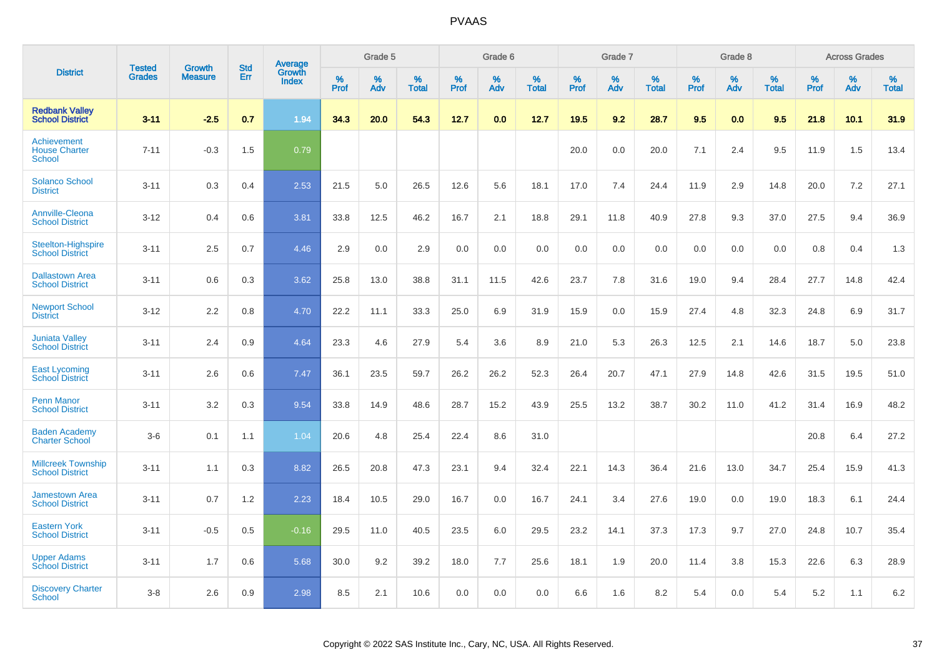|                                                      |                                |                          | <b>Std</b> | Average                |           | Grade 5  |                      |           | Grade 6  |                   |           | Grade 7  |                   |           | Grade 8  |                   |           | <b>Across Grades</b> |                   |
|------------------------------------------------------|--------------------------------|--------------------------|------------|------------------------|-----------|----------|----------------------|-----------|----------|-------------------|-----------|----------|-------------------|-----------|----------|-------------------|-----------|----------------------|-------------------|
| <b>District</b>                                      | <b>Tested</b><br><b>Grades</b> | Growth<br><b>Measure</b> | Err        | Growth<br><b>Index</b> | %<br>Prof | %<br>Adv | $\%$<br><b>Total</b> | %<br>Prof | %<br>Adv | %<br><b>Total</b> | %<br>Prof | %<br>Adv | %<br><b>Total</b> | %<br>Prof | %<br>Adv | %<br><b>Total</b> | %<br>Prof | %<br>Adv             | %<br><b>Total</b> |
| <b>Redbank Valley</b><br><b>School District</b>      | $3 - 11$                       | $-2.5$                   | 0.7        | 1.94                   | 34.3      | 20.0     | 54.3                 | 12.7      | 0.0      | 12.7              | 19.5      | 9.2      | 28.7              | 9.5       | 0.0      | 9.5               | 21.8      | 10.1                 | 31.9              |
| Achievement<br><b>House Charter</b><br><b>School</b> | $7 - 11$                       | $-0.3$                   | 1.5        | 0.79                   |           |          |                      |           |          |                   | 20.0      | 0.0      | 20.0              | 7.1       | 2.4      | 9.5               | 11.9      | 1.5                  | 13.4              |
| <b>Solanco School</b><br><b>District</b>             | $3 - 11$                       | 0.3                      | 0.4        | 2.53                   | 21.5      | 5.0      | 26.5                 | 12.6      | 5.6      | 18.1              | 17.0      | 7.4      | 24.4              | 11.9      | 2.9      | 14.8              | 20.0      | 7.2                  | 27.1              |
| <b>Annville-Cleona</b><br><b>School District</b>     | $3 - 12$                       | 0.4                      | 0.6        | 3.81                   | 33.8      | 12.5     | 46.2                 | 16.7      | 2.1      | 18.8              | 29.1      | 11.8     | 40.9              | 27.8      | 9.3      | 37.0              | 27.5      | 9.4                  | 36.9              |
| <b>Steelton-Highspire</b><br><b>School District</b>  | $3 - 11$                       | 2.5                      | 0.7        | 4.46                   | 2.9       | 0.0      | 2.9                  | 0.0       | 0.0      | 0.0               | 0.0       | 0.0      | 0.0               | 0.0       | 0.0      | 0.0               | 0.8       | 0.4                  | 1.3               |
| <b>Dallastown Area</b><br><b>School District</b>     | $3 - 11$                       | 0.6                      | 0.3        | 3.62                   | 25.8      | 13.0     | 38.8                 | 31.1      | 11.5     | 42.6              | 23.7      | 7.8      | 31.6              | 19.0      | 9.4      | 28.4              | 27.7      | 14.8                 | 42.4              |
| <b>Newport School</b><br><b>District</b>             | $3 - 12$                       | 2.2                      | 0.8        | 4.70                   | 22.2      | 11.1     | 33.3                 | 25.0      | 6.9      | 31.9              | 15.9      | 0.0      | 15.9              | 27.4      | 4.8      | 32.3              | 24.8      | 6.9                  | 31.7              |
| <b>Juniata Valley</b><br><b>School District</b>      | $3 - 11$                       | 2.4                      | 0.9        | 4.64                   | 23.3      | 4.6      | 27.9                 | 5.4       | 3.6      | 8.9               | 21.0      | 5.3      | 26.3              | 12.5      | 2.1      | 14.6              | 18.7      | 5.0                  | 23.8              |
| <b>East Lycoming</b><br><b>School District</b>       | $3 - 11$                       | 2.6                      | 0.6        | 7.47                   | 36.1      | 23.5     | 59.7                 | 26.2      | 26.2     | 52.3              | 26.4      | 20.7     | 47.1              | 27.9      | 14.8     | 42.6              | 31.5      | 19.5                 | 51.0              |
| <b>Penn Manor</b><br><b>School District</b>          | $3 - 11$                       | 3.2                      | 0.3        | 9.54                   | 33.8      | 14.9     | 48.6                 | 28.7      | 15.2     | 43.9              | 25.5      | 13.2     | 38.7              | 30.2      | 11.0     | 41.2              | 31.4      | 16.9                 | 48.2              |
| <b>Baden Academy</b><br><b>Charter School</b>        | $3-6$                          | 0.1                      | 1.1        | 1.04                   | 20.6      | 4.8      | 25.4                 | 22.4      | 8.6      | 31.0              |           |          |                   |           |          |                   | 20.8      | 6.4                  | 27.2              |
| <b>Millcreek Township</b><br><b>School District</b>  | $3 - 11$                       | 1.1                      | 0.3        | 8.82                   | 26.5      | 20.8     | 47.3                 | 23.1      | 9.4      | 32.4              | 22.1      | 14.3     | 36.4              | 21.6      | 13.0     | 34.7              | 25.4      | 15.9                 | 41.3              |
| <b>Jamestown Area</b><br><b>School District</b>      | $3 - 11$                       | 0.7                      | 1.2        | 2.23                   | 18.4      | 10.5     | 29.0                 | 16.7      | 0.0      | 16.7              | 24.1      | 3.4      | 27.6              | 19.0      | 0.0      | 19.0              | 18.3      | 6.1                  | 24.4              |
| <b>Eastern York</b><br><b>School District</b>        | $3 - 11$                       | $-0.5$                   | 0.5        | $-0.16$                | 29.5      | 11.0     | 40.5                 | 23.5      | 6.0      | 29.5              | 23.2      | 14.1     | 37.3              | 17.3      | 9.7      | 27.0              | 24.8      | 10.7                 | 35.4              |
| <b>Upper Adams</b><br><b>School District</b>         | $3 - 11$                       | 1.7                      | 0.6        | 5.68                   | 30.0      | 9.2      | 39.2                 | 18.0      | 7.7      | 25.6              | 18.1      | 1.9      | 20.0              | 11.4      | 3.8      | 15.3              | 22.6      | 6.3                  | 28.9              |
| <b>Discovery Charter</b><br>School                   | $3 - 8$                        | 2.6                      | 0.9        | 2.98                   | 8.5       | 2.1      | 10.6                 | 0.0       | 0.0      | 0.0               | 6.6       | 1.6      | 8.2               | 5.4       | $0.0\,$  | 5.4               | 5.2       | 1.1                  | 6.2               |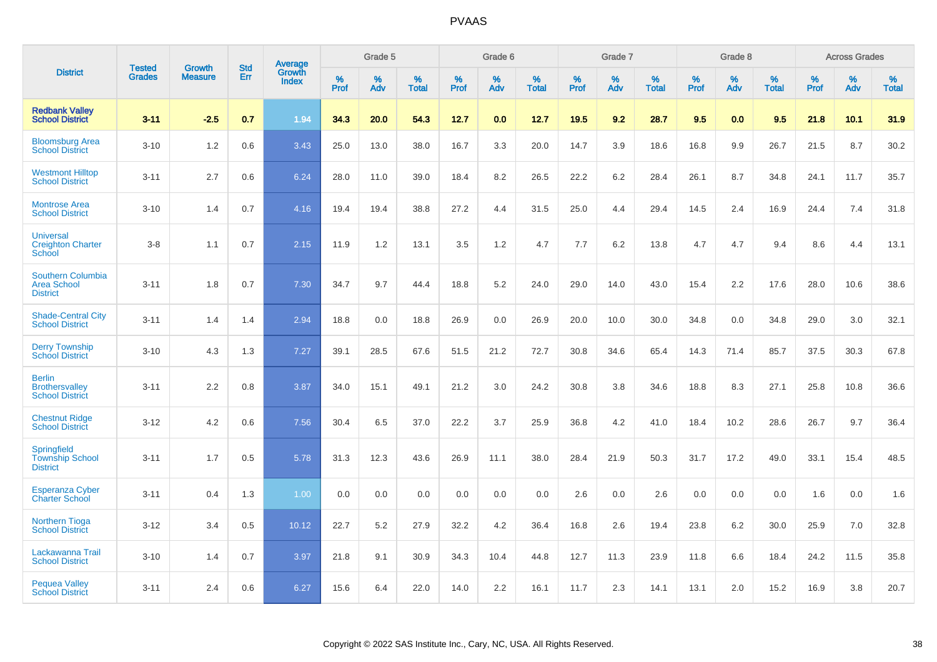|                                                                   | <b>Tested</b> | <b>Growth</b>  | <b>Std</b> | Average                |              | Grade 5  |                   |           | Grade 6  |                   |              | Grade 7  |                   |           | Grade 8  |                   |              | <b>Across Grades</b> |                   |
|-------------------------------------------------------------------|---------------|----------------|------------|------------------------|--------------|----------|-------------------|-----------|----------|-------------------|--------------|----------|-------------------|-----------|----------|-------------------|--------------|----------------------|-------------------|
| <b>District</b>                                                   | <b>Grades</b> | <b>Measure</b> | Err        | Growth<br><b>Index</b> | $\%$<br>Prof | %<br>Adv | %<br><b>Total</b> | %<br>Prof | %<br>Adv | %<br><b>Total</b> | $\%$<br>Prof | %<br>Adv | %<br><b>Total</b> | %<br>Prof | %<br>Adv | %<br><b>Total</b> | $\%$<br>Prof | %<br>Adv             | %<br><b>Total</b> |
| <b>Redbank Valley</b><br><b>School District</b>                   | $3 - 11$      | $-2.5$         | 0.7        | 1.94                   | 34.3         | 20.0     | 54.3              | 12.7      | 0.0      | 12.7              | 19.5         | 9.2      | 28.7              | 9.5       | 0.0      | 9.5               | 21.8         | 10.1                 | 31.9              |
| <b>Bloomsburg Area</b><br><b>School District</b>                  | $3 - 10$      | 1.2            | 0.6        | 3.43                   | 25.0         | 13.0     | 38.0              | 16.7      | 3.3      | 20.0              | 14.7         | 3.9      | 18.6              | 16.8      | 9.9      | 26.7              | 21.5         | 8.7                  | 30.2              |
| <b>Westmont Hilltop</b><br><b>School District</b>                 | $3 - 11$      | 2.7            | 0.6        | 6.24                   | 28.0         | 11.0     | 39.0              | 18.4      | 8.2      | 26.5              | 22.2         | 6.2      | 28.4              | 26.1      | 8.7      | 34.8              | 24.1         | 11.7                 | 35.7              |
| <b>Montrose Area</b><br><b>School District</b>                    | $3 - 10$      | 1.4            | 0.7        | 4.16                   | 19.4         | 19.4     | 38.8              | 27.2      | 4.4      | 31.5              | 25.0         | 4.4      | 29.4              | 14.5      | 2.4      | 16.9              | 24.4         | 7.4                  | 31.8              |
| <b>Universal</b><br><b>Creighton Charter</b><br><b>School</b>     | $3 - 8$       | 1.1            | 0.7        | 2.15                   | 11.9         | 1.2      | 13.1              | 3.5       | 1.2      | 4.7               | 7.7          | 6.2      | 13.8              | 4.7       | 4.7      | 9.4               | 8.6          | 4.4                  | 13.1              |
| <b>Southern Columbia</b><br><b>Area School</b><br><b>District</b> | $3 - 11$      | 1.8            | 0.7        | 7.30                   | 34.7         | 9.7      | 44.4              | 18.8      | 5.2      | 24.0              | 29.0         | 14.0     | 43.0              | 15.4      | 2.2      | 17.6              | 28.0         | 10.6                 | 38.6              |
| <b>Shade-Central City</b><br><b>School District</b>               | $3 - 11$      | 1.4            | 1.4        | 2.94                   | 18.8         | 0.0      | 18.8              | 26.9      | 0.0      | 26.9              | 20.0         | 10.0     | 30.0              | 34.8      | 0.0      | 34.8              | 29.0         | 3.0                  | 32.1              |
| <b>Derry Township</b><br><b>School District</b>                   | $3 - 10$      | 4.3            | 1.3        | 7.27                   | 39.1         | 28.5     | 67.6              | 51.5      | 21.2     | 72.7              | 30.8         | 34.6     | 65.4              | 14.3      | 71.4     | 85.7              | 37.5         | 30.3                 | 67.8              |
| <b>Berlin</b><br><b>Brothersvalley</b><br><b>School District</b>  | $3 - 11$      | 2.2            | 0.8        | 3.87                   | 34.0         | 15.1     | 49.1              | 21.2      | 3.0      | 24.2              | 30.8         | 3.8      | 34.6              | 18.8      | 8.3      | 27.1              | 25.8         | 10.8                 | 36.6              |
| <b>Chestnut Ridge</b><br><b>School District</b>                   | $3 - 12$      | 4.2            | 0.6        | 7.56                   | 30.4         | 6.5      | 37.0              | 22.2      | 3.7      | 25.9              | 36.8         | 4.2      | 41.0              | 18.4      | 10.2     | 28.6              | 26.7         | 9.7                  | 36.4              |
| Springfield<br><b>Township School</b><br><b>District</b>          | $3 - 11$      | 1.7            | 0.5        | 5.78                   | 31.3         | 12.3     | 43.6              | 26.9      | 11.1     | 38.0              | 28.4         | 21.9     | 50.3              | 31.7      | 17.2     | 49.0              | 33.1         | 15.4                 | 48.5              |
| <b>Esperanza Cyber</b><br><b>Charter School</b>                   | $3 - 11$      | 0.4            | 1.3        | 1.00                   | 0.0          | 0.0      | 0.0               | 0.0       | 0.0      | 0.0               | 2.6          | 0.0      | 2.6               | 0.0       | 0.0      | 0.0               | 1.6          | 0.0                  | 1.6               |
| <b>Northern Tioga</b><br><b>School District</b>                   | $3 - 12$      | 3.4            | 0.5        | 10.12                  | 22.7         | 5.2      | 27.9              | 32.2      | 4.2      | 36.4              | 16.8         | 2.6      | 19.4              | 23.8      | 6.2      | 30.0              | 25.9         | 7.0                  | 32.8              |
| Lackawanna Trail<br><b>School District</b>                        | $3 - 10$      | 1.4            | 0.7        | 3.97                   | 21.8         | 9.1      | 30.9              | 34.3      | 10.4     | 44.8              | 12.7         | 11.3     | 23.9              | 11.8      | 6.6      | 18.4              | 24.2         | 11.5                 | 35.8              |
| <b>Pequea Valley</b><br><b>School District</b>                    | $3 - 11$      | 2.4            | 0.6        | 6.27                   | 15.6         | 6.4      | 22.0              | 14.0      | 2.2      | 16.1              | 11.7         | 2.3      | 14.1              | 13.1      | 2.0      | 15.2              | 16.9         | 3.8                  | 20.7              |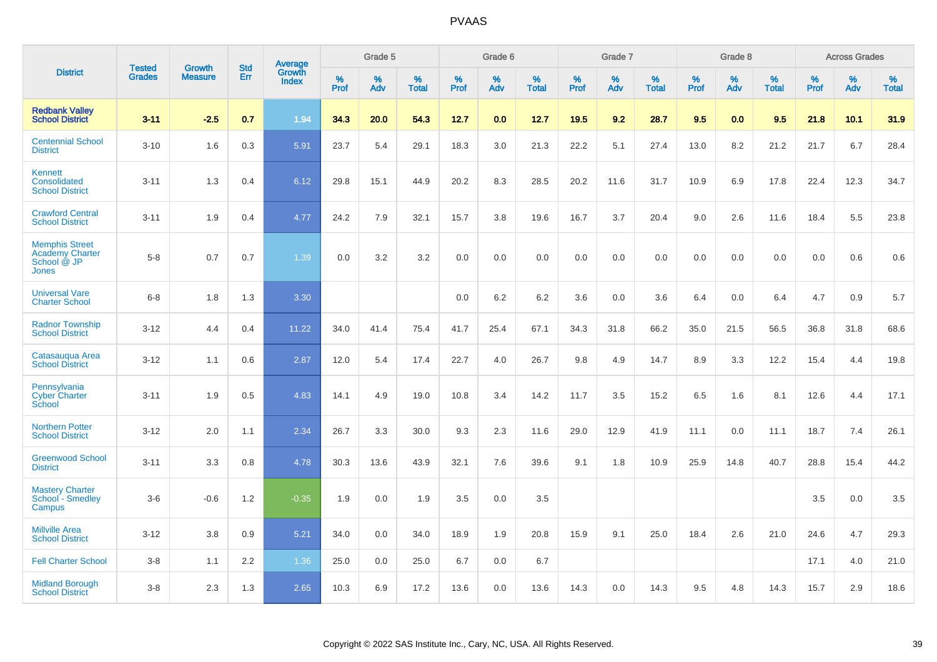|                                                                         |                                |                                 | <b>Std</b> | Average                |           | Grade 5  |                   |           | Grade 6  |                   |           | Grade 7  |                   |           | Grade 8  |                   |           | <b>Across Grades</b> |                   |
|-------------------------------------------------------------------------|--------------------------------|---------------------------------|------------|------------------------|-----------|----------|-------------------|-----------|----------|-------------------|-----------|----------|-------------------|-----------|----------|-------------------|-----------|----------------------|-------------------|
| <b>District</b>                                                         | <b>Tested</b><br><b>Grades</b> | <b>Growth</b><br><b>Measure</b> | Err        | Growth<br><b>Index</b> | %<br>Prof | %<br>Adv | %<br><b>Total</b> | %<br>Prof | %<br>Adv | %<br><b>Total</b> | %<br>Prof | %<br>Adv | %<br><b>Total</b> | %<br>Prof | %<br>Adv | %<br><b>Total</b> | %<br>Prof | %<br>Adv             | %<br><b>Total</b> |
| <b>Redbank Valley</b><br><b>School District</b>                         | $3 - 11$                       | $-2.5$                          | 0.7        | 1.94                   | 34.3      | 20.0     | 54.3              | 12.7      | 0.0      | 12.7              | 19.5      | 9.2      | 28.7              | 9.5       | 0.0      | 9.5               | 21.8      | 10.1                 | 31.9              |
| <b>Centennial School</b><br><b>District</b>                             | $3 - 10$                       | 1.6                             | 0.3        | 5.91                   | 23.7      | 5.4      | 29.1              | 18.3      | 3.0      | 21.3              | 22.2      | 5.1      | 27.4              | 13.0      | 8.2      | 21.2              | 21.7      | 6.7                  | 28.4              |
| Kennett<br>Consolidated<br><b>School District</b>                       | $3 - 11$                       | 1.3                             | 0.4        | 6.12                   | 29.8      | 15.1     | 44.9              | 20.2      | 8.3      | 28.5              | 20.2      | 11.6     | 31.7              | 10.9      | 6.9      | 17.8              | 22.4      | 12.3                 | 34.7              |
| <b>Crawford Central</b><br><b>School District</b>                       | $3 - 11$                       | 1.9                             | 0.4        | 4.77                   | 24.2      | 7.9      | 32.1              | 15.7      | 3.8      | 19.6              | 16.7      | 3.7      | 20.4              | 9.0       | 2.6      | 11.6              | 18.4      | 5.5                  | 23.8              |
| <b>Memphis Street</b><br><b>Academy Charter</b><br>School @ JP<br>Jones | $5 - 8$                        | 0.7                             | 0.7        | 1.39                   | 0.0       | 3.2      | 3.2               | $0.0\,$   | 0.0      | 0.0               | 0.0       | 0.0      | 0.0               | 0.0       | 0.0      | 0.0               | 0.0       | 0.6                  | 0.6               |
| <b>Universal Vare</b><br><b>Charter School</b>                          | $6-8$                          | 1.8                             | 1.3        | 3.30                   |           |          |                   | 0.0       | 6.2      | 6.2               | 3.6       | 0.0      | 3.6               | 6.4       | 0.0      | 6.4               | 4.7       | 0.9                  | 5.7               |
| <b>Radnor Township</b><br><b>School District</b>                        | $3 - 12$                       | 4.4                             | 0.4        | 11.22                  | 34.0      | 41.4     | 75.4              | 41.7      | 25.4     | 67.1              | 34.3      | 31.8     | 66.2              | 35.0      | 21.5     | 56.5              | 36.8      | 31.8                 | 68.6              |
| Catasaugua Area<br><b>School District</b>                               | $3 - 12$                       | 1.1                             | 0.6        | 2.87                   | 12.0      | 5.4      | 17.4              | 22.7      | 4.0      | 26.7              | 9.8       | 4.9      | 14.7              | 8.9       | 3.3      | 12.2              | 15.4      | 4.4                  | 19.8              |
| Pennsylvania<br><b>Cyber Charter</b><br>School                          | $3 - 11$                       | 1.9                             | 0.5        | 4.83                   | 14.1      | 4.9      | 19.0              | 10.8      | 3.4      | 14.2              | 11.7      | 3.5      | 15.2              | 6.5       | 1.6      | 8.1               | 12.6      | 4.4                  | 17.1              |
| <b>Northern Potter</b><br><b>School District</b>                        | $3 - 12$                       | 2.0                             | 1.1        | 2.34                   | 26.7      | 3.3      | 30.0              | 9.3       | 2.3      | 11.6              | 29.0      | 12.9     | 41.9              | 11.1      | 0.0      | 11.1              | 18.7      | 7.4                  | 26.1              |
| <b>Greenwood School</b><br><b>District</b>                              | $3 - 11$                       | 3.3                             | 0.8        | 4.78                   | 30.3      | 13.6     | 43.9              | 32.1      | 7.6      | 39.6              | 9.1       | 1.8      | 10.9              | 25.9      | 14.8     | 40.7              | 28.8      | 15.4                 | 44.2              |
| <b>Mastery Charter</b><br>School <sup>-</sup> Smedley<br>Campus         | $3-6$                          | $-0.6$                          | 1.2        | $-0.35$                | 1.9       | 0.0      | 1.9               | 3.5       | 0.0      | 3.5               |           |          |                   |           |          |                   | 3.5       | 0.0                  | 3.5               |
| <b>Millville Area</b><br><b>School District</b>                         | $3 - 12$                       | 3.8                             | 0.9        | 5.21                   | 34.0      | 0.0      | 34.0              | 18.9      | 1.9      | 20.8              | 15.9      | 9.1      | 25.0              | 18.4      | 2.6      | 21.0              | 24.6      | 4.7                  | 29.3              |
| <b>Fell Charter School</b>                                              | $3 - 8$                        | 1.1                             | 2.2        | 1.36                   | 25.0      | 0.0      | 25.0              | 6.7       | 0.0      | 6.7               |           |          |                   |           |          |                   | 17.1      | 4.0                  | 21.0              |
| <b>Midland Borough</b><br><b>School District</b>                        | $3 - 8$                        | 2.3                             | 1.3        | 2.65                   | 10.3      | 6.9      | 17.2              | 13.6      | 0.0      | 13.6              | 14.3      | 0.0      | 14.3              | 9.5       | 4.8      | 14.3              | 15.7      | 2.9                  | 18.6              |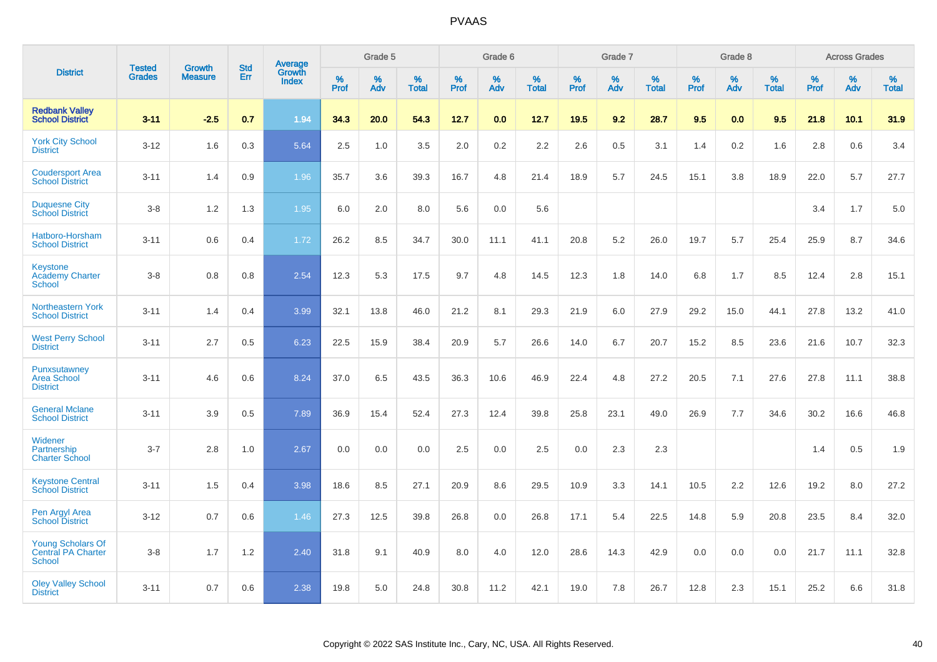|                                                                 |                                |                                 | <b>Std</b> | <b>Average</b>         |              | Grade 5  |                   |           | Grade 6  |                   |           | Grade 7  |                   |           | Grade 8  |                   |           | <b>Across Grades</b> |                   |
|-----------------------------------------------------------------|--------------------------------|---------------------------------|------------|------------------------|--------------|----------|-------------------|-----------|----------|-------------------|-----------|----------|-------------------|-----------|----------|-------------------|-----------|----------------------|-------------------|
| <b>District</b>                                                 | <b>Tested</b><br><b>Grades</b> | <b>Growth</b><br><b>Measure</b> | Err        | Growth<br><b>Index</b> | $\%$<br>Prof | %<br>Adv | %<br><b>Total</b> | %<br>Prof | %<br>Adv | %<br><b>Total</b> | %<br>Prof | %<br>Adv | %<br><b>Total</b> | %<br>Prof | %<br>Adv | %<br><b>Total</b> | %<br>Prof | %<br>Adv             | %<br><b>Total</b> |
| <b>Redbank Valley</b><br><b>School District</b>                 | $3 - 11$                       | $-2.5$                          | 0.7        | 1.94                   | 34.3         | 20.0     | 54.3              | 12.7      | 0.0      | 12.7              | 19.5      | 9.2      | 28.7              | 9.5       | 0.0      | 9.5               | 21.8      | 10.1                 | 31.9              |
| <b>York City School</b><br><b>District</b>                      | $3 - 12$                       | 1.6                             | 0.3        | 5.64                   | 2.5          | 1.0      | 3.5               | 2.0       | 0.2      | 2.2               | 2.6       | 0.5      | 3.1               | 1.4       | 0.2      | 1.6               | 2.8       | 0.6                  | 3.4               |
| <b>Coudersport Area</b><br><b>School District</b>               | $3 - 11$                       | 1.4                             | 0.9        | 1.96                   | 35.7         | 3.6      | 39.3              | 16.7      | 4.8      | 21.4              | 18.9      | 5.7      | 24.5              | 15.1      | 3.8      | 18.9              | 22.0      | 5.7                  | 27.7              |
| <b>Duquesne City</b><br><b>School District</b>                  | $3 - 8$                        | 1.2                             | 1.3        | 1.95                   | 6.0          | 2.0      | 8.0               | 5.6       | 0.0      | 5.6               |           |          |                   |           |          |                   | 3.4       | 1.7                  | 5.0               |
| Hatboro-Horsham<br><b>School District</b>                       | $3 - 11$                       | 0.6                             | 0.4        | 1.72                   | 26.2         | 8.5      | 34.7              | 30.0      | 11.1     | 41.1              | 20.8      | 5.2      | 26.0              | 19.7      | 5.7      | 25.4              | 25.9      | 8.7                  | 34.6              |
| Keystone<br><b>Academy Charter</b><br><b>School</b>             | $3 - 8$                        | 0.8                             | 0.8        | 2.54                   | 12.3         | 5.3      | 17.5              | 9.7       | 4.8      | 14.5              | 12.3      | 1.8      | 14.0              | 6.8       | 1.7      | 8.5               | 12.4      | 2.8                  | 15.1              |
| <b>Northeastern York</b><br><b>School District</b>              | $3 - 11$                       | 1.4                             | 0.4        | 3.99                   | 32.1         | 13.8     | 46.0              | 21.2      | 8.1      | 29.3              | 21.9      | 6.0      | 27.9              | 29.2      | 15.0     | 44.1              | 27.8      | 13.2                 | 41.0              |
| <b>West Perry School</b><br><b>District</b>                     | $3 - 11$                       | 2.7                             | 0.5        | 6.23                   | 22.5         | 15.9     | 38.4              | 20.9      | 5.7      | 26.6              | 14.0      | 6.7      | 20.7              | 15.2      | 8.5      | 23.6              | 21.6      | 10.7                 | 32.3              |
| Punxsutawney<br><b>Area School</b><br><b>District</b>           | $3 - 11$                       | 4.6                             | 0.6        | 8.24                   | 37.0         | 6.5      | 43.5              | 36.3      | 10.6     | 46.9              | 22.4      | 4.8      | 27.2              | 20.5      | 7.1      | 27.6              | 27.8      | 11.1                 | 38.8              |
| <b>General Mclane</b><br><b>School District</b>                 | $3 - 11$                       | 3.9                             | 0.5        | 7.89                   | 36.9         | 15.4     | 52.4              | 27.3      | 12.4     | 39.8              | 25.8      | 23.1     | 49.0              | 26.9      | 7.7      | 34.6              | 30.2      | 16.6                 | 46.8              |
| Widener<br>Partnership<br><b>Charter School</b>                 | $3 - 7$                        | 2.8                             | 1.0        | 2.67                   | 0.0          | 0.0      | 0.0               | 2.5       | 0.0      | 2.5               | 0.0       | 2.3      | 2.3               |           |          |                   | 1.4       | 0.5                  | 1.9               |
| <b>Keystone Central</b><br><b>School District</b>               | $3 - 11$                       | 1.5                             | 0.4        | 3.98                   | 18.6         | 8.5      | 27.1              | 20.9      | 8.6      | 29.5              | 10.9      | 3.3      | 14.1              | 10.5      | 2.2      | 12.6              | 19.2      | 8.0                  | 27.2              |
| Pen Argyl Area<br><b>School District</b>                        | $3 - 12$                       | 0.7                             | 0.6        | 1.46                   | 27.3         | 12.5     | 39.8              | 26.8      | 0.0      | 26.8              | 17.1      | 5.4      | 22.5              | 14.8      | 5.9      | 20.8              | 23.5      | 8.4                  | 32.0              |
| <b>Young Scholars Of</b><br><b>Central PA Charter</b><br>School | $3-8$                          | 1.7                             | 1.2        | 2.40                   | 31.8         | 9.1      | 40.9              | 8.0       | 4.0      | 12.0              | 28.6      | 14.3     | 42.9              | 0.0       | 0.0      | 0.0               | 21.7      | 11.1                 | 32.8              |
| <b>Oley Valley School</b><br><b>District</b>                    | $3 - 11$                       | 0.7                             | 0.6        | 2.38                   | 19.8         | 5.0      | 24.8              | 30.8      | 11.2     | 42.1              | 19.0      | 7.8      | 26.7              | 12.8      | 2.3      | 15.1              | 25.2      | 6.6                  | 31.8              |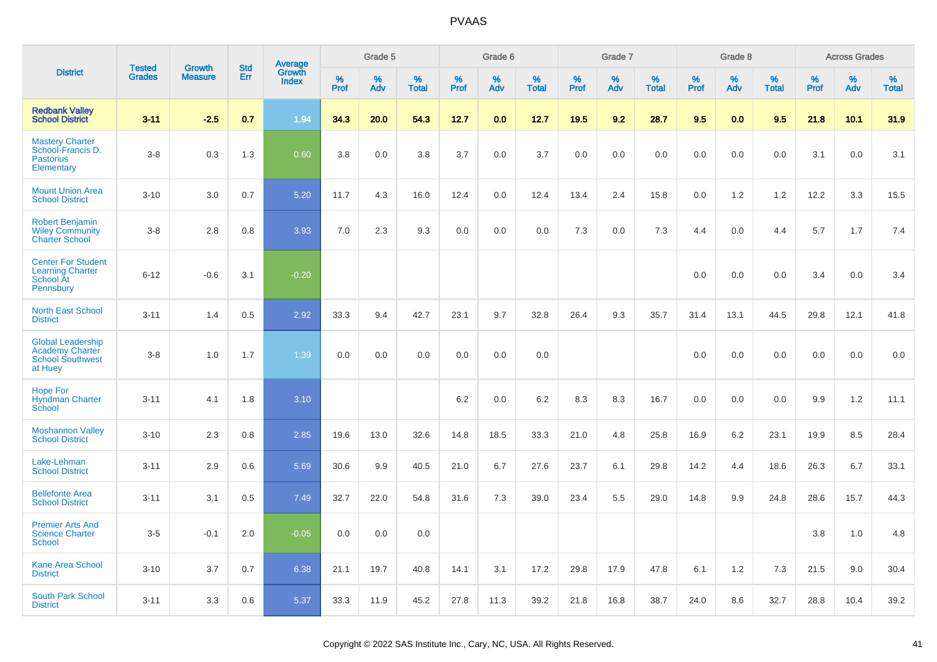|                                                                                          | <b>Tested</b> | <b>Growth</b>  | <b>Std</b> |                                          |              | Grade 5  |                   |              | Grade 6  |                   |              | Grade 7  |                   |              | Grade 8  |                   |              | <b>Across Grades</b> |                   |
|------------------------------------------------------------------------------------------|---------------|----------------|------------|------------------------------------------|--------------|----------|-------------------|--------------|----------|-------------------|--------------|----------|-------------------|--------------|----------|-------------------|--------------|----------------------|-------------------|
| <b>District</b>                                                                          | <b>Grades</b> | <b>Measure</b> | Err        | <b>Average</b><br>Growth<br><b>Index</b> | $\%$<br>Prof | %<br>Adv | %<br><b>Total</b> | $\%$<br>Prof | %<br>Adv | %<br><b>Total</b> | $\%$<br>Prof | %<br>Adv | %<br><b>Total</b> | $\%$<br>Prof | %<br>Adv | %<br><b>Total</b> | $\%$<br>Prof | %<br>Adv             | %<br><b>Total</b> |
| <b>Redbank Valley</b><br><b>School District</b>                                          | $3 - 11$      | $-2.5$         | 0.7        | 1.94                                     | 34.3         | 20.0     | 54.3              | 12.7         | 0.0      | 12.7              | 19.5         | 9.2      | 28.7              | 9.5          | 0.0      | 9.5               | 21.8         | 10.1                 | 31.9              |
| <b>Mastery Charter</b><br>School-Francis D.<br><b>Pastorius</b><br>Elementary            | $3 - 8$       | 0.3            | 1.3        | 0.60                                     | 3.8          | 0.0      | 3.8               | 3.7          | 0.0      | 3.7               | 0.0          | 0.0      | 0.0               | 0.0          | 0.0      | 0.0               | 3.1          | 0.0                  | 3.1               |
| <b>Mount Union Area</b><br><b>School District</b>                                        | $3 - 10$      | 3.0            | 0.7        | 5.20                                     | 11.7         | 4.3      | 16.0              | 12.4         | 0.0      | 12.4              | 13.4         | 2.4      | 15.8              | 0.0          | 1.2      | 1.2               | 12.2         | 3.3                  | 15.5              |
| <b>Robert Benjamin</b><br><b>Wiley Community</b><br><b>Charter School</b>                | $3 - 8$       | 2.8            | 0.8        | 3.93                                     | 7.0          | 2.3      | 9.3               | 0.0          | 0.0      | 0.0               | 7.3          | 0.0      | 7.3               | 4.4          | 0.0      | 4.4               | 5.7          | 1.7                  | 7.4               |
| <b>Center For Student</b><br><b>Learning Charter</b><br>School At<br>Pennsbury           | $6 - 12$      | $-0.6$         | 3.1        | $-0.20$                                  |              |          |                   |              |          |                   |              |          |                   | 0.0          | 0.0      | 0.0               | 3.4          | 0.0                  | 3.4               |
| <b>North East School</b><br><b>District</b>                                              | $3 - 11$      | 1.4            | 0.5        | 2.92                                     | 33.3         | 9.4      | 42.7              | 23.1         | 9.7      | 32.8              | 26.4         | 9.3      | 35.7              | 31.4         | 13.1     | 44.5              | 29.8         | 12.1                 | 41.8              |
| <b>Global Leadership</b><br><b>Academy Charter</b><br><b>School Southwest</b><br>at Huey | $3 - 8$       | 1.0            | 1.7        | 1.39                                     | 0.0          | 0.0      | 0.0               | 0.0          | 0.0      | 0.0               |              |          |                   | 0.0          | 0.0      | 0.0               | 0.0          | 0.0                  | 0.0               |
| <b>Hope For</b><br><b>Hyndman Charter</b><br>School                                      | $3 - 11$      | 4.1            | 1.8        | 3.10                                     |              |          |                   | 6.2          | 0.0      | 6.2               | 8.3          | 8.3      | 16.7              | 0.0          | 0.0      | 0.0               | 9.9          | $1.2$                | 11.1              |
| <b>Moshannon Valley</b><br><b>School District</b>                                        | $3 - 10$      | 2.3            | 0.8        | 2.85                                     | 19.6         | 13.0     | 32.6              | 14.8         | 18.5     | 33.3              | 21.0         | 4.8      | 25.8              | 16.9         | 6.2      | 23.1              | 19.9         | 8.5                  | 28.4              |
| Lake-Lehman<br><b>School District</b>                                                    | $3 - 11$      | 2.9            | 0.6        | 5.69                                     | 30.6         | 9.9      | 40.5              | 21.0         | 6.7      | 27.6              | 23.7         | 6.1      | 29.8              | 14.2         | 4.4      | 18.6              | 26.3         | 6.7                  | 33.1              |
| <b>Bellefonte Area</b><br><b>School District</b>                                         | $3 - 11$      | 3.1            | 0.5        | 7.49                                     | 32.7         | 22.0     | 54.8              | 31.6         | 7.3      | 39.0              | 23.4         | 5.5      | 29.0              | 14.8         | 9.9      | 24.8              | 28.6         | 15.7                 | 44.3              |
| <b>Premier Arts And</b><br><b>Science Charter</b><br>School                              | $3-5$         | $-0.1$         | 2.0        | $-0.05$                                  | 0.0          | 0.0      | 0.0               |              |          |                   |              |          |                   |              |          |                   | 3.8          | 1.0                  | 4.8               |
| Kane Area School<br><b>District</b>                                                      | $3 - 10$      | 3.7            | 0.7        | 6.38                                     | 21.1         | 19.7     | 40.8              | 14.1         | 3.1      | 17.2              | 29.8         | 17.9     | 47.8              | 6.1          | 1.2      | 7.3               | 21.5         | 9.0                  | 30.4              |
| <b>South Park School</b><br><b>District</b>                                              | $3 - 11$      | 3.3            | 0.6        | 5.37                                     | 33.3         | 11.9     | 45.2              | 27.8         | 11.3     | 39.2              | 21.8         | 16.8     | 38.7              | 24.0         | 8.6      | 32.7              | 28.8         | 10.4                 | 39.2              |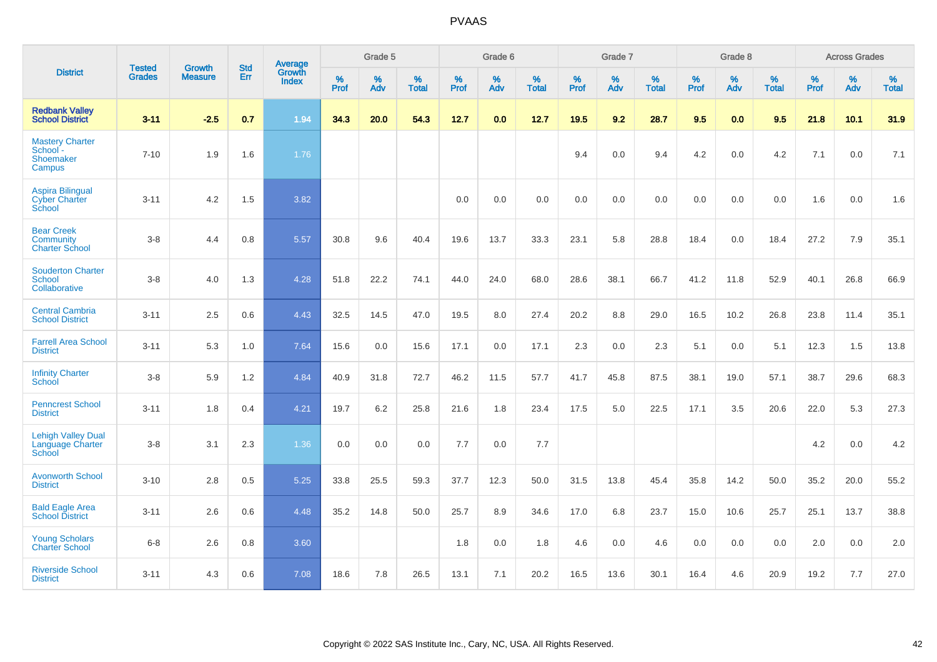|                                                                | <b>Tested</b> |                                 | <b>Std</b> | <b>Average</b>         |              | Grade 5  |                   |           | Grade 6  |                   |           | Grade 7  |                   |           | Grade 8  |                   |           | <b>Across Grades</b> |                   |
|----------------------------------------------------------------|---------------|---------------------------------|------------|------------------------|--------------|----------|-------------------|-----------|----------|-------------------|-----------|----------|-------------------|-----------|----------|-------------------|-----------|----------------------|-------------------|
| <b>District</b>                                                | <b>Grades</b> | <b>Growth</b><br><b>Measure</b> | Err        | Growth<br><b>Index</b> | $\%$<br>Prof | %<br>Adv | %<br><b>Total</b> | %<br>Prof | %<br>Adv | %<br><b>Total</b> | %<br>Prof | %<br>Adv | %<br><b>Total</b> | %<br>Prof | %<br>Adv | %<br><b>Total</b> | %<br>Prof | %<br>Adv             | %<br><b>Total</b> |
| <b>Redbank Valley</b><br><b>School District</b>                | $3 - 11$      | $-2.5$                          | 0.7        | 1.94                   | 34.3         | 20.0     | 54.3              | 12.7      | 0.0      | 12.7              | 19.5      | 9.2      | 28.7              | 9.5       | 0.0      | 9.5               | 21.8      | 10.1                 | 31.9              |
| <b>Mastery Charter</b><br>School -<br>Shoemaker<br>Campus      | $7 - 10$      | 1.9                             | 1.6        | 1.76                   |              |          |                   |           |          |                   | 9.4       | 0.0      | 9.4               | 4.2       | 0.0      | 4.2               | 7.1       | 0.0                  | 7.1               |
| <b>Aspira Bilingual</b><br><b>Cyber Charter</b><br>School      | $3 - 11$      | 4.2                             | 1.5        | 3.82                   |              |          |                   | 0.0       | 0.0      | 0.0               | 0.0       | 0.0      | 0.0               | 0.0       | 0.0      | 0.0               | 1.6       | 0.0                  | 1.6               |
| <b>Bear Creek</b><br><b>Community</b><br><b>Charter School</b> | $3-8$         | 4.4                             | 0.8        | 5.57                   | 30.8         | 9.6      | 40.4              | 19.6      | 13.7     | 33.3              | 23.1      | 5.8      | 28.8              | 18.4      | 0.0      | 18.4              | 27.2      | 7.9                  | 35.1              |
| <b>Souderton Charter</b><br>School<br>Collaborative            | $3 - 8$       | 4.0                             | 1.3        | 4.28                   | 51.8         | 22.2     | 74.1              | 44.0      | 24.0     | 68.0              | 28.6      | 38.1     | 66.7              | 41.2      | 11.8     | 52.9              | 40.1      | 26.8                 | 66.9              |
| <b>Central Cambria</b><br><b>School District</b>               | $3 - 11$      | 2.5                             | 0.6        | 4.43                   | 32.5         | 14.5     | 47.0              | 19.5      | 8.0      | 27.4              | 20.2      | 8.8      | 29.0              | 16.5      | 10.2     | 26.8              | 23.8      | 11.4                 | 35.1              |
| <b>Farrell Area School</b><br><b>District</b>                  | $3 - 11$      | 5.3                             | 1.0        | 7.64                   | 15.6         | 0.0      | 15.6              | 17.1      | 0.0      | 17.1              | 2.3       | 0.0      | 2.3               | 5.1       | 0.0      | 5.1               | 12.3      | 1.5                  | 13.8              |
| <b>Infinity Charter</b><br>School                              | $3-8$         | 5.9                             | 1.2        | 4.84                   | 40.9         | 31.8     | 72.7              | 46.2      | 11.5     | 57.7              | 41.7      | 45.8     | 87.5              | 38.1      | 19.0     | 57.1              | 38.7      | 29.6                 | 68.3              |
| <b>Penncrest School</b><br><b>District</b>                     | $3 - 11$      | 1.8                             | 0.4        | 4.21                   | 19.7         | 6.2      | 25.8              | 21.6      | 1.8      | 23.4              | 17.5      | 5.0      | 22.5              | 17.1      | 3.5      | 20.6              | 22.0      | 5.3                  | 27.3              |
| <b>Lehigh Valley Dual</b><br>Language Charter<br>School        | $3 - 8$       | 3.1                             | 2.3        | 1.36                   | 0.0          | 0.0      | 0.0               | 7.7       | 0.0      | 7.7               |           |          |                   |           |          |                   | 4.2       | 0.0                  | 4.2               |
| <b>Avonworth School</b><br><b>District</b>                     | $3 - 10$      | 2.8                             | 0.5        | 5.25                   | 33.8         | 25.5     | 59.3              | 37.7      | 12.3     | 50.0              | 31.5      | 13.8     | 45.4              | 35.8      | 14.2     | 50.0              | 35.2      | 20.0                 | 55.2              |
| <b>Bald Eagle Area</b><br><b>School District</b>               | $3 - 11$      | 2.6                             | 0.6        | 4.48                   | 35.2         | 14.8     | 50.0              | 25.7      | 8.9      | 34.6              | 17.0      | 6.8      | 23.7              | 15.0      | 10.6     | 25.7              | 25.1      | 13.7                 | 38.8              |
| <b>Young Scholars</b><br><b>Charter School</b>                 | $6-8$         | 2.6                             | 0.8        | 3.60                   |              |          |                   | 1.8       | 0.0      | 1.8               | 4.6       | 0.0      | 4.6               | 0.0       | 0.0      | 0.0               | 2.0       | 0.0                  | 2.0               |
| <b>Riverside School</b><br><b>District</b>                     | $3 - 11$      | 4.3                             | 0.6        | 7.08                   | 18.6         | 7.8      | 26.5              | 13.1      | 7.1      | 20.2              | 16.5      | 13.6     | 30.1              | 16.4      | 4.6      | 20.9              | 19.2      | 7.7                  | 27.0              |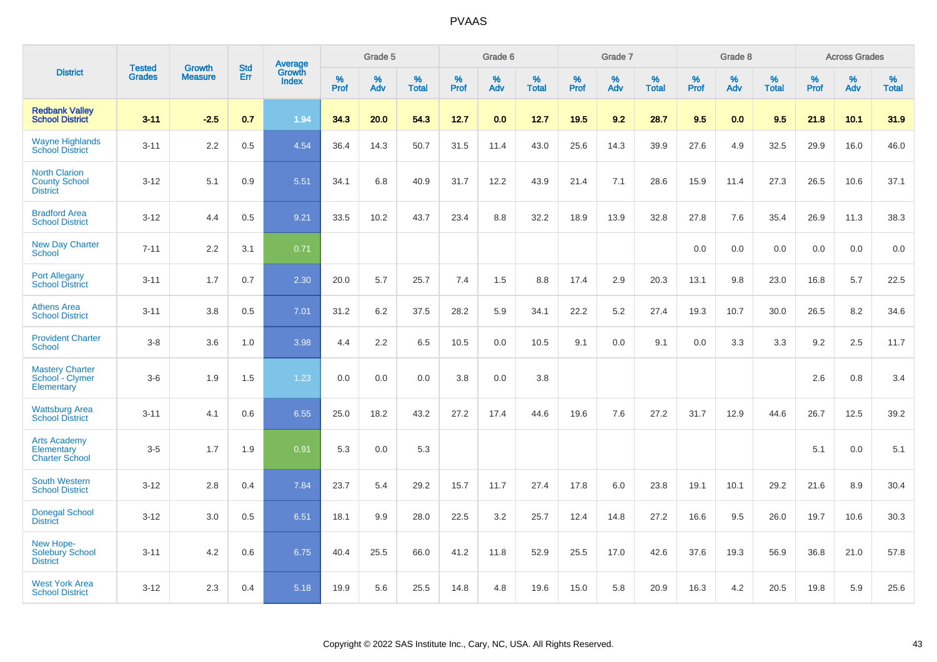|                                                                 |                                | <b>Growth</b>  | <b>Std</b> | Average                |              | Grade 5  |                   |           | Grade 6  |                   |           | Grade 7  |                   |           | Grade 8  |                   |           | <b>Across Grades</b> |                   |
|-----------------------------------------------------------------|--------------------------------|----------------|------------|------------------------|--------------|----------|-------------------|-----------|----------|-------------------|-----------|----------|-------------------|-----------|----------|-------------------|-----------|----------------------|-------------------|
| <b>District</b>                                                 | <b>Tested</b><br><b>Grades</b> | <b>Measure</b> | Err        | Growth<br><b>Index</b> | $\%$<br>Prof | %<br>Adv | %<br><b>Total</b> | %<br>Prof | %<br>Adv | %<br><b>Total</b> | %<br>Prof | %<br>Adv | %<br><b>Total</b> | %<br>Prof | %<br>Adv | %<br><b>Total</b> | %<br>Prof | %<br>Adv             | %<br><b>Total</b> |
| <b>Redbank Valley</b><br><b>School District</b>                 | $3 - 11$                       | $-2.5$         | 0.7        | 1.94                   | 34.3         | 20.0     | 54.3              | 12.7      | 0.0      | 12.7              | 19.5      | 9.2      | 28.7              | 9.5       | 0.0      | 9.5               | 21.8      | 10.1                 | 31.9              |
| <b>Wayne Highlands</b><br><b>School District</b>                | $3 - 11$                       | 2.2            | 0.5        | 4.54                   | 36.4         | 14.3     | 50.7              | 31.5      | 11.4     | 43.0              | 25.6      | 14.3     | 39.9              | 27.6      | 4.9      | 32.5              | 29.9      | 16.0                 | 46.0              |
| <b>North Clarion</b><br><b>County School</b><br><b>District</b> | $3 - 12$                       | 5.1            | 0.9        | 5.51                   | 34.1         | 6.8      | 40.9              | 31.7      | 12.2     | 43.9              | 21.4      | 7.1      | 28.6              | 15.9      | 11.4     | 27.3              | 26.5      | 10.6                 | 37.1              |
| <b>Bradford Area</b><br><b>School District</b>                  | $3 - 12$                       | 4.4            | 0.5        | 9.21                   | 33.5         | 10.2     | 43.7              | 23.4      | 8.8      | 32.2              | 18.9      | 13.9     | 32.8              | 27.8      | 7.6      | 35.4              | 26.9      | 11.3                 | 38.3              |
| <b>New Day Charter</b><br><b>School</b>                         | $7 - 11$                       | 2.2            | 3.1        | 0.71                   |              |          |                   |           |          |                   |           |          |                   | 0.0       | 0.0      | 0.0               | 0.0       | 0.0                  | 0.0               |
| <b>Port Allegany</b><br><b>School District</b>                  | $3 - 11$                       | 1.7            | 0.7        | 2.30                   | 20.0         | 5.7      | 25.7              | 7.4       | 1.5      | 8.8               | 17.4      | 2.9      | 20.3              | 13.1      | 9.8      | 23.0              | 16.8      | 5.7                  | 22.5              |
| <b>Athens Area</b><br><b>School District</b>                    | $3 - 11$                       | 3.8            | 0.5        | 7.01                   | 31.2         | 6.2      | 37.5              | 28.2      | 5.9      | 34.1              | 22.2      | 5.2      | 27.4              | 19.3      | 10.7     | 30.0              | 26.5      | 8.2                  | 34.6              |
| <b>Provident Charter</b><br><b>School</b>                       | $3 - 8$                        | 3.6            | 1.0        | 3.98                   | 4.4          | 2.2      | 6.5               | 10.5      | 0.0      | 10.5              | 9.1       | 0.0      | 9.1               | 0.0       | 3.3      | 3.3               | 9.2       | 2.5                  | 11.7              |
| <b>Mastery Charter</b><br>School - Clymer<br>Elementary         | $3-6$                          | 1.9            | 1.5        | 1.23                   | 0.0          | 0.0      | 0.0               | 3.8       | 0.0      | 3.8               |           |          |                   |           |          |                   | 2.6       | 0.8                  | 3.4               |
| <b>Wattsburg Area</b><br><b>School District</b>                 | $3 - 11$                       | 4.1            | 0.6        | 6.55                   | 25.0         | 18.2     | 43.2              | 27.2      | 17.4     | 44.6              | 19.6      | 7.6      | 27.2              | 31.7      | 12.9     | 44.6              | 26.7      | 12.5                 | 39.2              |
| <b>Arts Academy</b><br>Elementary<br><b>Charter School</b>      | $3-5$                          | 1.7            | 1.9        | 0.91                   | 5.3          | 0.0      | 5.3               |           |          |                   |           |          |                   |           |          |                   | 5.1       | 0.0                  | 5.1               |
| <b>South Western</b><br><b>School District</b>                  | $3 - 12$                       | 2.8            | 0.4        | 7.84                   | 23.7         | 5.4      | 29.2              | 15.7      | 11.7     | 27.4              | 17.8      | 6.0      | 23.8              | 19.1      | 10.1     | 29.2              | 21.6      | 8.9                  | 30.4              |
| <b>Donegal School</b><br><b>District</b>                        | $3 - 12$                       | 3.0            | 0.5        | 6.51                   | 18.1         | 9.9      | 28.0              | 22.5      | 3.2      | 25.7              | 12.4      | 14.8     | 27.2              | 16.6      | 9.5      | 26.0              | 19.7      | 10.6                 | 30.3              |
| New Hope-<br><b>Solebury School</b><br><b>District</b>          | $3 - 11$                       | 4.2            | 0.6        | 6.75                   | 40.4         | 25.5     | 66.0              | 41.2      | 11.8     | 52.9              | 25.5      | 17.0     | 42.6              | 37.6      | 19.3     | 56.9              | 36.8      | 21.0                 | 57.8              |
| <b>West York Area</b><br><b>School District</b>                 | $3 - 12$                       | 2.3            | 0.4        | 5.18                   | 19.9         | 5.6      | 25.5              | 14.8      | 4.8      | 19.6              | 15.0      | 5.8      | 20.9              | 16.3      | 4.2      | 20.5              | 19.8      | 5.9                  | 25.6              |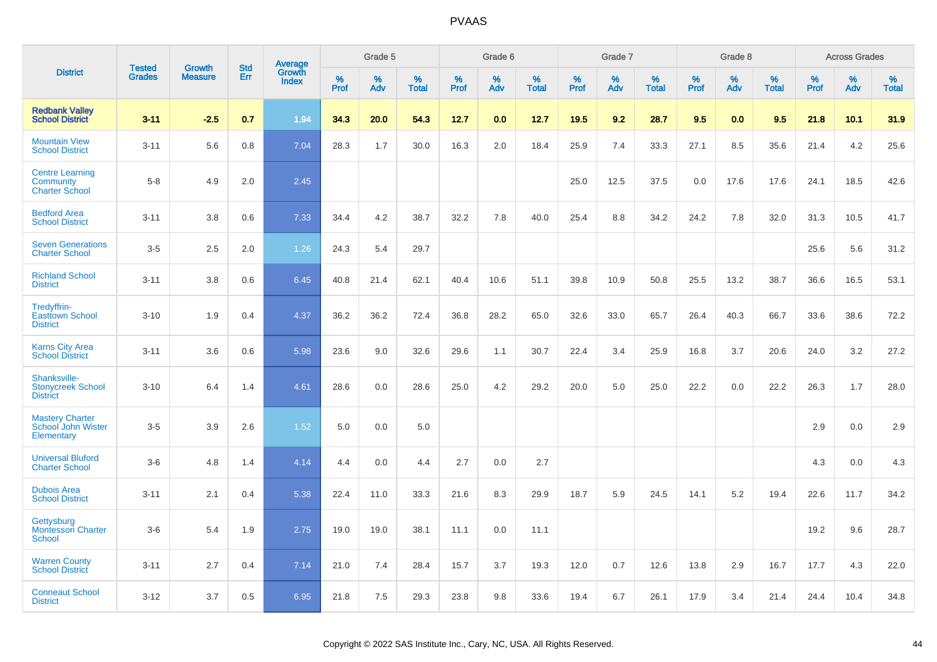|                                                              |                                |                                 | <b>Std</b> |                                   |                     | Grade 5  |                   |                     | Grade 6  |                   |              | Grade 7  |                   |                     | Grade 8  |                   |              | <b>Across Grades</b> |                      |
|--------------------------------------------------------------|--------------------------------|---------------------------------|------------|-----------------------------------|---------------------|----------|-------------------|---------------------|----------|-------------------|--------------|----------|-------------------|---------------------|----------|-------------------|--------------|----------------------|----------------------|
| <b>District</b>                                              | <b>Tested</b><br><b>Grades</b> | <b>Growth</b><br><b>Measure</b> | Err        | Average<br>Growth<br><b>Index</b> | $\%$<br><b>Prof</b> | %<br>Adv | %<br><b>Total</b> | $\%$<br><b>Prof</b> | %<br>Adv | %<br><b>Total</b> | $\%$<br>Prof | %<br>Adv | %<br><b>Total</b> | $\%$<br><b>Prof</b> | %<br>Adv | %<br><b>Total</b> | $\%$<br>Prof | %<br>Adv             | $\%$<br><b>Total</b> |
| <b>Redbank Valley</b><br><b>School District</b>              | $3 - 11$                       | $-2.5$                          | 0.7        | 1.94                              | 34.3                | 20.0     | 54.3              | 12.7                | 0.0      | 12.7              | 19.5         | 9.2      | 28.7              | 9.5                 | 0.0      | 9.5               | 21.8         | 10.1                 | 31.9                 |
| <b>Mountain View</b><br><b>School District</b>               | $3 - 11$                       | 5.6                             | 0.8        | 7.04                              | 28.3                | 1.7      | 30.0              | 16.3                | 2.0      | 18.4              | 25.9         | 7.4      | 33.3              | 27.1                | 8.5      | 35.6              | 21.4         | 4.2                  | 25.6                 |
| <b>Centre Learning</b><br>Community<br><b>Charter School</b> | $5 - 8$                        | 4.9                             | 2.0        | 2.45                              |                     |          |                   |                     |          |                   | 25.0         | 12.5     | 37.5              | 0.0                 | 17.6     | 17.6              | 24.1         | 18.5                 | 42.6                 |
| <b>Bedford Area</b><br><b>School District</b>                | $3 - 11$                       | 3.8                             | 0.6        | 7.33                              | 34.4                | 4.2      | 38.7              | 32.2                | 7.8      | 40.0              | 25.4         | 8.8      | 34.2              | 24.2                | 7.8      | 32.0              | 31.3         | 10.5                 | 41.7                 |
| <b>Seven Generations</b><br><b>Charter School</b>            | $3-5$                          | 2.5                             | 2.0        | 1.26                              | 24.3                | 5.4      | 29.7              |                     |          |                   |              |          |                   |                     |          |                   | 25.6         | 5.6                  | 31.2                 |
| <b>Richland School</b><br><b>District</b>                    | $3 - 11$                       | 3.8                             | 0.6        | 6.45                              | 40.8                | 21.4     | 62.1              | 40.4                | 10.6     | 51.1              | 39.8         | 10.9     | 50.8              | 25.5                | 13.2     | 38.7              | 36.6         | 16.5                 | 53.1                 |
| Tredyffrin-<br><b>Easttown School</b><br><b>District</b>     | $3 - 10$                       | 1.9                             | 0.4        | 4.37                              | 36.2                | 36.2     | 72.4              | 36.8                | 28.2     | 65.0              | 32.6         | 33.0     | 65.7              | 26.4                | 40.3     | 66.7              | 33.6         | 38.6                 | 72.2                 |
| <b>Karns City Area</b><br><b>School District</b>             | $3 - 11$                       | 3.6                             | 0.6        | 5.98                              | 23.6                | 9.0      | 32.6              | 29.6                | 1.1      | 30.7              | 22.4         | 3.4      | 25.9              | 16.8                | 3.7      | 20.6              | 24.0         | 3.2                  | 27.2                 |
| Shanksville-<br><b>Stonycreek School</b><br><b>District</b>  | $3 - 10$                       | 6.4                             | 1.4        | 4.61                              | 28.6                | 0.0      | 28.6              | 25.0                | 4.2      | 29.2              | 20.0         | 5.0      | 25.0              | 22.2                | 0.0      | 22.2              | 26.3         | 1.7                  | 28.0                 |
| <b>Mastery Charter</b><br>School John Wister<br>Elementary   | $3-5$                          | 3.9                             | 2.6        | 1.52                              | 5.0                 | 0.0      | 5.0               |                     |          |                   |              |          |                   |                     |          |                   | 2.9          | 0.0                  | 2.9                  |
| <b>Universal Bluford</b><br><b>Charter School</b>            | $3-6$                          | 4.8                             | 1.4        | 4.14                              | 4.4                 | 0.0      | 4.4               | 2.7                 | 0.0      | 2.7               |              |          |                   |                     |          |                   | 4.3          | 0.0                  | 4.3                  |
| <b>Dubois Area</b><br><b>School District</b>                 | $3 - 11$                       | 2.1                             | 0.4        | 5.38                              | 22.4                | 11.0     | 33.3              | 21.6                | 8.3      | 29.9              | 18.7         | 5.9      | 24.5              | 14.1                | 5.2      | 19.4              | 22.6         | 11.7                 | 34.2                 |
| Gettysburg<br><b>Montessori Charter</b><br>School            | $3-6$                          | 5.4                             | 1.9        | 2.75                              | 19.0                | 19.0     | 38.1              | 11.1                | 0.0      | 11.1              |              |          |                   |                     |          |                   | 19.2         | 9.6                  | 28.7                 |
| <b>Warren County</b><br><b>School District</b>               | $3 - 11$                       | 2.7                             | 0.4        | 7.14                              | 21.0                | 7.4      | 28.4              | 15.7                | 3.7      | 19.3              | 12.0         | 0.7      | 12.6              | 13.8                | 2.9      | 16.7              | 17.7         | 4.3                  | 22.0                 |
| <b>Conneaut School</b><br><b>District</b>                    | $3 - 12$                       | 3.7                             | 0.5        | 6.95                              | 21.8                | 7.5      | 29.3              | 23.8                | 9.8      | 33.6              | 19.4         | 6.7      | 26.1              | 17.9                | 3.4      | 21.4              | 24.4         | 10.4                 | 34.8                 |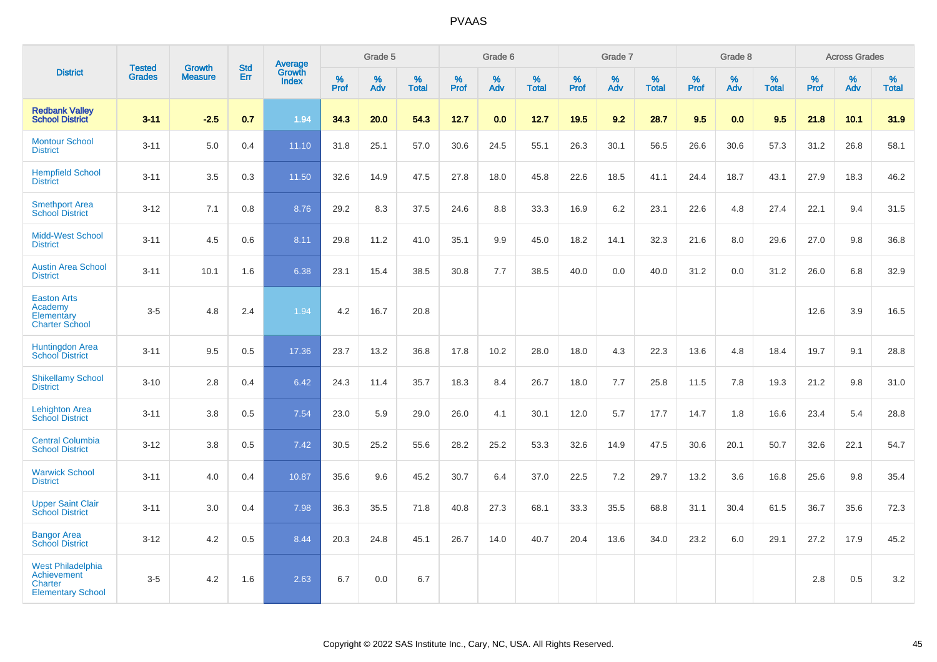|                                                                                              |                                |                                 | <b>Std</b> | Average                |              | Grade 5  |                   |           | Grade 6  |                   |           | Grade 7  |                   |           | Grade 8  |                   |           | <b>Across Grades</b> |                   |
|----------------------------------------------------------------------------------------------|--------------------------------|---------------------------------|------------|------------------------|--------------|----------|-------------------|-----------|----------|-------------------|-----------|----------|-------------------|-----------|----------|-------------------|-----------|----------------------|-------------------|
| <b>District</b>                                                                              | <b>Tested</b><br><b>Grades</b> | <b>Growth</b><br><b>Measure</b> | Err        | Growth<br><b>Index</b> | $\%$<br>Prof | %<br>Adv | %<br><b>Total</b> | %<br>Prof | %<br>Adv | %<br><b>Total</b> | %<br>Prof | %<br>Adv | %<br><b>Total</b> | %<br>Prof | %<br>Adv | %<br><b>Total</b> | %<br>Prof | %<br>Adv             | %<br><b>Total</b> |
| <b>Redbank Valley</b><br><b>School District</b>                                              | $3 - 11$                       | $-2.5$                          | 0.7        | 1.94                   | 34.3         | 20.0     | 54.3              | 12.7      | 0.0      | 12.7              | 19.5      | 9.2      | 28.7              | 9.5       | 0.0      | 9.5               | 21.8      | 10.1                 | 31.9              |
| <b>Montour School</b><br><b>District</b>                                                     | $3 - 11$                       | 5.0                             | 0.4        | 11.10                  | 31.8         | 25.1     | 57.0              | 30.6      | 24.5     | 55.1              | 26.3      | 30.1     | 56.5              | 26.6      | 30.6     | 57.3              | 31.2      | 26.8                 | 58.1              |
| <b>Hempfield School</b><br><b>District</b>                                                   | $3 - 11$                       | 3.5                             | 0.3        | 11.50                  | 32.6         | 14.9     | 47.5              | 27.8      | 18.0     | 45.8              | 22.6      | 18.5     | 41.1              | 24.4      | 18.7     | 43.1              | 27.9      | 18.3                 | 46.2              |
| <b>Smethport Area</b><br><b>School District</b>                                              | $3 - 12$                       | 7.1                             | 0.8        | 8.76                   | 29.2         | 8.3      | 37.5              | 24.6      | 8.8      | 33.3              | 16.9      | 6.2      | 23.1              | 22.6      | 4.8      | 27.4              | 22.1      | 9.4                  | 31.5              |
| <b>Midd-West School</b><br><b>District</b>                                                   | $3 - 11$                       | 4.5                             | 0.6        | 8.11                   | 29.8         | 11.2     | 41.0              | 35.1      | 9.9      | 45.0              | 18.2      | 14.1     | 32.3              | 21.6      | 8.0      | 29.6              | 27.0      | 9.8                  | 36.8              |
| <b>Austin Area School</b><br><b>District</b>                                                 | $3 - 11$                       | 10.1                            | 1.6        | 6.38                   | 23.1         | 15.4     | 38.5              | 30.8      | 7.7      | 38.5              | 40.0      | 0.0      | 40.0              | 31.2      | 0.0      | 31.2              | 26.0      | 6.8                  | 32.9              |
| <b>Easton Arts</b><br>Academy<br>Elementary<br><b>Charter School</b>                         | $3-5$                          | 4.8                             | 2.4        | 1.94                   | 4.2          | 16.7     | 20.8              |           |          |                   |           |          |                   |           |          |                   | 12.6      | 3.9                  | 16.5              |
| <b>Huntingdon Area</b><br><b>School District</b>                                             | $3 - 11$                       | 9.5                             | 0.5        | 17.36                  | 23.7         | 13.2     | 36.8              | 17.8      | 10.2     | 28.0              | 18.0      | 4.3      | 22.3              | 13.6      | 4.8      | 18.4              | 19.7      | 9.1                  | 28.8              |
| <b>Shikellamy School</b><br><b>District</b>                                                  | $3 - 10$                       | 2.8                             | 0.4        | 6.42                   | 24.3         | 11.4     | 35.7              | 18.3      | 8.4      | 26.7              | 18.0      | 7.7      | 25.8              | 11.5      | 7.8      | 19.3              | 21.2      | 9.8                  | 31.0              |
| <b>Lehighton Area</b><br><b>School District</b>                                              | $3 - 11$                       | 3.8                             | 0.5        | 7.54                   | 23.0         | 5.9      | 29.0              | 26.0      | 4.1      | 30.1              | 12.0      | 5.7      | 17.7              | 14.7      | 1.8      | 16.6              | 23.4      | 5.4                  | 28.8              |
| <b>Central Columbia</b><br><b>School District</b>                                            | $3 - 12$                       | 3.8                             | 0.5        | 7.42                   | 30.5         | 25.2     | 55.6              | 28.2      | 25.2     | 53.3              | 32.6      | 14.9     | 47.5              | 30.6      | 20.1     | 50.7              | 32.6      | 22.1                 | 54.7              |
| <b>Warwick School</b><br><b>District</b>                                                     | $3 - 11$                       | 4.0                             | 0.4        | 10.87                  | 35.6         | 9.6      | 45.2              | 30.7      | 6.4      | 37.0              | 22.5      | 7.2      | 29.7              | 13.2      | 3.6      | 16.8              | 25.6      | 9.8                  | 35.4              |
| <b>Upper Saint Clair</b><br><b>School District</b>                                           | $3 - 11$                       | 3.0                             | 0.4        | 7.98                   | 36.3         | 35.5     | 71.8              | 40.8      | 27.3     | 68.1              | 33.3      | 35.5     | 68.8              | 31.1      | 30.4     | 61.5              | 36.7      | 35.6                 | 72.3              |
| <b>Bangor Area</b><br><b>School District</b>                                                 | $3 - 12$                       | 4.2                             | 0.5        | 8.44                   | 20.3         | 24.8     | 45.1              | 26.7      | 14.0     | 40.7              | 20.4      | 13.6     | 34.0              | 23.2      | 6.0      | 29.1              | 27.2      | 17.9                 | 45.2              |
| <b>West Philadelphia</b><br><b>Achievement</b><br><b>Charter</b><br><b>Elementary School</b> | $3-5$                          | 4.2                             | 1.6        | 2.63                   | 6.7          | 0.0      | 6.7               |           |          |                   |           |          |                   |           |          |                   | 2.8       | 0.5                  | 3.2               |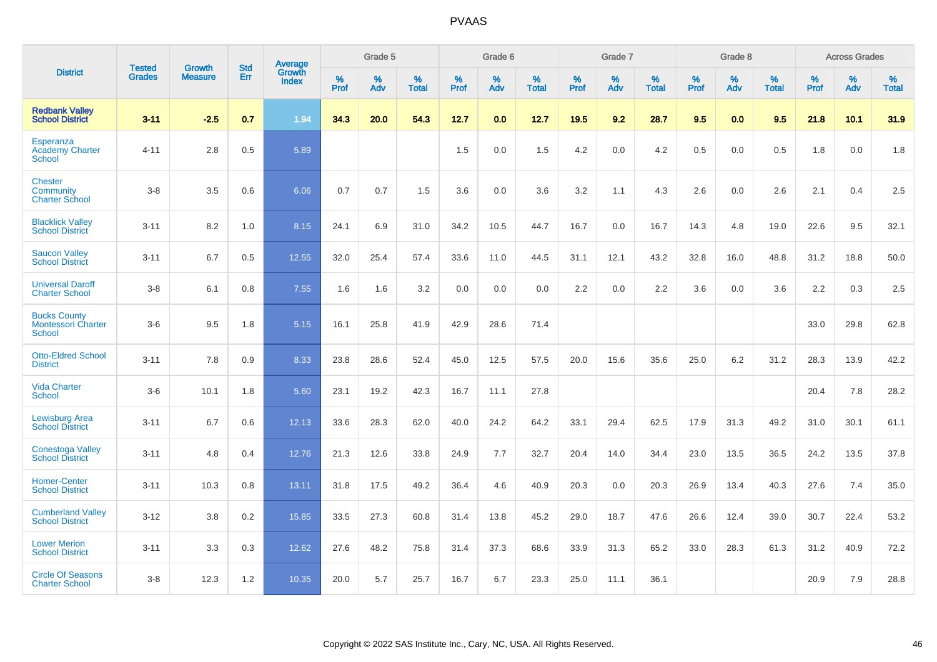|                                                            | <b>Tested</b> | <b>Growth</b>  | <b>Std</b> | Average                       |           | Grade 5  |                   |           | Grade 6  |                   |           | Grade 7  |                   |           | Grade 8  |                   |           | <b>Across Grades</b> |                   |
|------------------------------------------------------------|---------------|----------------|------------|-------------------------------|-----------|----------|-------------------|-----------|----------|-------------------|-----------|----------|-------------------|-----------|----------|-------------------|-----------|----------------------|-------------------|
| <b>District</b>                                            | <b>Grades</b> | <b>Measure</b> | Err        | <b>Growth</b><br><b>Index</b> | %<br>Prof | %<br>Adv | %<br><b>Total</b> | %<br>Prof | %<br>Adv | %<br><b>Total</b> | %<br>Prof | %<br>Adv | %<br><b>Total</b> | %<br>Prof | %<br>Adv | %<br><b>Total</b> | %<br>Prof | %<br>Adv             | %<br><b>Total</b> |
| <b>Redbank Valley</b><br><b>School District</b>            | $3 - 11$      | $-2.5$         | 0.7        | 1.94                          | 34.3      | 20.0     | 54.3              | 12.7      | 0.0      | 12.7              | 19.5      | 9.2      | 28.7              | 9.5       | 0.0      | 9.5               | 21.8      | 10.1                 | 31.9              |
| Esperanza<br><b>Academy Charter</b><br>School              | $4 - 11$      | 2.8            | 0.5        | 5.89                          |           |          |                   | 1.5       | 0.0      | 1.5               | 4.2       | 0.0      | 4.2               | 0.5       | 0.0      | 0.5               | 1.8       | 0.0                  | 1.8               |
| <b>Chester</b><br>Community<br><b>Charter School</b>       | $3 - 8$       | 3.5            | 0.6        | 6.06                          | 0.7       | 0.7      | 1.5               | 3.6       | 0.0      | 3.6               | 3.2       | 1.1      | 4.3               | 2.6       | 0.0      | 2.6               | 2.1       | 0.4                  | 2.5               |
| <b>Blacklick Valley</b><br><b>School District</b>          | $3 - 11$      | 8.2            | 1.0        | 8.15                          | 24.1      | 6.9      | 31.0              | 34.2      | 10.5     | 44.7              | 16.7      | 0.0      | 16.7              | 14.3      | 4.8      | 19.0              | 22.6      | 9.5                  | 32.1              |
| <b>Saucon Valley</b><br><b>School District</b>             | $3 - 11$      | 6.7            | 0.5        | 12.55                         | 32.0      | 25.4     | 57.4              | 33.6      | 11.0     | 44.5              | 31.1      | 12.1     | 43.2              | 32.8      | 16.0     | 48.8              | 31.2      | 18.8                 | 50.0              |
| <b>Universal Daroff</b><br><b>Charter School</b>           | $3 - 8$       | 6.1            | 0.8        | 7.55                          | 1.6       | 1.6      | 3.2               | 0.0       | 0.0      | 0.0               | 2.2       | 0.0      | 2.2               | 3.6       | 0.0      | 3.6               | 2.2       | 0.3                  | 2.5               |
| <b>Bucks County</b><br><b>Montessori Charter</b><br>School | $3-6$         | 9.5            | 1.8        | 5.15                          | 16.1      | 25.8     | 41.9              | 42.9      | 28.6     | 71.4              |           |          |                   |           |          |                   | 33.0      | 29.8                 | 62.8              |
| <b>Otto-Eldred School</b><br><b>District</b>               | $3 - 11$      | 7.8            | 0.9        | 8.33                          | 23.8      | 28.6     | 52.4              | 45.0      | 12.5     | 57.5              | 20.0      | 15.6     | 35.6              | 25.0      | 6.2      | 31.2              | 28.3      | 13.9                 | 42.2              |
| <b>Vida Charter</b><br><b>School</b>                       | $3-6$         | 10.1           | 1.8        | 5.60                          | 23.1      | 19.2     | 42.3              | 16.7      | 11.1     | 27.8              |           |          |                   |           |          |                   | 20.4      | 7.8                  | 28.2              |
| <b>Lewisburg Area</b><br><b>School District</b>            | $3 - 11$      | 6.7            | 0.6        | 12.13                         | 33.6      | 28.3     | 62.0              | 40.0      | 24.2     | 64.2              | 33.1      | 29.4     | 62.5              | 17.9      | 31.3     | 49.2              | 31.0      | 30.1                 | 61.1              |
| <b>Conestoga Valley</b><br><b>School District</b>          | $3 - 11$      | 4.8            | 0.4        | 12.76                         | 21.3      | 12.6     | 33.8              | 24.9      | 7.7      | 32.7              | 20.4      | 14.0     | 34.4              | 23.0      | 13.5     | 36.5              | 24.2      | 13.5                 | 37.8              |
| <b>Homer-Center</b><br><b>School District</b>              | $3 - 11$      | 10.3           | 0.8        | 13.11                         | 31.8      | 17.5     | 49.2              | 36.4      | 4.6      | 40.9              | 20.3      | 0.0      | 20.3              | 26.9      | 13.4     | 40.3              | 27.6      | 7.4                  | 35.0              |
| <b>Cumberland Valley</b><br><b>School District</b>         | $3 - 12$      | 3.8            | 0.2        | 15.85                         | 33.5      | 27.3     | 60.8              | 31.4      | 13.8     | 45.2              | 29.0      | 18.7     | 47.6              | 26.6      | 12.4     | 39.0              | 30.7      | 22.4                 | 53.2              |
| <b>Lower Merion</b><br><b>School District</b>              | $3 - 11$      | 3.3            | 0.3        | 12.62                         | 27.6      | 48.2     | 75.8              | 31.4      | 37.3     | 68.6              | 33.9      | 31.3     | 65.2              | 33.0      | 28.3     | 61.3              | 31.2      | 40.9                 | 72.2              |
| <b>Circle Of Seasons</b><br><b>Charter School</b>          | $3 - 8$       | 12.3           | 1.2        | 10.35                         | 20.0      | 5.7      | 25.7              | 16.7      | 6.7      | 23.3              | 25.0      | 11.1     | 36.1              |           |          |                   | 20.9      | 7.9                  | 28.8              |